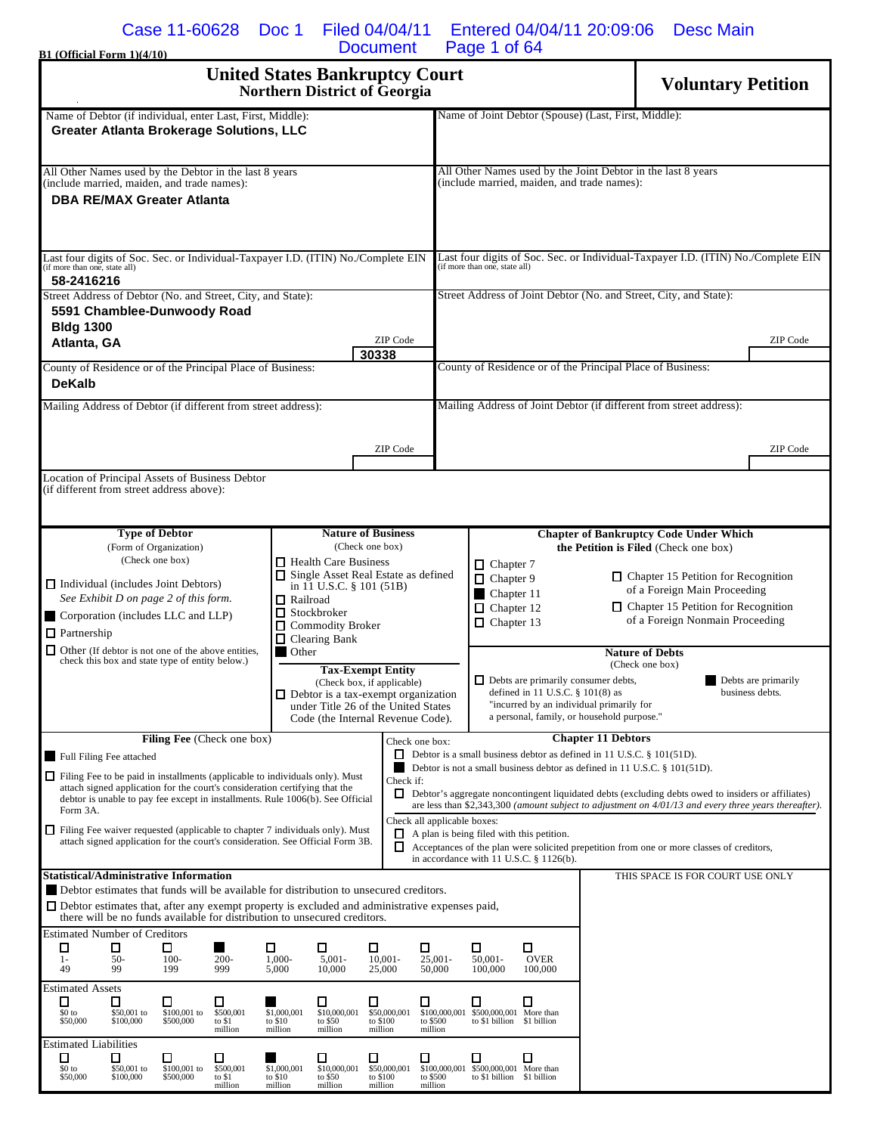|            |  | Case 11-60628  Doc 1  Filed 04/04/11  Entered 04/04/11  20:09:06  Desc Main |  |
|------------|--|-----------------------------------------------------------------------------|--|
| $-11/4/10$ |  | Document Page 1 of 64                                                       |  |

| <b>B1 (Official Form 1)(4/10)</b>                                                                                                                                                                                                                                                                                                                                                                                                                                                                       |                                                                                                                                                                                                                                                                                                                                                                                                                                  | <b>Document</b>                          |                                           | Page 1 of 64                                                                                                |                                                                                                                                                                          |                           |                                                                                                                                                                                                                                                                                                                                                                                       |  |
|---------------------------------------------------------------------------------------------------------------------------------------------------------------------------------------------------------------------------------------------------------------------------------------------------------------------------------------------------------------------------------------------------------------------------------------------------------------------------------------------------------|----------------------------------------------------------------------------------------------------------------------------------------------------------------------------------------------------------------------------------------------------------------------------------------------------------------------------------------------------------------------------------------------------------------------------------|------------------------------------------|-------------------------------------------|-------------------------------------------------------------------------------------------------------------|--------------------------------------------------------------------------------------------------------------------------------------------------------------------------|---------------------------|---------------------------------------------------------------------------------------------------------------------------------------------------------------------------------------------------------------------------------------------------------------------------------------------------------------------------------------------------------------------------------------|--|
| <b>United States Bankruptcy Court</b><br><b>Voluntary Petition</b><br><b>Northern District of Georgia</b>                                                                                                                                                                                                                                                                                                                                                                                               |                                                                                                                                                                                                                                                                                                                                                                                                                                  |                                          |                                           |                                                                                                             |                                                                                                                                                                          |                           |                                                                                                                                                                                                                                                                                                                                                                                       |  |
| Name of Debtor (if individual, enter Last, First, Middle):<br><b>Greater Atlanta Brokerage Solutions, LLC</b>                                                                                                                                                                                                                                                                                                                                                                                           |                                                                                                                                                                                                                                                                                                                                                                                                                                  |                                          |                                           |                                                                                                             | Name of Joint Debtor (Spouse) (Last, First, Middle):                                                                                                                     |                           |                                                                                                                                                                                                                                                                                                                                                                                       |  |
| All Other Names used by the Debtor in the last 8 years<br>(include married, maiden, and trade names):<br><b>DBA RE/MAX Greater Atlanta</b>                                                                                                                                                                                                                                                                                                                                                              |                                                                                                                                                                                                                                                                                                                                                                                                                                  |                                          |                                           | All Other Names used by the Joint Debtor in the last 8 years<br>(include married, maiden, and trade names): |                                                                                                                                                                          |                           |                                                                                                                                                                                                                                                                                                                                                                                       |  |
| (if more than one, state all)<br>58-2416216                                                                                                                                                                                                                                                                                                                                                                                                                                                             | Last four digits of Soc. Sec. or Individual-Taxpayer I.D. (ITIN) No./Complete EIN                                                                                                                                                                                                                                                                                                                                                |                                          |                                           |                                                                                                             | Last four digits of Soc. Sec. or Individual-Taxpayer I.D. (ITIN) No./Complete EIN<br>(if more than one, state all)                                                       |                           |                                                                                                                                                                                                                                                                                                                                                                                       |  |
| Street Address of Debtor (No. and Street, City, and State):<br>5591 Chamblee-Dunwoody Road<br><b>Bldg 1300</b><br>ZIP Code<br>Atlanta, GA                                                                                                                                                                                                                                                                                                                                                               |                                                                                                                                                                                                                                                                                                                                                                                                                                  |                                          |                                           | Street Address of Joint Debtor (No. and Street, City, and State):<br>ZIP Code                               |                                                                                                                                                                          |                           |                                                                                                                                                                                                                                                                                                                                                                                       |  |
| County of Residence or of the Principal Place of Business:<br><b>DeKalb</b>                                                                                                                                                                                                                                                                                                                                                                                                                             |                                                                                                                                                                                                                                                                                                                                                                                                                                  | 30338                                    |                                           |                                                                                                             |                                                                                                                                                                          |                           | County of Residence or of the Principal Place of Business:                                                                                                                                                                                                                                                                                                                            |  |
| Mailing Address of Debtor (if different from street address):                                                                                                                                                                                                                                                                                                                                                                                                                                           |                                                                                                                                                                                                                                                                                                                                                                                                                                  |                                          |                                           |                                                                                                             |                                                                                                                                                                          |                           | Mailing Address of Joint Debtor (if different from street address):                                                                                                                                                                                                                                                                                                                   |  |
|                                                                                                                                                                                                                                                                                                                                                                                                                                                                                                         |                                                                                                                                                                                                                                                                                                                                                                                                                                  | ZIP Code                                 |                                           |                                                                                                             |                                                                                                                                                                          |                           | ZIP Code                                                                                                                                                                                                                                                                                                                                                                              |  |
| Location of Principal Assets of Business Debtor<br>(if different from street address above):                                                                                                                                                                                                                                                                                                                                                                                                            |                                                                                                                                                                                                                                                                                                                                                                                                                                  |                                          |                                           |                                                                                                             |                                                                                                                                                                          |                           |                                                                                                                                                                                                                                                                                                                                                                                       |  |
| <b>Type of Debtor</b><br>(Form of Organization)<br>(Check one box)<br>$\Box$ Individual (includes Joint Debtors)<br>See Exhibit D on page 2 of this form.<br>Corporation (includes LLC and LLP)<br>$\Box$ Partnership                                                                                                                                                                                                                                                                                   | <b>Nature of Business</b><br>(Check one box)<br>$\Box$ Health Care Business<br>Single Asset Real Estate as defined<br>in 11 U.S.C. § 101 (51B)<br>Railroad<br>$\Box$ Stockbroker<br>$\Box$ Commodity Broker<br>$\Box$ Clearing Bank<br>Other<br><b>Tax-Exempt Entity</b><br>(Check box, if applicable)<br>$\Box$ Debtor is a tax-exempt organization<br>under Title 26 of the United States<br>Code (the Internal Revenue Code). |                                          |                                           | $\Box$ Chapter 7<br>□ Chapter 9<br>Chapter 11<br>$\Box$ Chapter 12<br>$\Box$ Chapter 13                     |                                                                                                                                                                          |                           | <b>Chapter of Bankruptcy Code Under Which</b><br>the Petition is Filed (Check one box)<br>$\Box$ Chapter 15 Petition for Recognition<br>of a Foreign Main Proceeding<br>$\Box$ Chapter 15 Petition for Recognition<br>of a Foreign Nonmain Proceeding                                                                                                                                 |  |
| $\Box$ Other (If debtor is not one of the above entities,<br>check this box and state type of entity below.)                                                                                                                                                                                                                                                                                                                                                                                            |                                                                                                                                                                                                                                                                                                                                                                                                                                  |                                          |                                           |                                                                                                             | $\Box$ Debts are primarily consumer debts,<br>defined in 11 U.S.C. § 101(8) as<br>"incurred by an individual primarily for<br>a personal, family, or household purpose." |                           | <b>Nature of Debts</b><br>(Check one box)<br>Debts are primarily<br>business debts.                                                                                                                                                                                                                                                                                                   |  |
| Filing Fee (Check one box)                                                                                                                                                                                                                                                                                                                                                                                                                                                                              |                                                                                                                                                                                                                                                                                                                                                                                                                                  | Check one box:                           |                                           |                                                                                                             |                                                                                                                                                                          | <b>Chapter 11 Debtors</b> |                                                                                                                                                                                                                                                                                                                                                                                       |  |
| П.<br>Full Filing Fee attached<br>▅<br>$\Box$ Filing Fee to be paid in installments (applicable to individuals only). Must<br>Check if:<br>attach signed application for the court's consideration certifying that the<br>□<br>debtor is unable to pay fee except in installments. Rule 1006(b). See Official<br>Form 3A.<br>$\Box$ Filing Fee waiver requested (applicable to chapter 7 individuals only). Must<br>attach signed application for the court's consideration. See Official Form 3B.<br>□ |                                                                                                                                                                                                                                                                                                                                                                                                                                  |                                          | Check all applicable boxes:               |                                                                                                             | Debtor is a small business debtor as defined in 11 U.S.C. § 101(51D).<br>$\Box$ A plan is being filed with this petition.<br>in accordance with 11 U.S.C. § 1126(b).     |                           | Debtor is not a small business debtor as defined in 11 U.S.C. § 101(51D).<br>Debtor's aggregate noncontingent liquidated debts (excluding debts owed to insiders or affiliates)<br>are less than \$2,343,300 (amount subject to adjustment on 4/01/13 and every three years thereafter).<br>Acceptances of the plan were solicited prepetition from one or more classes of creditors, |  |
| <b>Statistical/Administrative Information</b><br>THIS SPACE IS FOR COURT USE ONLY<br>Debtor estimates that funds will be available for distribution to unsecured creditors.<br>$\Box$ Debtor estimates that, after any exempt property is excluded and administrative expenses paid,<br>there will be no funds available for distribution to unsecured creditors.                                                                                                                                       |                                                                                                                                                                                                                                                                                                                                                                                                                                  |                                          |                                           |                                                                                                             |                                                                                                                                                                          |                           |                                                                                                                                                                                                                                                                                                                                                                                       |  |
| <b>Estimated Number of Creditors</b><br>□<br>□<br>⊔<br>$1 -$<br>$50 -$<br>$100 -$<br>$200 -$<br>49<br>99<br>199<br>999                                                                                                                                                                                                                                                                                                                                                                                  | □<br>□<br>$1,000-$<br>$5,001-$<br>10,000<br>5,000                                                                                                                                                                                                                                                                                                                                                                                | □<br>□<br>$10,001 -$<br>25,000           | $25,001 -$<br>50,000                      | □<br>$50,001 -$<br>100,000                                                                                  | □<br><b>OVER</b><br>100,000                                                                                                                                              |                           |                                                                                                                                                                                                                                                                                                                                                                                       |  |
| <b>Estimated Assets</b><br>□<br>◻<br>◻<br>П<br>\$500,001<br>\$0 to<br>\$50,001 to<br>\$100,001 to<br>\$50,000<br>\$100,000<br>\$500,000<br>to \$1<br>million                                                                                                                                                                                                                                                                                                                                            | ப<br>\$10,000,001<br>\$1,000,001<br>to \$10<br>to \$50<br>million<br>million                                                                                                                                                                                                                                                                                                                                                     | □<br>\$50,000,001<br>to \$100<br>million | □<br>to \$500<br>million                  | □<br>\$100,000,001 \$500,000,001 More than<br>to \$1 billion                                                | ப<br>\$1 billion                                                                                                                                                         |                           |                                                                                                                                                                                                                                                                                                                                                                                       |  |
| <b>Estimated Liabilities</b><br>□<br>□<br>□<br>□<br>$\$0$ to<br>\$500,001<br>\$50,001 to<br>\$100,001 to<br>\$50,000<br>\$100,000<br>\$500,000<br>to \$1<br>million                                                                                                                                                                                                                                                                                                                                     | □<br>\$10,000,001<br>\$1,000,001<br>to \$50<br>to \$10<br>million<br>million                                                                                                                                                                                                                                                                                                                                                     | □<br>\$50,000,001<br>to \$100<br>million | □<br>\$100,000,001<br>to \$500<br>million | □<br>\$500,000,001 More than<br>to \$1 billion \$1 billion                                                  | ப                                                                                                                                                                        |                           |                                                                                                                                                                                                                                                                                                                                                                                       |  |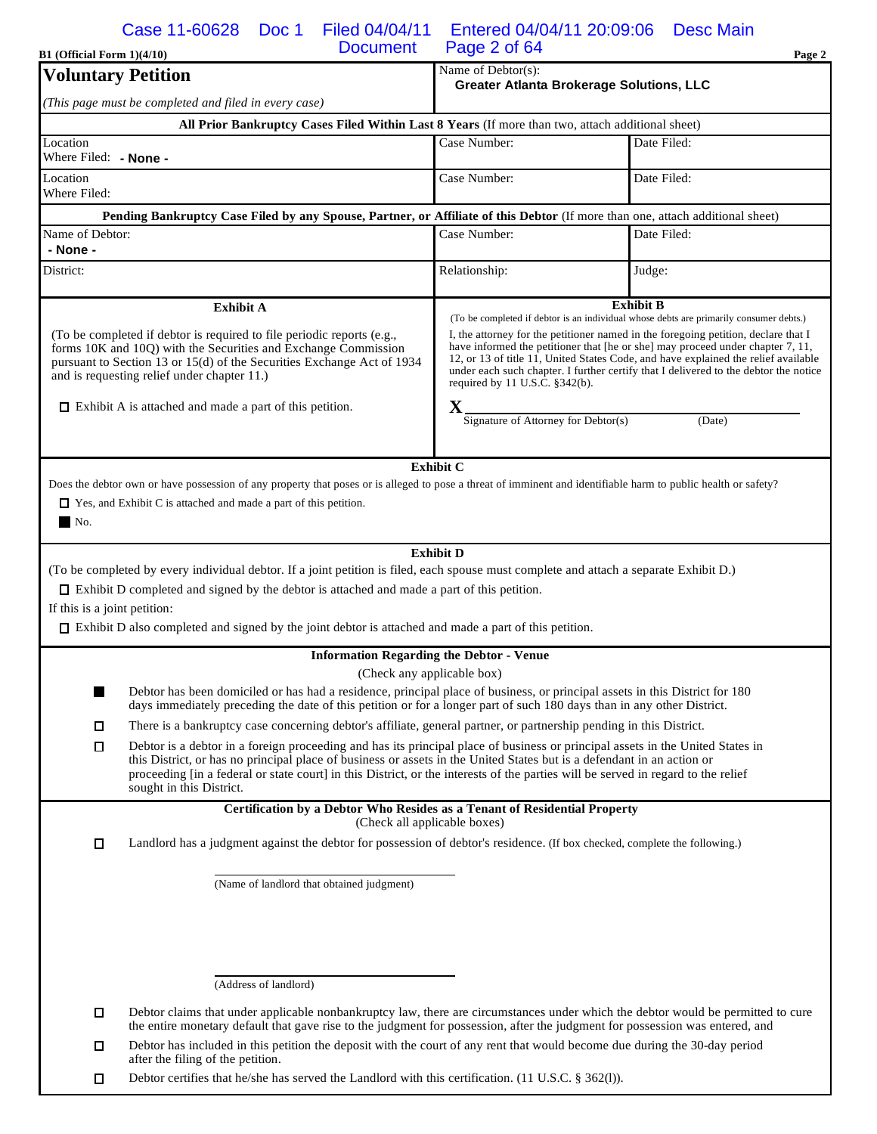# Case 11-60628 Doc 1 Filed 04/04/11 Entered 04/04/11 20:09:06 Desc Main

| B1 (Official Form 1)(4/10)                                                                                                                                                                                                                                                                                                                                                                                                          | <b>Document</b>                                                                                                                                                                                                                                                                                                                                             | Page 2 of 64                                                                                                                                                                                                                                                                                                                                                                            | Page 2                                                                                                     |  |  |
|-------------------------------------------------------------------------------------------------------------------------------------------------------------------------------------------------------------------------------------------------------------------------------------------------------------------------------------------------------------------------------------------------------------------------------------|-------------------------------------------------------------------------------------------------------------------------------------------------------------------------------------------------------------------------------------------------------------------------------------------------------------------------------------------------------------|-----------------------------------------------------------------------------------------------------------------------------------------------------------------------------------------------------------------------------------------------------------------------------------------------------------------------------------------------------------------------------------------|------------------------------------------------------------------------------------------------------------|--|--|
| <b>Voluntary Petition</b>                                                                                                                                                                                                                                                                                                                                                                                                           |                                                                                                                                                                                                                                                                                                                                                             | Name of Debtor(s):<br><b>Greater Atlanta Brokerage Solutions, LLC</b>                                                                                                                                                                                                                                                                                                                   |                                                                                                            |  |  |
|                                                                                                                                                                                                                                                                                                                                                                                                                                     | (This page must be completed and filed in every case)                                                                                                                                                                                                                                                                                                       |                                                                                                                                                                                                                                                                                                                                                                                         |                                                                                                            |  |  |
|                                                                                                                                                                                                                                                                                                                                                                                                                                     | All Prior Bankruptcy Cases Filed Within Last 8 Years (If more than two, attach additional sheet)                                                                                                                                                                                                                                                            |                                                                                                                                                                                                                                                                                                                                                                                         |                                                                                                            |  |  |
| Location<br>Where Filed: - None -                                                                                                                                                                                                                                                                                                                                                                                                   |                                                                                                                                                                                                                                                                                                                                                             | Case Number:                                                                                                                                                                                                                                                                                                                                                                            | Date Filed:                                                                                                |  |  |
| Location<br>Where Filed:                                                                                                                                                                                                                                                                                                                                                                                                            |                                                                                                                                                                                                                                                                                                                                                             | Case Number:                                                                                                                                                                                                                                                                                                                                                                            | Date Filed:                                                                                                |  |  |
|                                                                                                                                                                                                                                                                                                                                                                                                                                     | Pending Bankruptcy Case Filed by any Spouse, Partner, or Affiliate of this Debtor (If more than one, attach additional sheet)                                                                                                                                                                                                                               |                                                                                                                                                                                                                                                                                                                                                                                         |                                                                                                            |  |  |
| Name of Debtor:<br>- None -                                                                                                                                                                                                                                                                                                                                                                                                         |                                                                                                                                                                                                                                                                                                                                                             | Case Number:                                                                                                                                                                                                                                                                                                                                                                            | Date Filed:                                                                                                |  |  |
| District:                                                                                                                                                                                                                                                                                                                                                                                                                           |                                                                                                                                                                                                                                                                                                                                                             | Relationship:                                                                                                                                                                                                                                                                                                                                                                           | Judge:                                                                                                     |  |  |
|                                                                                                                                                                                                                                                                                                                                                                                                                                     | <b>Exhibit A</b>                                                                                                                                                                                                                                                                                                                                            |                                                                                                                                                                                                                                                                                                                                                                                         | <b>Exhibit B</b><br>(To be completed if debtor is an individual whose debts are primarily consumer debts.) |  |  |
|                                                                                                                                                                                                                                                                                                                                                                                                                                     | (To be completed if debtor is required to file periodic reports (e.g.,<br>forms 10K and 10Q) with the Securities and Exchange Commission<br>pursuant to Section 13 or 15(d) of the Securities Exchange Act of 1934<br>and is requesting relief under chapter 11.)                                                                                           | I, the attorney for the petitioner named in the foregoing petition, declare that I<br>have informed the petitioner that [he or she] may proceed under chapter 7, 11,<br>12, or 13 of title 11, United States Code, and have explained the relief available<br>under each such chapter. I further certify that I delivered to the debtor the notice<br>required by 11 U.S.C. $§342(b)$ . |                                                                                                            |  |  |
|                                                                                                                                                                                                                                                                                                                                                                                                                                     | $\Box$ Exhibit A is attached and made a part of this petition.                                                                                                                                                                                                                                                                                              | $\mathbf X$<br>Signature of Attorney for Debtor(s)                                                                                                                                                                                                                                                                                                                                      | (Date)                                                                                                     |  |  |
|                                                                                                                                                                                                                                                                                                                                                                                                                                     |                                                                                                                                                                                                                                                                                                                                                             | <b>Exhibit C</b>                                                                                                                                                                                                                                                                                                                                                                        |                                                                                                            |  |  |
| No.                                                                                                                                                                                                                                                                                                                                                                                                                                 | Does the debtor own or have possession of any property that poses or is alleged to pose a threat of imminent and identifiable harm to public health or safety?<br>$\Box$ Yes, and Exhibit C is attached and made a part of this petition.                                                                                                                   |                                                                                                                                                                                                                                                                                                                                                                                         |                                                                                                            |  |  |
| If this is a joint petition:                                                                                                                                                                                                                                                                                                                                                                                                        | (To be completed by every individual debtor. If a joint petition is filed, each spouse must complete and attach a separate Exhibit D.)<br>$\Box$ Exhibit D completed and signed by the debtor is attached and made a part of this petition.<br>$\Box$ Exhibit D also completed and signed by the joint debtor is attached and made a part of this petition. | <b>Exhibit D</b>                                                                                                                                                                                                                                                                                                                                                                        |                                                                                                            |  |  |
|                                                                                                                                                                                                                                                                                                                                                                                                                                     | <b>Information Regarding the Debtor - Venue</b>                                                                                                                                                                                                                                                                                                             |                                                                                                                                                                                                                                                                                                                                                                                         |                                                                                                            |  |  |
|                                                                                                                                                                                                                                                                                                                                                                                                                                     | (Check any applicable box)<br>Debtor has been domiciled or has had a residence, principal place of business, or principal assets in this District for 180<br>days immediately preceding the date of this petition or for a longer part of such 180 days than in any other District.                                                                         |                                                                                                                                                                                                                                                                                                                                                                                         |                                                                                                            |  |  |
| $\Box$                                                                                                                                                                                                                                                                                                                                                                                                                              | There is a bankruptcy case concerning debtor's affiliate, general partner, or partnership pending in this District.                                                                                                                                                                                                                                         |                                                                                                                                                                                                                                                                                                                                                                                         |                                                                                                            |  |  |
| $\Box$<br>Debtor is a debtor in a foreign proceeding and has its principal place of business or principal assets in the United States in<br>this District, or has no principal place of business or assets in the United States but is a defendant in an action or<br>proceeding [in a federal or state court] in this District, or the interests of the parties will be served in regard to the relief<br>sought in this District. |                                                                                                                                                                                                                                                                                                                                                             |                                                                                                                                                                                                                                                                                                                                                                                         |                                                                                                            |  |  |
|                                                                                                                                                                                                                                                                                                                                                                                                                                     | Certification by a Debtor Who Resides as a Tenant of Residential Property<br>(Check all applicable boxes)                                                                                                                                                                                                                                                   |                                                                                                                                                                                                                                                                                                                                                                                         |                                                                                                            |  |  |
| $\Box$                                                                                                                                                                                                                                                                                                                                                                                                                              | Landlord has a judgment against the debtor for possession of debtor's residence. (If box checked, complete the following.)                                                                                                                                                                                                                                  |                                                                                                                                                                                                                                                                                                                                                                                         |                                                                                                            |  |  |
|                                                                                                                                                                                                                                                                                                                                                                                                                                     | (Name of landlord that obtained judgment)                                                                                                                                                                                                                                                                                                                   |                                                                                                                                                                                                                                                                                                                                                                                         |                                                                                                            |  |  |
|                                                                                                                                                                                                                                                                                                                                                                                                                                     | (Address of landlord)                                                                                                                                                                                                                                                                                                                                       |                                                                                                                                                                                                                                                                                                                                                                                         |                                                                                                            |  |  |
| $\Box$                                                                                                                                                                                                                                                                                                                                                                                                                              | Debtor claims that under applicable nonbankruptcy law, there are circumstances under which the debtor would be permitted to cure<br>the entire monetary default that gave rise to the judgment for possession, after the judgment for possession was entered, and                                                                                           |                                                                                                                                                                                                                                                                                                                                                                                         |                                                                                                            |  |  |
| □                                                                                                                                                                                                                                                                                                                                                                                                                                   | Debtor has included in this petition the deposit with the court of any rent that would become due during the 30-day period<br>after the filing of the petition.                                                                                                                                                                                             |                                                                                                                                                                                                                                                                                                                                                                                         |                                                                                                            |  |  |

 $\Box$ Debtor certifies that he/she has served the Landlord with this certification. (11 U.S.C. § 362(l)).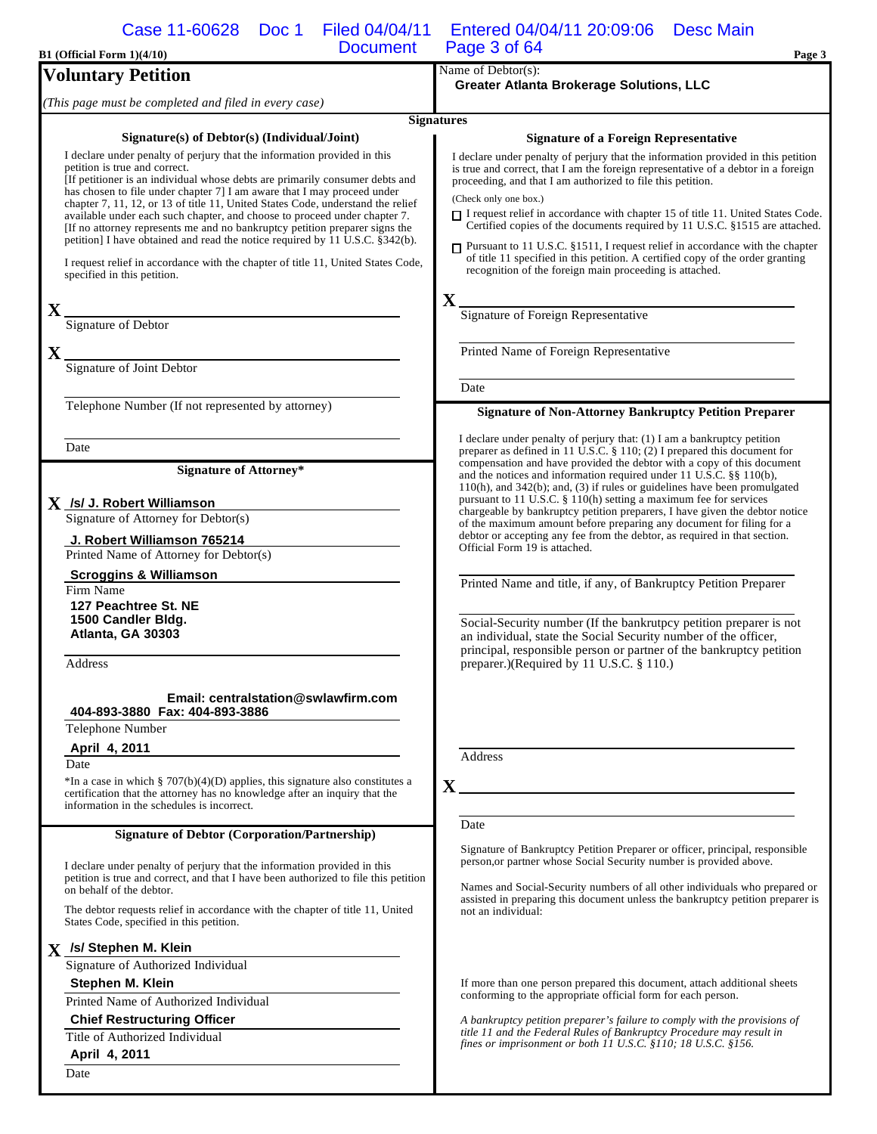| Case 11-60628  Doc 1  Filed 04/04/11                                                                                                                                                                                                                                                                                                                                                                                                                                                                                                                                                                                                                                                                                   |  | Entered 04/04/11 20:09:06 Desc Main                                                                                                                                                                                                                                                                                                                                                                                                                                                                                                                                                                                                                                                                                          |        |  |  |  |
|------------------------------------------------------------------------------------------------------------------------------------------------------------------------------------------------------------------------------------------------------------------------------------------------------------------------------------------------------------------------------------------------------------------------------------------------------------------------------------------------------------------------------------------------------------------------------------------------------------------------------------------------------------------------------------------------------------------------|--|------------------------------------------------------------------------------------------------------------------------------------------------------------------------------------------------------------------------------------------------------------------------------------------------------------------------------------------------------------------------------------------------------------------------------------------------------------------------------------------------------------------------------------------------------------------------------------------------------------------------------------------------------------------------------------------------------------------------------|--------|--|--|--|
| <b>Document</b><br>B1 (Official Form $1$ )(4/10)                                                                                                                                                                                                                                                                                                                                                                                                                                                                                                                                                                                                                                                                       |  | Page 3 of 64                                                                                                                                                                                                                                                                                                                                                                                                                                                                                                                                                                                                                                                                                                                 | Page 3 |  |  |  |
| <b>Voluntary Petition</b>                                                                                                                                                                                                                                                                                                                                                                                                                                                                                                                                                                                                                                                                                              |  | Name of Debtor(s):                                                                                                                                                                                                                                                                                                                                                                                                                                                                                                                                                                                                                                                                                                           |        |  |  |  |
|                                                                                                                                                                                                                                                                                                                                                                                                                                                                                                                                                                                                                                                                                                                        |  | <b>Greater Atlanta Brokerage Solutions, LLC</b>                                                                                                                                                                                                                                                                                                                                                                                                                                                                                                                                                                                                                                                                              |        |  |  |  |
| (This page must be completed and filed in every case)                                                                                                                                                                                                                                                                                                                                                                                                                                                                                                                                                                                                                                                                  |  | <b>Signatures</b>                                                                                                                                                                                                                                                                                                                                                                                                                                                                                                                                                                                                                                                                                                            |        |  |  |  |
| $Signature(s)$ of $Debtor(s)$ (Individual/Joint)                                                                                                                                                                                                                                                                                                                                                                                                                                                                                                                                                                                                                                                                       |  |                                                                                                                                                                                                                                                                                                                                                                                                                                                                                                                                                                                                                                                                                                                              |        |  |  |  |
| I declare under penalty of perjury that the information provided in this<br>petition is true and correct.<br>[If petitioner is an individual whose debts are primarily consumer debts and<br>has chosen to file under chapter 7] I am aware that I may proceed under<br>chapter 7, 11, 12, or 13 of title 11, United States Code, understand the relief<br>available under each such chapter, and choose to proceed under chapter 7.<br>[If no attorney represents me and no bankruptcy petition preparer signs the<br>petition] I have obtained and read the notice required by 11 U.S.C. §342(b).<br>I request relief in accordance with the chapter of title 11, United States Code,<br>specified in this petition. |  | <b>Signature of a Foreign Representative</b><br>I declare under penalty of perjury that the information provided in this petition<br>is true and correct, that I am the foreign representative of a debtor in a foreign<br>proceeding, and that I am authorized to file this petition.<br>(Check only one box.)<br>$\Box$ I request relief in accordance with chapter 15 of title 11. United States Code.<br>Certified copies of the documents required by 11 U.S.C. §1515 are attached.<br>$\Box$ Pursuant to 11 U.S.C. §1511, I request relief in accordance with the chapter<br>of title 11 specified in this petition. A certified copy of the order granting<br>recognition of the foreign main proceeding is attached. |        |  |  |  |
|                                                                                                                                                                                                                                                                                                                                                                                                                                                                                                                                                                                                                                                                                                                        |  |                                                                                                                                                                                                                                                                                                                                                                                                                                                                                                                                                                                                                                                                                                                              |        |  |  |  |
| $\mathbf X$                                                                                                                                                                                                                                                                                                                                                                                                                                                                                                                                                                                                                                                                                                            |  | Signature of Foreign Representative<br>X                                                                                                                                                                                                                                                                                                                                                                                                                                                                                                                                                                                                                                                                                     |        |  |  |  |
| Signature of Debtor                                                                                                                                                                                                                                                                                                                                                                                                                                                                                                                                                                                                                                                                                                    |  |                                                                                                                                                                                                                                                                                                                                                                                                                                                                                                                                                                                                                                                                                                                              |        |  |  |  |
| $\mathbf X$                                                                                                                                                                                                                                                                                                                                                                                                                                                                                                                                                                                                                                                                                                            |  | Printed Name of Foreign Representative                                                                                                                                                                                                                                                                                                                                                                                                                                                                                                                                                                                                                                                                                       |        |  |  |  |
| Signature of Joint Debtor                                                                                                                                                                                                                                                                                                                                                                                                                                                                                                                                                                                                                                                                                              |  |                                                                                                                                                                                                                                                                                                                                                                                                                                                                                                                                                                                                                                                                                                                              |        |  |  |  |
|                                                                                                                                                                                                                                                                                                                                                                                                                                                                                                                                                                                                                                                                                                                        |  | Date                                                                                                                                                                                                                                                                                                                                                                                                                                                                                                                                                                                                                                                                                                                         |        |  |  |  |
| Telephone Number (If not represented by attorney)                                                                                                                                                                                                                                                                                                                                                                                                                                                                                                                                                                                                                                                                      |  | <b>Signature of Non-Attorney Bankruptcy Petition Preparer</b>                                                                                                                                                                                                                                                                                                                                                                                                                                                                                                                                                                                                                                                                |        |  |  |  |
|                                                                                                                                                                                                                                                                                                                                                                                                                                                                                                                                                                                                                                                                                                                        |  |                                                                                                                                                                                                                                                                                                                                                                                                                                                                                                                                                                                                                                                                                                                              |        |  |  |  |
| Date                                                                                                                                                                                                                                                                                                                                                                                                                                                                                                                                                                                                                                                                                                                   |  | I declare under penalty of perjury that: (1) I am a bankruptcy petition<br>preparer as defined in 11 U.S.C. § 110; (2) I prepared this document for<br>compensation and have provided the debtor with a copy of this document                                                                                                                                                                                                                                                                                                                                                                                                                                                                                                |        |  |  |  |
| <b>Signature of Attorney*</b>                                                                                                                                                                                                                                                                                                                                                                                                                                                                                                                                                                                                                                                                                          |  | and the notices and information required under 11 U.S.C. §§ 110(b),                                                                                                                                                                                                                                                                                                                                                                                                                                                                                                                                                                                                                                                          |        |  |  |  |
| $\bf{X}$ /s/ J. Robert Williamson                                                                                                                                                                                                                                                                                                                                                                                                                                                                                                                                                                                                                                                                                      |  | 110(h), and 342(b); and, (3) if rules or guidelines have been promulgated<br>pursuant to 11 U.S.C. § 110(h) setting a maximum fee for services                                                                                                                                                                                                                                                                                                                                                                                                                                                                                                                                                                               |        |  |  |  |
| Signature of Attorney for Debtor(s)                                                                                                                                                                                                                                                                                                                                                                                                                                                                                                                                                                                                                                                                                    |  | chargeable by bankruptcy petition preparers, I have given the debtor notice                                                                                                                                                                                                                                                                                                                                                                                                                                                                                                                                                                                                                                                  |        |  |  |  |
|                                                                                                                                                                                                                                                                                                                                                                                                                                                                                                                                                                                                                                                                                                                        |  | of the maximum amount before preparing any document for filing for a<br>debtor or accepting any fee from the debtor, as required in that section.                                                                                                                                                                                                                                                                                                                                                                                                                                                                                                                                                                            |        |  |  |  |
| J. Robert Williamson 765214<br>Printed Name of Attorney for Debtor(s)                                                                                                                                                                                                                                                                                                                                                                                                                                                                                                                                                                                                                                                  |  | Official Form 19 is attached.                                                                                                                                                                                                                                                                                                                                                                                                                                                                                                                                                                                                                                                                                                |        |  |  |  |
| <b>Scroggins &amp; Williamson</b>                                                                                                                                                                                                                                                                                                                                                                                                                                                                                                                                                                                                                                                                                      |  |                                                                                                                                                                                                                                                                                                                                                                                                                                                                                                                                                                                                                                                                                                                              |        |  |  |  |
| Firm Name                                                                                                                                                                                                                                                                                                                                                                                                                                                                                                                                                                                                                                                                                                              |  | Printed Name and title, if any, of Bankruptcy Petition Preparer                                                                                                                                                                                                                                                                                                                                                                                                                                                                                                                                                                                                                                                              |        |  |  |  |
| 127 Peachtree St. NE<br>1500 Candler Bldg.<br>Atlanta, GA 30303                                                                                                                                                                                                                                                                                                                                                                                                                                                                                                                                                                                                                                                        |  | Social-Security number (If the bankrutpcy petition preparer is not<br>an individual, state the Social Security number of the officer,<br>principal, responsible person or partner of the bankruptcy petition                                                                                                                                                                                                                                                                                                                                                                                                                                                                                                                 |        |  |  |  |
| Address                                                                                                                                                                                                                                                                                                                                                                                                                                                                                                                                                                                                                                                                                                                |  | preparer.)(Required by $11 \text{ U.S.}$ C. § 110.)                                                                                                                                                                                                                                                                                                                                                                                                                                                                                                                                                                                                                                                                          |        |  |  |  |
| Email: centralstation@swlawfirm.com<br>404-893-3880 Fax: 404-893-3886                                                                                                                                                                                                                                                                                                                                                                                                                                                                                                                                                                                                                                                  |  |                                                                                                                                                                                                                                                                                                                                                                                                                                                                                                                                                                                                                                                                                                                              |        |  |  |  |
| Telephone Number                                                                                                                                                                                                                                                                                                                                                                                                                                                                                                                                                                                                                                                                                                       |  |                                                                                                                                                                                                                                                                                                                                                                                                                                                                                                                                                                                                                                                                                                                              |        |  |  |  |
| April 4, 2011                                                                                                                                                                                                                                                                                                                                                                                                                                                                                                                                                                                                                                                                                                          |  | Address                                                                                                                                                                                                                                                                                                                                                                                                                                                                                                                                                                                                                                                                                                                      |        |  |  |  |
| Date<br>*In a case in which $\S 707(b)(4)(D)$ applies, this signature also constitutes a<br>certification that the attorney has no knowledge after an inquiry that the<br>information in the schedules is incorrect.                                                                                                                                                                                                                                                                                                                                                                                                                                                                                                   |  |                                                                                                                                                                                                                                                                                                                                                                                                                                                                                                                                                                                                                                                                                                                              |        |  |  |  |
|                                                                                                                                                                                                                                                                                                                                                                                                                                                                                                                                                                                                                                                                                                                        |  | Date                                                                                                                                                                                                                                                                                                                                                                                                                                                                                                                                                                                                                                                                                                                         |        |  |  |  |
| <b>Signature of Debtor (Corporation/Partnership)</b>                                                                                                                                                                                                                                                                                                                                                                                                                                                                                                                                                                                                                                                                   |  | Signature of Bankruptcy Petition Preparer or officer, principal, responsible                                                                                                                                                                                                                                                                                                                                                                                                                                                                                                                                                                                                                                                 |        |  |  |  |
| I declare under penalty of perjury that the information provided in this<br>petition is true and correct, and that I have been authorized to file this petition                                                                                                                                                                                                                                                                                                                                                                                                                                                                                                                                                        |  | person, or partner whose Social Security number is provided above.<br>Names and Social-Security numbers of all other individuals who prepared or                                                                                                                                                                                                                                                                                                                                                                                                                                                                                                                                                                             |        |  |  |  |
| on behalf of the debtor.<br>The debtor requests relief in accordance with the chapter of title 11, United<br>States Code, specified in this petition.                                                                                                                                                                                                                                                                                                                                                                                                                                                                                                                                                                  |  | assisted in preparing this document unless the bankruptcy petition preparer is<br>not an individual:                                                                                                                                                                                                                                                                                                                                                                                                                                                                                                                                                                                                                         |        |  |  |  |
| X /s/ Stephen M. Klein                                                                                                                                                                                                                                                                                                                                                                                                                                                                                                                                                                                                                                                                                                 |  |                                                                                                                                                                                                                                                                                                                                                                                                                                                                                                                                                                                                                                                                                                                              |        |  |  |  |
| Signature of Authorized Individual                                                                                                                                                                                                                                                                                                                                                                                                                                                                                                                                                                                                                                                                                     |  |                                                                                                                                                                                                                                                                                                                                                                                                                                                                                                                                                                                                                                                                                                                              |        |  |  |  |
| Stephen M. Klein                                                                                                                                                                                                                                                                                                                                                                                                                                                                                                                                                                                                                                                                                                       |  | If more than one person prepared this document, attach additional sheets                                                                                                                                                                                                                                                                                                                                                                                                                                                                                                                                                                                                                                                     |        |  |  |  |
| Printed Name of Authorized Individual                                                                                                                                                                                                                                                                                                                                                                                                                                                                                                                                                                                                                                                                                  |  | conforming to the appropriate official form for each person.                                                                                                                                                                                                                                                                                                                                                                                                                                                                                                                                                                                                                                                                 |        |  |  |  |
| <b>Chief Restructuring Officer</b>                                                                                                                                                                                                                                                                                                                                                                                                                                                                                                                                                                                                                                                                                     |  | A bankruptcy petition preparer's failure to comply with the provisions of                                                                                                                                                                                                                                                                                                                                                                                                                                                                                                                                                                                                                                                    |        |  |  |  |
| Title of Authorized Individual                                                                                                                                                                                                                                                                                                                                                                                                                                                                                                                                                                                                                                                                                         |  | title 11 and the Federal Rules of Bankruptcy Procedure may result in                                                                                                                                                                                                                                                                                                                                                                                                                                                                                                                                                                                                                                                         |        |  |  |  |
| April 4, 2011                                                                                                                                                                                                                                                                                                                                                                                                                                                                                                                                                                                                                                                                                                          |  | fines or imprisonment or both 11 U.S.C. §110; 18 U.S.C. §156.                                                                                                                                                                                                                                                                                                                                                                                                                                                                                                                                                                                                                                                                |        |  |  |  |
| Date                                                                                                                                                                                                                                                                                                                                                                                                                                                                                                                                                                                                                                                                                                                   |  |                                                                                                                                                                                                                                                                                                                                                                                                                                                                                                                                                                                                                                                                                                                              |        |  |  |  |
|                                                                                                                                                                                                                                                                                                                                                                                                                                                                                                                                                                                                                                                                                                                        |  |                                                                                                                                                                                                                                                                                                                                                                                                                                                                                                                                                                                                                                                                                                                              |        |  |  |  |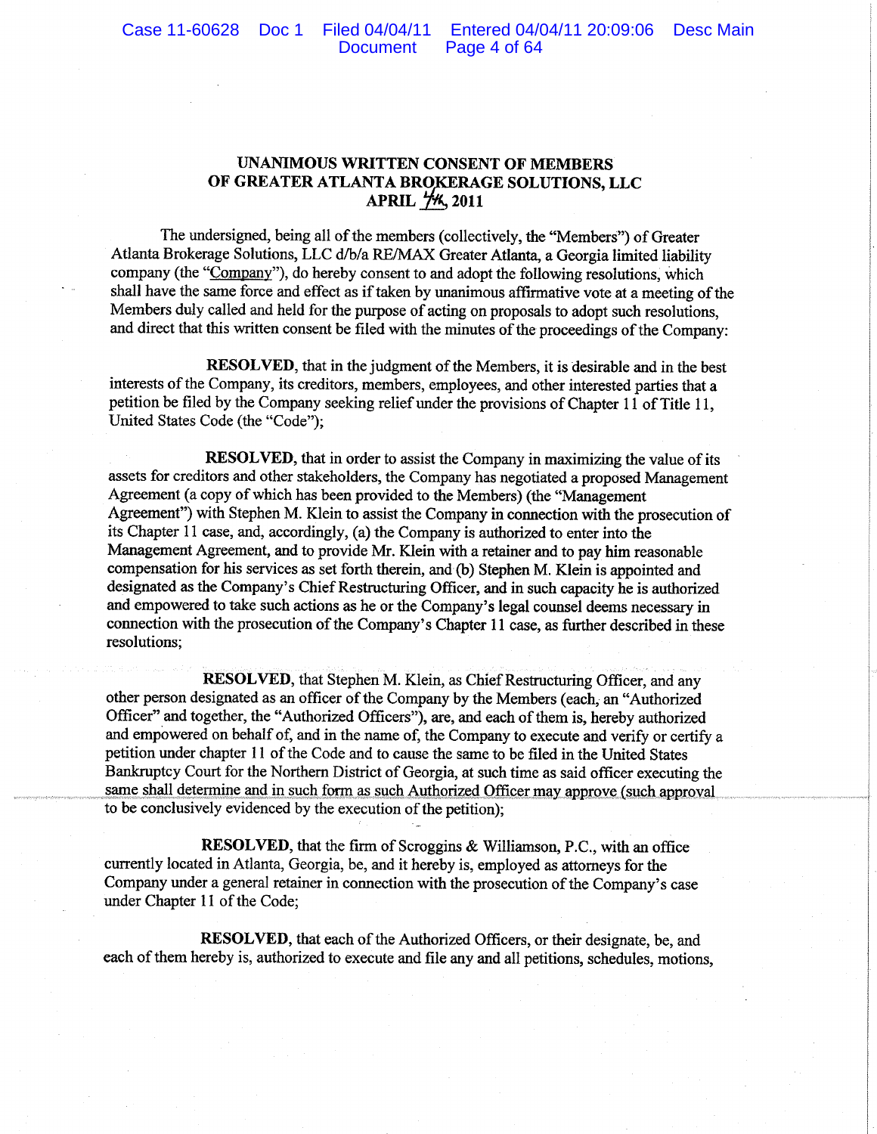## UNANIMOUS WRITTEN CONSENT OF MEMBERS OF GREATER ATLANTA BROKERAGE SOLUTIONS, LLC APRIL 7%, 2011

The undersigned, being all of the members (collectively, the "Members") of Greater Atlanta Brokerage Solutions, LLC d/b/a RE/MAX Greater Atlanta, a Georgia limited liability company (the "Company"), do hereby consent to and adopt the following resolutions, which shall have the same force and effect as if taken by unanimous affirmative vote at a meeting of the Members duly called and held for the purpose of acting on proposals to adopt such resolutions, and direct that this written consent be filed with the minutes of the proceedings of the Company:

RESOLVED, that in the judgment of the Members, it is desirable and in the best interests of the Company, its creditors, members, employees, and other interested parties that a petition be filed by the Company seeking relief under the provisions of Chapter 11 of Title 11. United States Code (the "Code");

**RESOLVED**, that in order to assist the Company in maximizing the value of its assets for creditors and other stakeholders, the Company has negotiated a proposed Management Agreement (a copy of which has been provided to the Members) (the "Management" Agreement") with Stephen M. Klein to assist the Company in connection with the prosecution of its Chapter 11 case, and, accordingly, (a) the Company is authorized to enter into the Management Agreement, and to provide Mr. Klein with a retainer and to pay him reasonable compensation for his services as set forth therein, and (b) Stephen M. Klein is appointed and designated as the Company's Chief Restructuring Officer, and in such capacity he is authorized and empowered to take such actions as he or the Company's legal counsel deems necessary in connection with the prosecution of the Company's Chapter 11 case, as further described in these resolutions;

**RESOLVED**, that Stephen M. Klein, as Chief Restructuring Officer, and any other person designated as an officer of the Company by the Members (each, an "Authorized Officer" and together, the "Authorized Officers"), are, and each of them is, hereby authorized and empowered on behalf of, and in the name of, the Company to execute and verify or certify a petition under chapter 11 of the Code and to cause the same to be filed in the United States Bankruptcy Court for the Northern District of Georgia, at such time as said officer executing the same shall determine and in such form as such Authorized Officer may approve (such approval to be conclusively evidenced by the execution of the petition);

**RESOLVED**, that the firm of Scroggins & Williamson, P.C., with an office currently located in Atlanta, Georgia, be, and it hereby is, employed as attorneys for the Company under a general retainer in connection with the prosecution of the Company's case under Chapter 11 of the Code;

**RESOLVED**, that each of the Authorized Officers, or their designate, be, and each of them hereby is, authorized to execute and file any and all petitions, schedules, motions,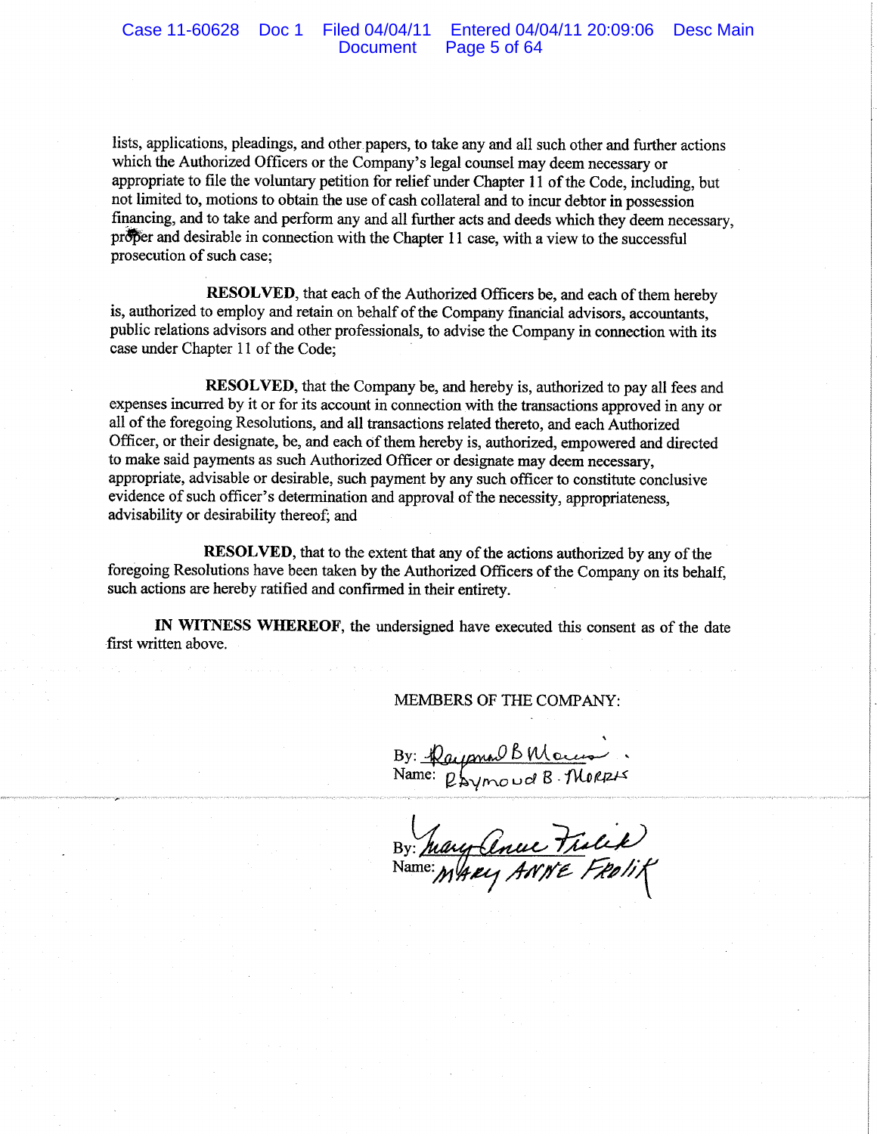lists, applications, pleadings, and other papers, to take any and all such other and further actions which the Authorized Officers or the Company's legal counsel may deem necessary or appropriate to file the voluntary petition for relief under Chapter 11 of the Code, including, but not limited to, motions to obtain the use of cash collateral and to incur debtor in possession financing, and to take and perform any and all further acts and deeds which they deem necessary, proper and desirable in connection with the Chapter 11 case, with a view to the successful prosecution of such case;

**RESOLVED**, that each of the Authorized Officers be, and each of them hereby is, authorized to employ and retain on behalf of the Company financial advisors, accountants, public relations advisors and other professionals, to advise the Company in connection with its case under Chapter 11 of the Code;

RESOLVED, that the Company be, and hereby is, authorized to pay all fees and expenses incurred by it or for its account in connection with the transactions approved in any or all of the foregoing Resolutions, and all transactions related thereto, and each Authorized Officer, or their designate, be, and each of them hereby is, authorized, empowered and directed to make said payments as such Authorized Officer or designate may deem necessary. appropriate, advisable or desirable, such payment by any such officer to constitute conclusive evidence of such officer's determination and approval of the necessity, appropriateness, advisability or desirability thereof; and

RESOLVED, that to the extent that any of the actions authorized by any of the foregoing Resolutions have been taken by the Authorized Officers of the Company on its behalf, such actions are hereby ratified and confirmed in their entirety.

IN WITNESS WHEREOF, the undersigned have executed this consent as of the date first written above.

#### MEMBERS OF THE COMPANY:

By: Daymond BMounier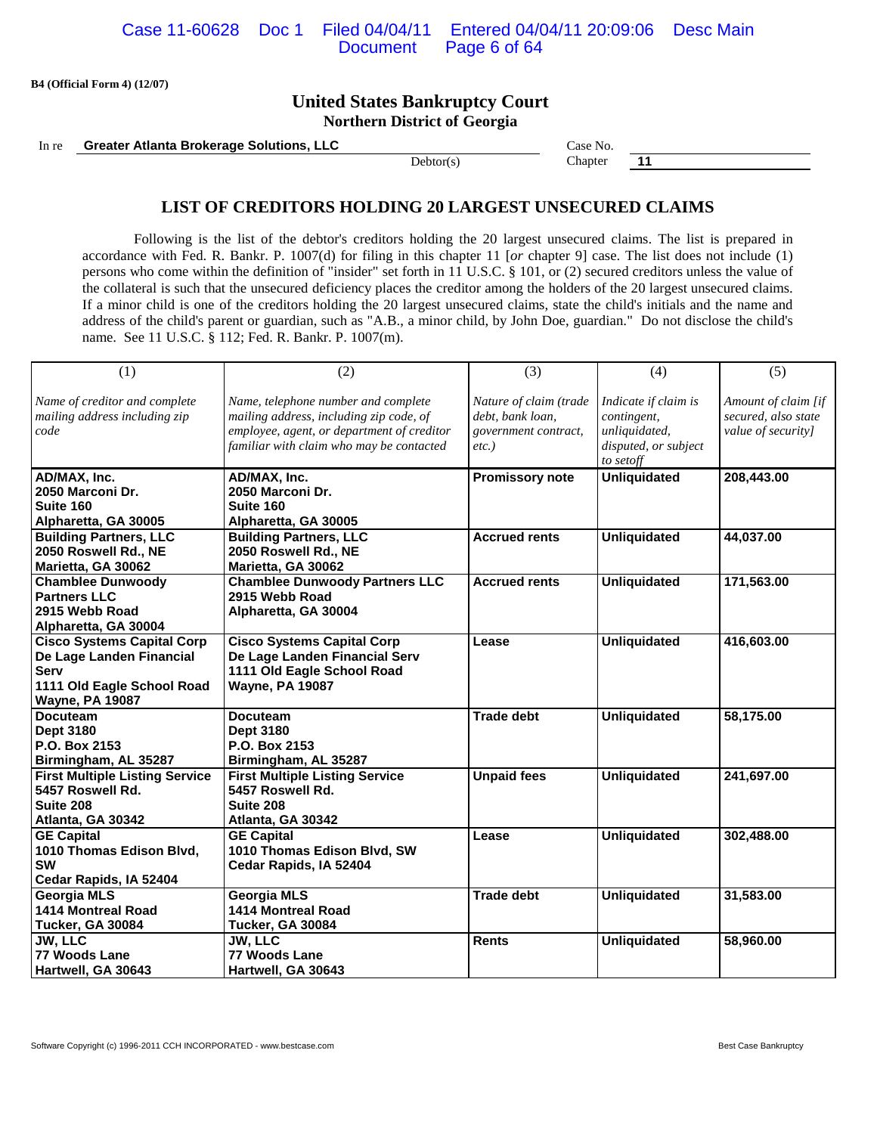Case 11-60628 Doc 1 Filed 04/04/11 Entered 04/04/11 20:09:06 Desc Main Page 6 of 64

**B4 (Official Form 4) (12/07)**

# **United States Bankruptcy Court**

**Northern District of Georgia**

In re **Greater Atlanta Brokerage Solutions, LLC** Case No.

Debtor(s) Chapter **11**

## **LIST OF CREDITORS HOLDING 20 LARGEST UNSECURED CLAIMS**

Following is the list of the debtor's creditors holding the 20 largest unsecured claims. The list is prepared in accordance with Fed. R. Bankr. P. 1007(d) for filing in this chapter 11 [*or* chapter 9] case. The list does not include (1) persons who come within the definition of "insider" set forth in 11 U.S.C. § 101, or (2) secured creditors unless the value of the collateral is such that the unsecured deficiency places the creditor among the holders of the 20 largest unsecured claims. If a minor child is one of the creditors holding the 20 largest unsecured claims, state the child's initials and the name and address of the child's parent or guardian, such as "A.B., a minor child, by John Doe, guardian." Do not disclose the child's name. See 11 U.S.C. § 112; Fed. R. Bankr. P. 1007(m).

| (1)                                                                    | (2)                                                                                                                                                                      | (3)                                                                            | (4)                                                                                       | (5)                                                              |
|------------------------------------------------------------------------|--------------------------------------------------------------------------------------------------------------------------------------------------------------------------|--------------------------------------------------------------------------------|-------------------------------------------------------------------------------------------|------------------------------------------------------------------|
| Name of creditor and complete<br>mailing address including zip<br>code | Name, telephone number and complete<br>mailing address, including zip code, of<br>employee, agent, or department of creditor<br>familiar with claim who may be contacted | Nature of claim (trade<br>debt, bank loan,<br>government contract,<br>$etc.$ ) | Indicate if claim is<br>contingent,<br>unliquidated,<br>disputed, or subject<br>to setoff | Amount of claim [if<br>secured, also state<br>value of security] |
| AD/MAX, Inc.                                                           | AD/MAX, Inc.                                                                                                                                                             | <b>Promissory note</b>                                                         | <b>Unliquidated</b>                                                                       | 208,443.00                                                       |
| 2050 Marconi Dr.                                                       | 2050 Marconi Dr.                                                                                                                                                         |                                                                                |                                                                                           |                                                                  |
| Suite 160                                                              | Suite 160                                                                                                                                                                |                                                                                |                                                                                           |                                                                  |
| Alpharetta, GA 30005<br><b>Building Partners, LLC</b>                  | Alpharetta, GA 30005<br><b>Building Partners, LLC</b>                                                                                                                    | <b>Accrued rents</b>                                                           | <b>Unliquidated</b>                                                                       | 44,037.00                                                        |
| 2050 Roswell Rd., NE                                                   | 2050 Roswell Rd., NE                                                                                                                                                     |                                                                                |                                                                                           |                                                                  |
| Marietta, GA 30062                                                     | Marietta, GA 30062                                                                                                                                                       |                                                                                |                                                                                           |                                                                  |
| <b>Chamblee Dunwoody</b>                                               | <b>Chamblee Dunwoody Partners LLC</b>                                                                                                                                    | <b>Accrued rents</b>                                                           | <b>Unliquidated</b>                                                                       | 171,563.00                                                       |
| <b>Partners LLC</b>                                                    | 2915 Webb Road                                                                                                                                                           |                                                                                |                                                                                           |                                                                  |
| 2915 Webb Road                                                         | Alpharetta, GA 30004                                                                                                                                                     |                                                                                |                                                                                           |                                                                  |
| Alpharetta, GA 30004                                                   |                                                                                                                                                                          |                                                                                |                                                                                           |                                                                  |
| <b>Cisco Systems Capital Corp</b>                                      | <b>Cisco Systems Capital Corp</b>                                                                                                                                        | Lease                                                                          | <b>Unliquidated</b>                                                                       | 416,603.00                                                       |
| De Lage Landen Financial                                               | De Lage Landen Financial Serv                                                                                                                                            |                                                                                |                                                                                           |                                                                  |
| <b>Serv</b>                                                            | 1111 Old Eagle School Road                                                                                                                                               |                                                                                |                                                                                           |                                                                  |
| 1111 Old Eagle School Road                                             | <b>Wayne, PA 19087</b>                                                                                                                                                   |                                                                                |                                                                                           |                                                                  |
| <b>Wayne, PA 19087</b>                                                 |                                                                                                                                                                          |                                                                                |                                                                                           |                                                                  |
| <b>Docuteam</b>                                                        | <b>Docuteam</b>                                                                                                                                                          | <b>Trade debt</b>                                                              | <b>Unliquidated</b>                                                                       | 58,175.00                                                        |
| <b>Dept 3180</b>                                                       | <b>Dept 3180</b>                                                                                                                                                         |                                                                                |                                                                                           |                                                                  |
| P.O. Box 2153                                                          | P.O. Box 2153                                                                                                                                                            |                                                                                |                                                                                           |                                                                  |
| Birmingham, AL 35287                                                   | Birmingham, AL 35287                                                                                                                                                     |                                                                                |                                                                                           |                                                                  |
| <b>First Multiple Listing Service</b>                                  | <b>First Multiple Listing Service</b>                                                                                                                                    | <b>Unpaid fees</b>                                                             | <b>Unliquidated</b>                                                                       | 241,697.00                                                       |
| 5457 Roswell Rd.                                                       | 5457 Roswell Rd.                                                                                                                                                         |                                                                                |                                                                                           |                                                                  |
| Suite 208                                                              | Suite 208                                                                                                                                                                |                                                                                |                                                                                           |                                                                  |
| Atlanta, GA 30342<br><b>GE Capital</b>                                 | Atlanta, GA 30342<br><b>GE Capital</b>                                                                                                                                   | Lease                                                                          | <b>Unliquidated</b>                                                                       | 302,488.00                                                       |
| 1010 Thomas Edison Blvd,                                               | 1010 Thomas Edison Blvd, SW                                                                                                                                              |                                                                                |                                                                                           |                                                                  |
| <b>SW</b>                                                              | Cedar Rapids, IA 52404                                                                                                                                                   |                                                                                |                                                                                           |                                                                  |
| Cedar Rapids, IA 52404                                                 |                                                                                                                                                                          |                                                                                |                                                                                           |                                                                  |
| <b>Georgia MLS</b>                                                     | <b>Georgia MLS</b>                                                                                                                                                       | <b>Trade debt</b>                                                              | <b>Unliquidated</b>                                                                       | 31,583.00                                                        |
| 1414 Montreal Road                                                     | <b>1414 Montreal Road</b>                                                                                                                                                |                                                                                |                                                                                           |                                                                  |
| <b>Tucker, GA 30084</b>                                                | <b>Tucker, GA 30084</b>                                                                                                                                                  |                                                                                |                                                                                           |                                                                  |
| JW, LLC                                                                | JW, LLC                                                                                                                                                                  | Rents                                                                          | <b>Unliquidated</b>                                                                       | 58,960.00                                                        |
| 77 Woods Lane                                                          | 77 Woods Lane                                                                                                                                                            |                                                                                |                                                                                           |                                                                  |
| Hartwell, GA 30643                                                     | Hartwell, GA 30643                                                                                                                                                       |                                                                                |                                                                                           |                                                                  |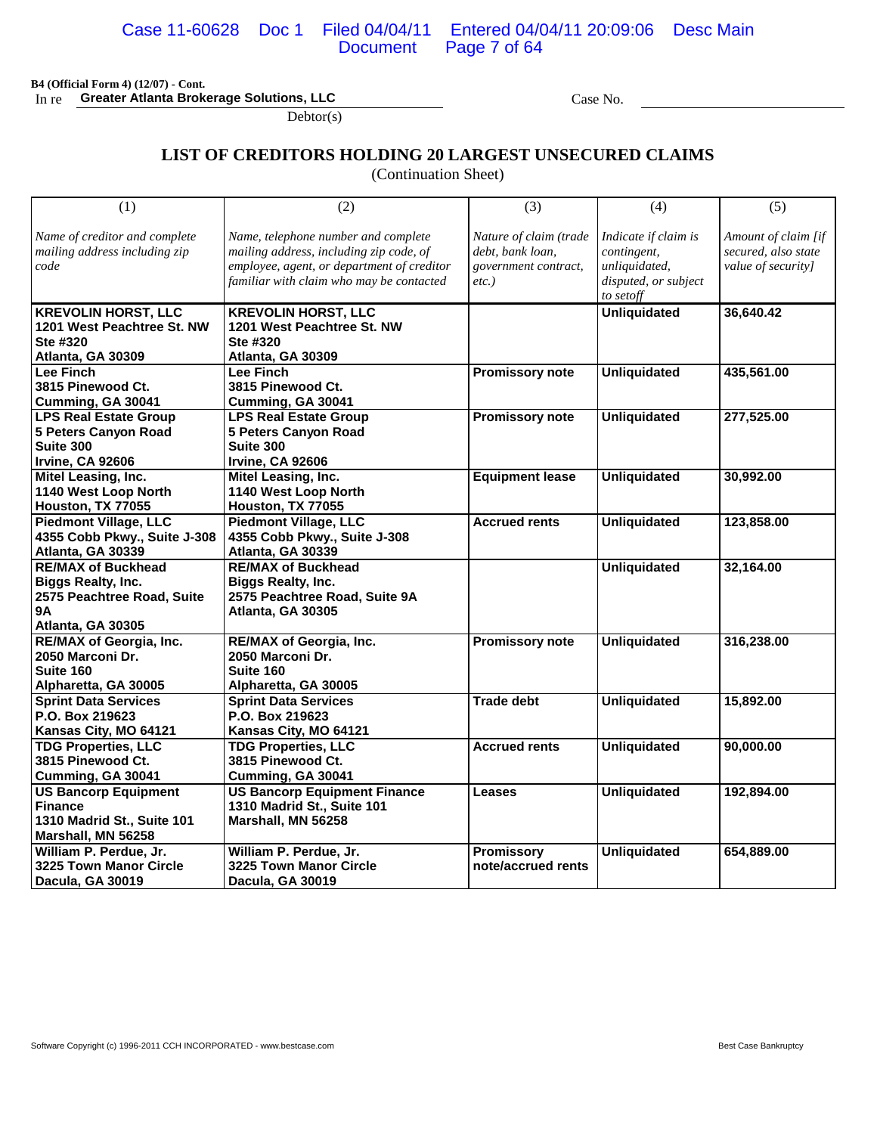Case 11-60628 Doc 1 Filed 04/04/11 Entered 04/04/11 20:09:06 Desc Main<br>Document Page 7 of 64 Page 7 of 64

**B4 (Official Form 4) (12/07) - Cont.**

In re **Greater Atlanta Brokerage Solutions, LLC** Case No. Case No.

Debtor(s)

# **LIST OF CREDITORS HOLDING 20 LARGEST UNSECURED CLAIMS**

(Continuation Sheet)

| (1)                                                                    | (2)                                                                                                                                                                      | (3)                                                                            | (4)                                                                                       | (5)                                                              |
|------------------------------------------------------------------------|--------------------------------------------------------------------------------------------------------------------------------------------------------------------------|--------------------------------------------------------------------------------|-------------------------------------------------------------------------------------------|------------------------------------------------------------------|
| Name of creditor and complete<br>mailing address including zip<br>code | Name, telephone number and complete<br>mailing address, including zip code, of<br>employee, agent, or department of creditor<br>familiar with claim who may be contacted | Nature of claim (trade<br>debt, bank loan,<br>government contract,<br>$etc.$ ) | Indicate if claim is<br>contingent,<br>unliquidated,<br>disputed, or subject<br>to setoff | Amount of claim [if<br>secured, also state<br>value of security] |
| <b>KREVOLIN HORST, LLC</b>                                             | <b>KREVOLIN HORST, LLC</b>                                                                                                                                               |                                                                                | <b>Unliquidated</b>                                                                       | 36,640.42                                                        |
| 1201 West Peachtree St. NW                                             | 1201 West Peachtree St. NW                                                                                                                                               |                                                                                |                                                                                           |                                                                  |
| Ste #320                                                               | Ste #320                                                                                                                                                                 |                                                                                |                                                                                           |                                                                  |
| Atlanta, GA 30309                                                      | Atlanta, GA 30309                                                                                                                                                        |                                                                                |                                                                                           |                                                                  |
| <b>Lee Finch</b>                                                       | <b>Lee Finch</b>                                                                                                                                                         | <b>Promissory note</b>                                                         | <b>Unliquidated</b>                                                                       | 435,561.00                                                       |
| 3815 Pinewood Ct.                                                      | <b>3815 Pinewood Ct.</b>                                                                                                                                                 |                                                                                |                                                                                           |                                                                  |
| Cumming, GA 30041                                                      | Cumming, GA 30041                                                                                                                                                        |                                                                                |                                                                                           |                                                                  |
| <b>LPS Real Estate Group</b>                                           | <b>LPS Real Estate Group</b>                                                                                                                                             | <b>Promissory note</b>                                                         | <b>Unliquidated</b>                                                                       | 277,525.00                                                       |
| 5 Peters Canyon Road                                                   | 5 Peters Canyon Road                                                                                                                                                     |                                                                                |                                                                                           |                                                                  |
| <b>Suite 300</b>                                                       | <b>Suite 300</b>                                                                                                                                                         |                                                                                |                                                                                           |                                                                  |
| Irvine, CA 92606                                                       | Irvine, CA 92606                                                                                                                                                         |                                                                                |                                                                                           |                                                                  |
| Mitel Leasing, Inc.                                                    | Mitel Leasing, Inc.                                                                                                                                                      | <b>Equipment lease</b>                                                         | <b>Unliquidated</b>                                                                       | 30,992.00                                                        |
| 1140 West Loop North                                                   | 1140 West Loop North                                                                                                                                                     |                                                                                |                                                                                           |                                                                  |
| Houston, TX 77055                                                      | Houston, TX 77055                                                                                                                                                        |                                                                                |                                                                                           |                                                                  |
| <b>Piedmont Village, LLC</b>                                           | <b>Piedmont Village, LLC</b>                                                                                                                                             | <b>Accrued rents</b>                                                           | <b>Unliquidated</b>                                                                       | 123,858.00                                                       |
| 4355 Cobb Pkwy., Suite J-308                                           | 4355 Cobb Pkwy., Suite J-308                                                                                                                                             |                                                                                |                                                                                           |                                                                  |
| Atlanta, GA 30339                                                      | Atlanta, GA 30339                                                                                                                                                        |                                                                                |                                                                                           |                                                                  |
| <b>RE/MAX of Buckhead</b>                                              | <b>RE/MAX of Buckhead</b>                                                                                                                                                |                                                                                | <b>Unliquidated</b>                                                                       | 32,164.00                                                        |
| <b>Biggs Realty, Inc.</b>                                              | <b>Biggs Realty, Inc.</b>                                                                                                                                                |                                                                                |                                                                                           |                                                                  |
| 2575 Peachtree Road, Suite                                             | 2575 Peachtree Road, Suite 9A                                                                                                                                            |                                                                                |                                                                                           |                                                                  |
| 9Α                                                                     | Atlanta, GA 30305                                                                                                                                                        |                                                                                |                                                                                           |                                                                  |
| Atlanta, GA 30305                                                      |                                                                                                                                                                          |                                                                                |                                                                                           |                                                                  |
| RE/MAX of Georgia, Inc.                                                | <b>RE/MAX of Georgia, Inc.</b>                                                                                                                                           | <b>Promissory note</b>                                                         | <b>Unliquidated</b>                                                                       | 316,238.00                                                       |
| 2050 Marconi Dr.                                                       | 2050 Marconi Dr.                                                                                                                                                         |                                                                                |                                                                                           |                                                                  |
| Suite 160                                                              | Suite 160                                                                                                                                                                |                                                                                |                                                                                           |                                                                  |
| Alpharetta, GA 30005                                                   | Alpharetta, GA 30005                                                                                                                                                     |                                                                                |                                                                                           |                                                                  |
| <b>Sprint Data Services</b>                                            | <b>Sprint Data Services</b>                                                                                                                                              | <b>Trade debt</b>                                                              | <b>Unliquidated</b>                                                                       | 15,892.00                                                        |
| P.O. Box 219623                                                        | P.O. Box 219623                                                                                                                                                          |                                                                                |                                                                                           |                                                                  |
| Kansas City, MO 64121                                                  | Kansas City, MO 64121                                                                                                                                                    |                                                                                |                                                                                           |                                                                  |
| <b>TDG Properties, LLC</b>                                             | <b>TDG Properties, LLC</b>                                                                                                                                               | <b>Accrued rents</b>                                                           | <b>Unliquidated</b>                                                                       | 90,000.00                                                        |
| 3815 Pinewood Ct.                                                      | 3815 Pinewood Ct.                                                                                                                                                        |                                                                                |                                                                                           |                                                                  |
| Cumming, GA 30041                                                      | Cumming, GA 30041                                                                                                                                                        |                                                                                |                                                                                           |                                                                  |
| <b>US Bancorp Equipment</b>                                            | <b>US Bancorp Equipment Finance</b>                                                                                                                                      | Leases                                                                         | <b>Unliquidated</b>                                                                       | 192,894.00                                                       |
| <b>Finance</b>                                                         | 1310 Madrid St., Suite 101                                                                                                                                               |                                                                                |                                                                                           |                                                                  |
| 1310 Madrid St., Suite 101<br>Marshall, MN 56258                       | Marshall, MN 56258                                                                                                                                                       |                                                                                |                                                                                           |                                                                  |
| William P. Perdue, Jr.                                                 | William P. Perdue, Jr.                                                                                                                                                   | <b>Promissory</b>                                                              | <b>Unliquidated</b>                                                                       | 654,889.00                                                       |
| 3225 Town Manor Circle                                                 | 3225 Town Manor Circle                                                                                                                                                   | note/accrued rents                                                             |                                                                                           |                                                                  |
| Dacula, GA 30019                                                       | Dacula, GA 30019                                                                                                                                                         |                                                                                |                                                                                           |                                                                  |
|                                                                        |                                                                                                                                                                          |                                                                                |                                                                                           |                                                                  |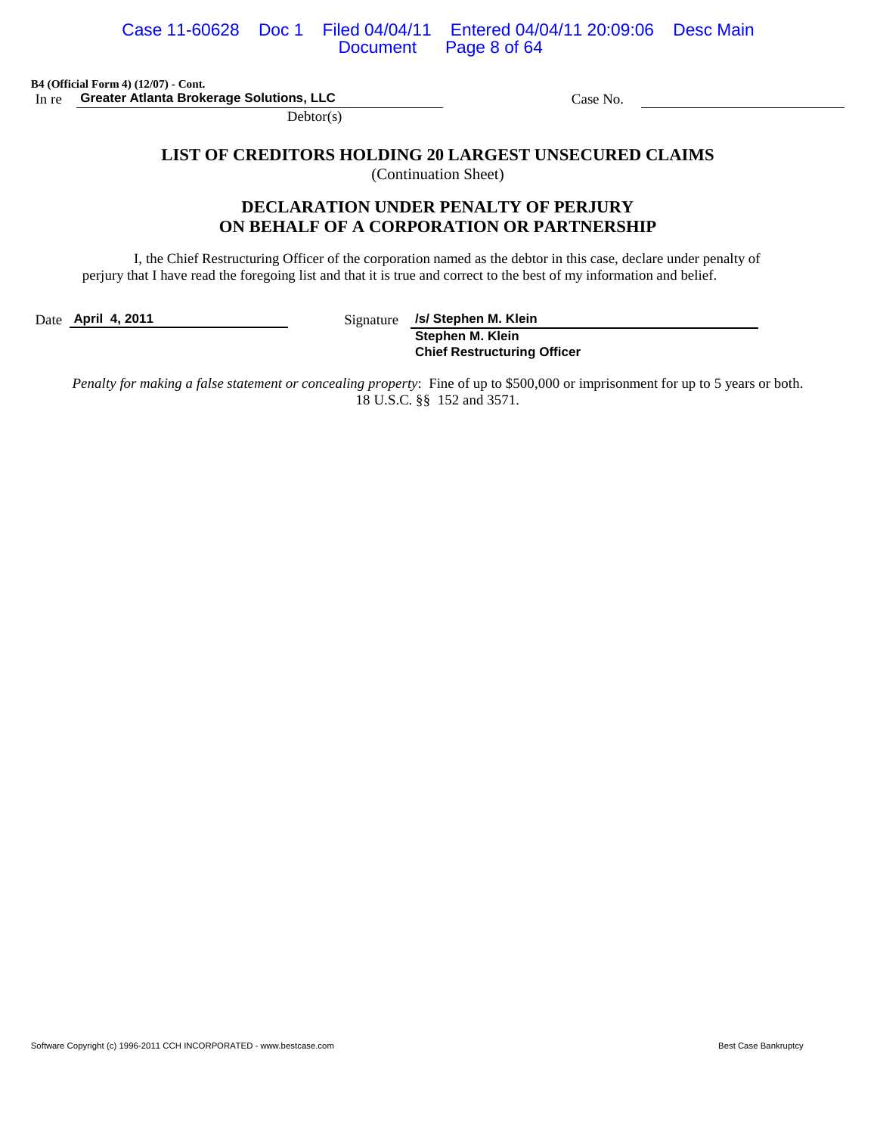Case 11-60628 Doc 1 Filed 04/04/11 Entered 04/04/11 20:09:06 Desc Main Page 8 of 64

**B4 (Official Form 4) (12/07) - Cont.** In re **Greater Atlanta Brokerage Solutions, LLC** Case No. Case No.

Debtor(s)

## **LIST OF CREDITORS HOLDING 20 LARGEST UNSECURED CLAIMS**

(Continuation Sheet)

## **DECLARATION UNDER PENALTY OF PERJURY ON BEHALF OF A CORPORATION OR PARTNERSHIP**

I, the Chief Restructuring Officer of the corporation named as the debtor in this case, declare under penalty of perjury that I have read the foregoing list and that it is true and correct to the best of my information and belief.

Date **April 4, 2011** Signature *Isl* Stephen M. Klein **Stephen M. Klein**

#### **Chief Restructuring Officer**

*Penalty for making a false statement or concealing property*: Fine of up to \$500,000 or imprisonment for up to 5 years or both. 18 U.S.C. §§ 152 and 3571.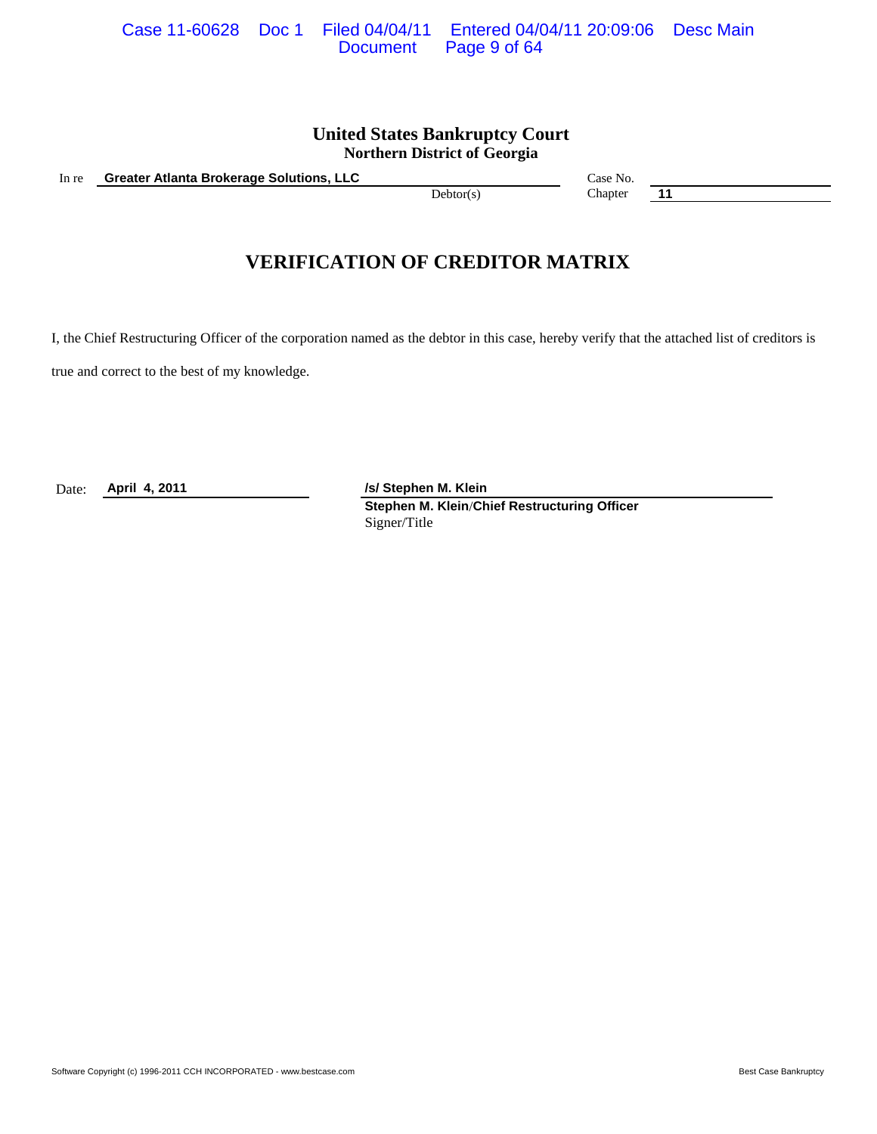Software Copyright (c) 1996-2011 CCH INCORPORATED - www.bestcase.com **Best Case Bankruptcy** Best Case Bankruptcy

## Case 11-60628 Doc 1 Filed 04/04/11 Entered 04/04/11 20:09:06 Desc Main Page 9 of 64

## **United States Bankruptcy Court Northern District of Georgia**

In re **Greater Atlanta Brokerage Solutions, LLC** Case No. Case No. Debtor(s) Chapter **11** 

# **VERIFICATION OF CREDITOR MATRIX**

I, the Chief Restructuring Officer of the corporation named as the debtor in this case, hereby verify that the attached list of creditors is true and correct to the best of my knowledge.

Date: **April 4, 2011** */s/ Stephen M. Klein* 

**Stephen M. Klein**/**Chief Restructuring Officer** Signer/Title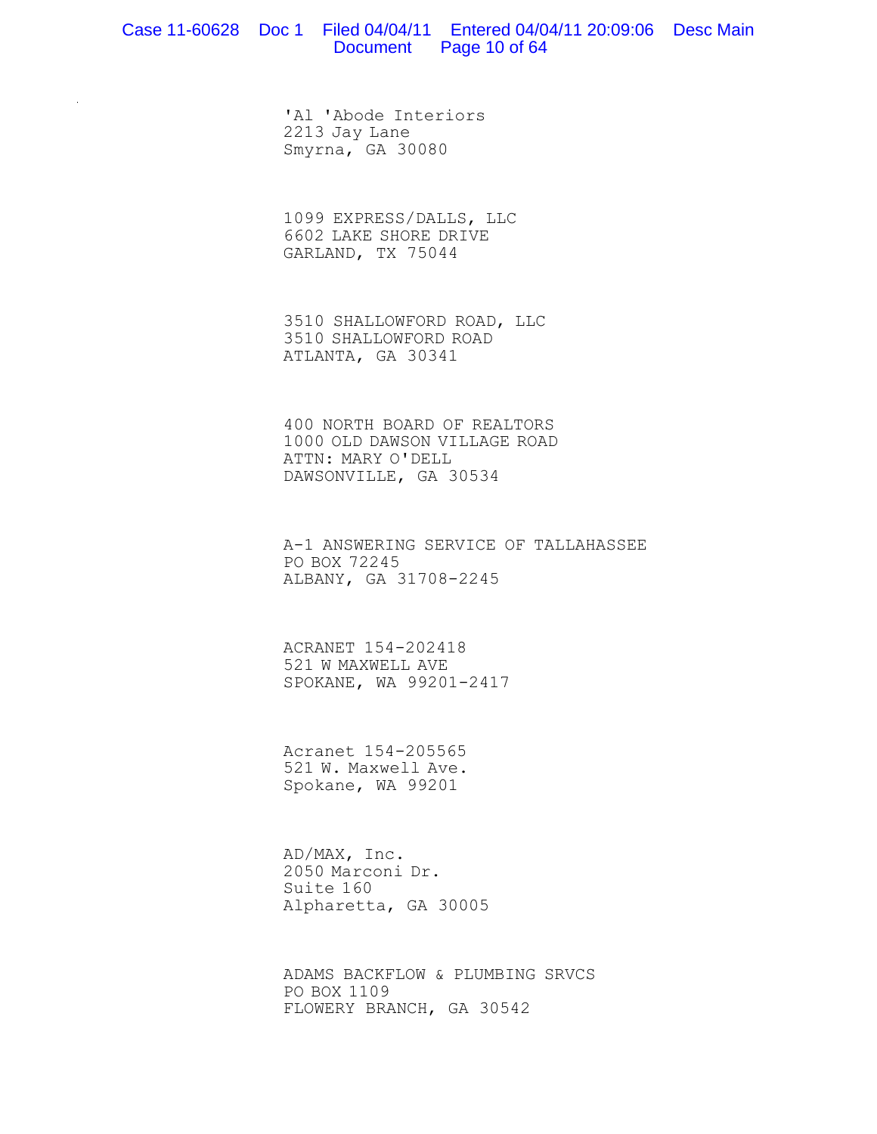## Case 11-60628 Doc 1 Filed 04/04/11 Entered 04/04/11 20:09:06 Desc Main Document Page 10 of 64

'Al 'Abode Interiors 2213 Jay Lane Smyrna, GA 30080

1099 EXPRESS/DALLS, LLC 6602 LAKE SHORE DRIVE GARLAND, TX 75044

3510 SHALLOWFORD ROAD, LLC 3510 SHALLOWFORD ROAD ATLANTA, GA 30341

400 NORTH BOARD OF REALTORS 1000 OLD DAWSON VILLAGE ROAD ATTN: MARY O'DELL DAWSONVILLE, GA 30534

A-1 ANSWERING SERVICE OF TALLAHASSEE PO BOX 72245 ALBANY, GA 31708-2245

ACRANET 154-202418 521 W MAXWELL AVE SPOKANE, WA 99201-2417

Acranet 154-205565 521 W. Maxwell Ave. Spokane, WA 99201

AD/MAX, Inc. 2050 Marconi Dr. Suite 160 Alpharetta, GA 30005

ADAMS BACKFLOW & PLUMBING SRVCS PO BOX 1109 FLOWERY BRANCH, GA 30542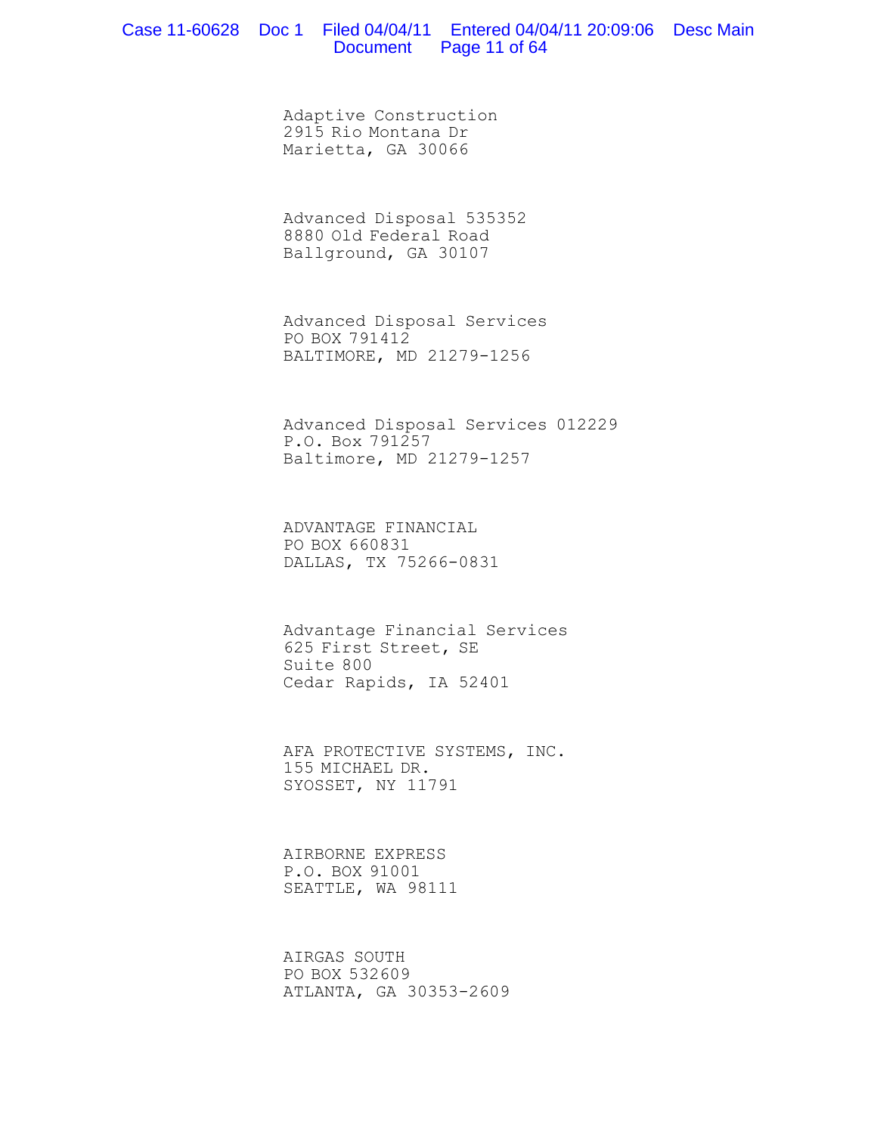## Case 11-60628 Doc 1 Filed 04/04/11 Entered 04/04/11 20:09:06 Desc Main Document Page 11 of 64

Adaptive Construction 2915 Rio Montana Dr Marietta, GA 30066

Advanced Disposal 535352 8880 Old Federal Road Ballground, GA 30107

Advanced Disposal Services PO BOX 791412 BALTIMORE, MD 21279-1256

Advanced Disposal Services 012229 P.O. Box 791257 Baltimore, MD 21279-1257

ADVANTAGE FINANCIAL PO BOX 660831 DALLAS, TX 75266-0831

Advantage Financial Services 625 First Street, SE Suite 800 Cedar Rapids, IA 52401

AFA PROTECTIVE SYSTEMS, INC. 155 MICHAEL DR. SYOSSET, NY 11791

AIRBORNE EXPRESS P.O. BOX 91001 SEATTLE, WA 98111

AIRGAS SOUTH PO BOX 532609 ATLANTA, GA 30353-2609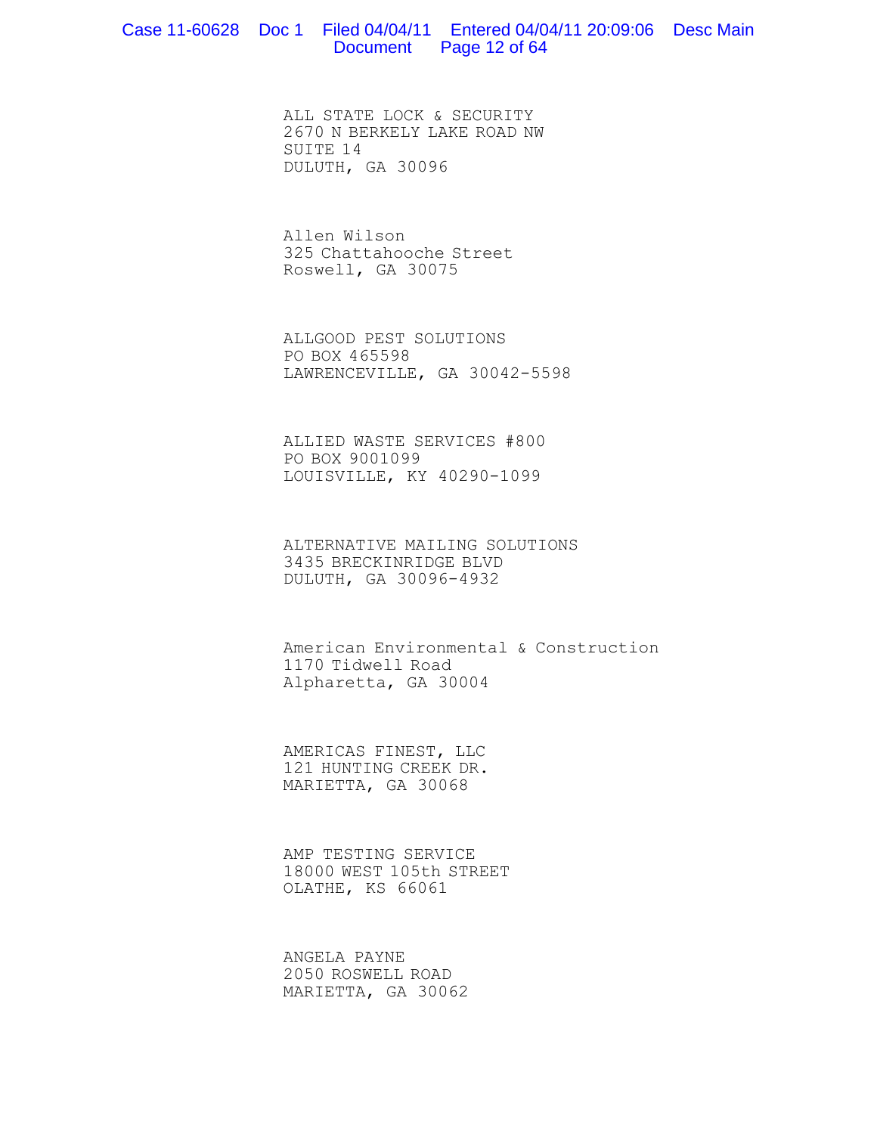## Case 11-60628 Doc 1 Filed 04/04/11 Entered 04/04/11 20:09:06 Desc Main Document Page 12 of 64

ALL STATE LOCK & SECURITY 2670 N BERKELY LAKE ROAD NW SUITE 14 DULUTH, GA 30096

Allen Wilson 325 Chattahooche Street Roswell, GA 30075

ALLGOOD PEST SOLUTIONS PO BOX 465598 LAWRENCEVILLE, GA 30042-5598

ALLIED WASTE SERVICES #800 PO BOX 9001099 LOUISVILLE, KY 40290-1099

ALTERNATIVE MAILING SOLUTIONS 3435 BRECKINRIDGE BLVD DULUTH, GA 30096-4932

American Environmental & Construction 1170 Tidwell Road Alpharetta, GA 30004

AMERICAS FINEST, LLC 121 HUNTING CREEK DR. MARIETTA, GA 30068

AMP TESTING SERVICE 18000 WEST 105th STREET OLATHE, KS 66061

ANGELA PAYNE 2050 ROSWELL ROAD MARIETTA, GA 30062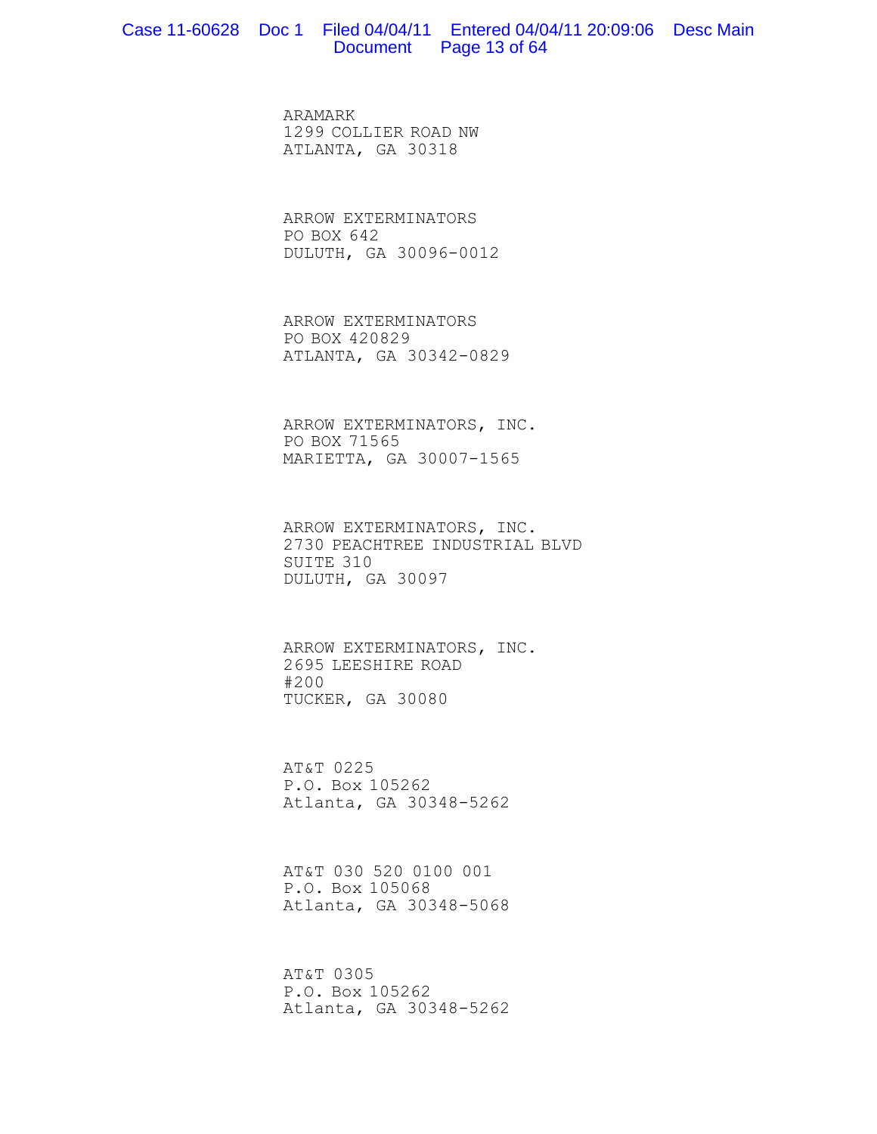## Case 11-60628 Doc 1 Filed 04/04/11 Entered 04/04/11 20:09:06 Desc Main Document Page 13 of 64

ARAMARK 1299 COLLIER ROAD NW ATLANTA, GA 30318

ARROW EXTERMINATORS PO BOX 642 DULUTH, GA 30096-0012

ARROW EXTERMINATORS PO BOX 420829 ATLANTA, GA 30342-0829

ARROW EXTERMINATORS, INC. PO BOX 71565 MARIETTA, GA 30007-1565

ARROW EXTERMINATORS, INC. 2730 PEACHTREE INDUSTRIAL BLVD SUITE 310 DULUTH, GA 30097

ARROW EXTERMINATORS, INC. 2695 LEESHIRE ROAD #200 TUCKER, GA 30080

AT&T 0225 P.O. Box 105262 Atlanta, GA 30348-5262

AT&T 030 520 0100 001 P.O. Box 105068 Atlanta, GA 30348-5068

AT&T 0305 P.O. Box 105262 Atlanta, GA 30348-5262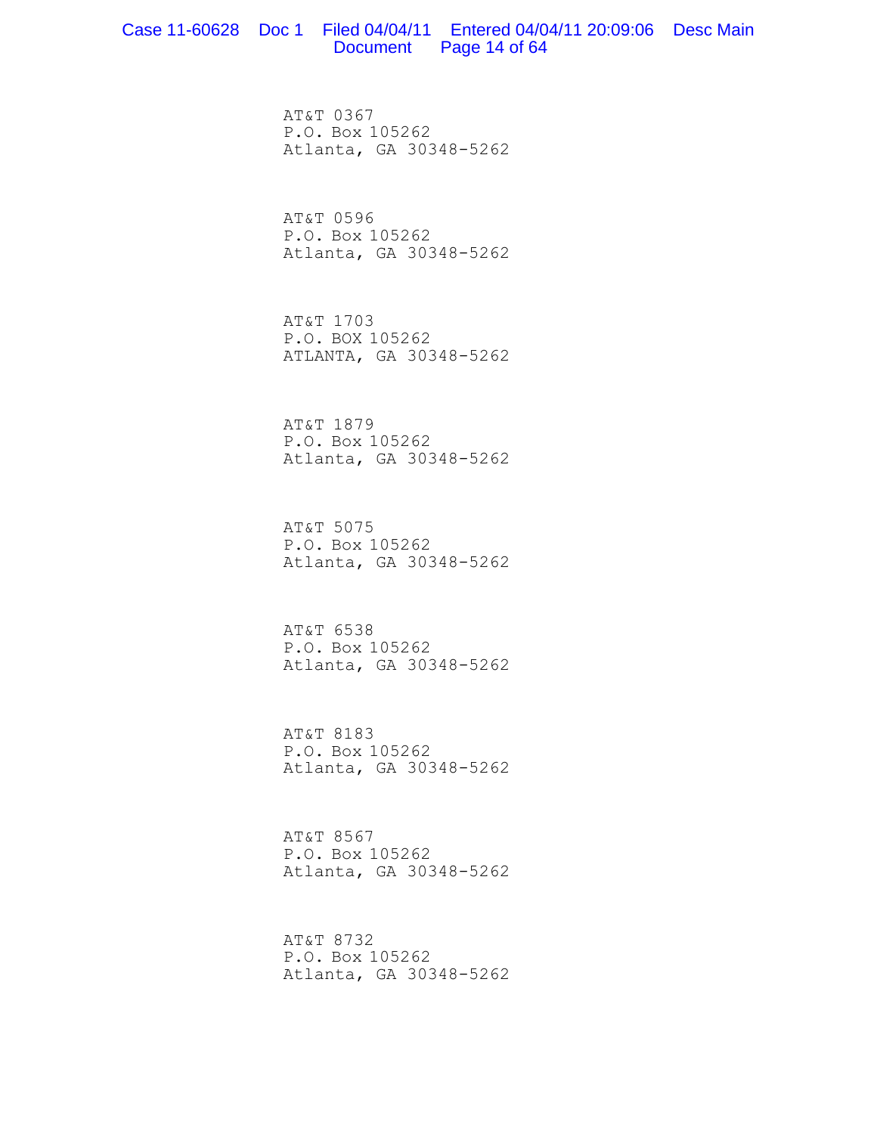## Case 11-60628 Doc 1 Filed 04/04/11 Entered 04/04/11 20:09:06 Desc Main Document Page 14 of 64

AT&T 0367 P.O. Box 105262 Atlanta, GA 30348-5262

AT&T 0596 P.O. Box 105262 Atlanta, GA 30348-5262

AT&T 1703 P.O. BOX 105262 ATLANTA, GA 30348-5262

AT&T 1879 P.O. Box 105262 Atlanta, GA 30348-5262

AT&T 5075 P.O. Box 105262 Atlanta, GA 30348-5262

AT&T 6538 P.O. Box 105262 Atlanta, GA 30348-5262

AT&T 8183 P.O. Box 105262 Atlanta, GA 30348-5262

AT&T 8567 P.O. Box 105262 Atlanta, GA 30348-5262

AT&T 8732 P.O. Box 105262 Atlanta, GA 30348-5262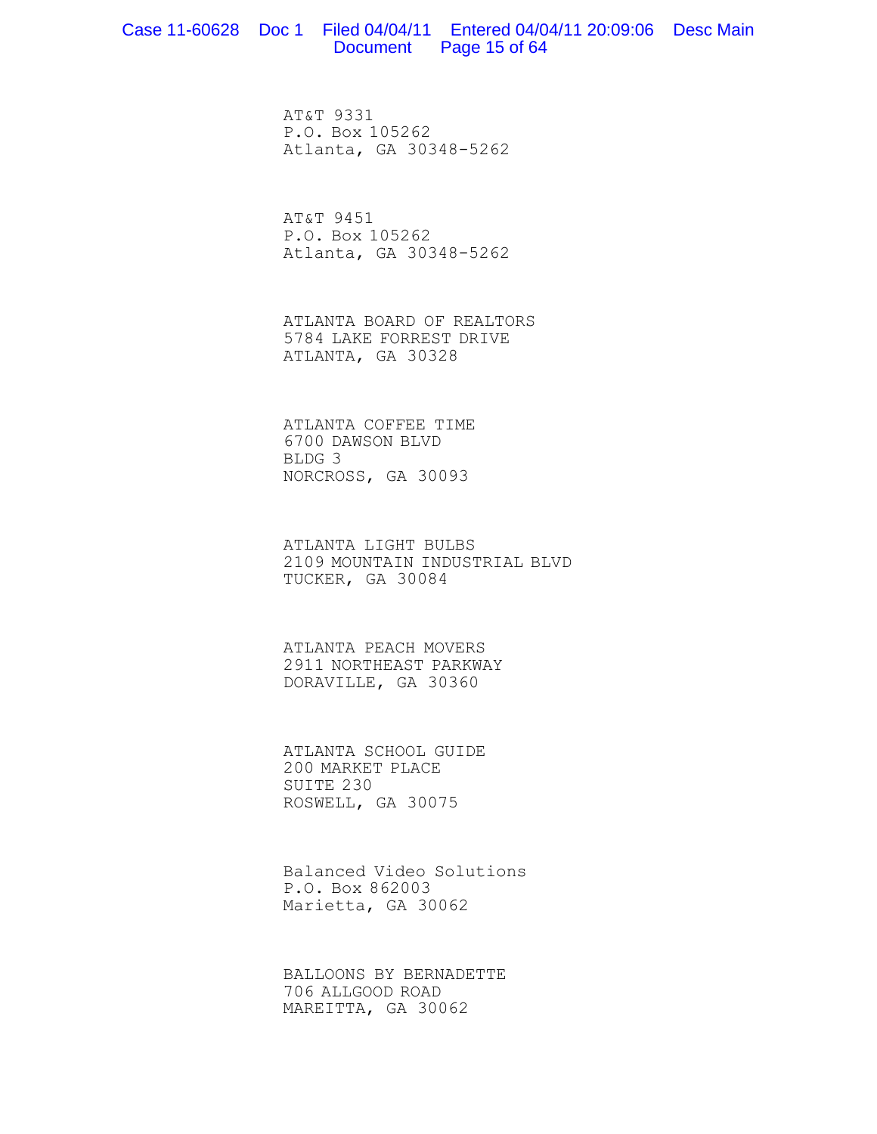## Case 11-60628 Doc 1 Filed 04/04/11 Entered 04/04/11 20:09:06 Desc Main Document Page 15 of 64

AT&T 9331 P.O. Box 105262 Atlanta, GA 30348-5262

AT&T 9451 P.O. Box 105262 Atlanta, GA 30348-5262

ATLANTA BOARD OF REALTORS 5784 LAKE FORREST DRIVE ATLANTA, GA 30328

ATLANTA COFFEE TIME 6700 DAWSON BLVD BLDG 3 NORCROSS, GA 30093

ATLANTA LIGHT BULBS 2109 MOUNTAIN INDUSTRIAL BLVD TUCKER, GA 30084

ATLANTA PEACH MOVERS 2911 NORTHEAST PARKWAY DORAVILLE, GA 30360

ATLANTA SCHOOL GUIDE 200 MARKET PLACE SUITE 230 ROSWELL, GA 30075

Balanced Video Solutions P.O. Box 862003 Marietta, GA 30062

BALLOONS BY BERNADETTE 706 ALLGOOD ROAD MAREITTA, GA 30062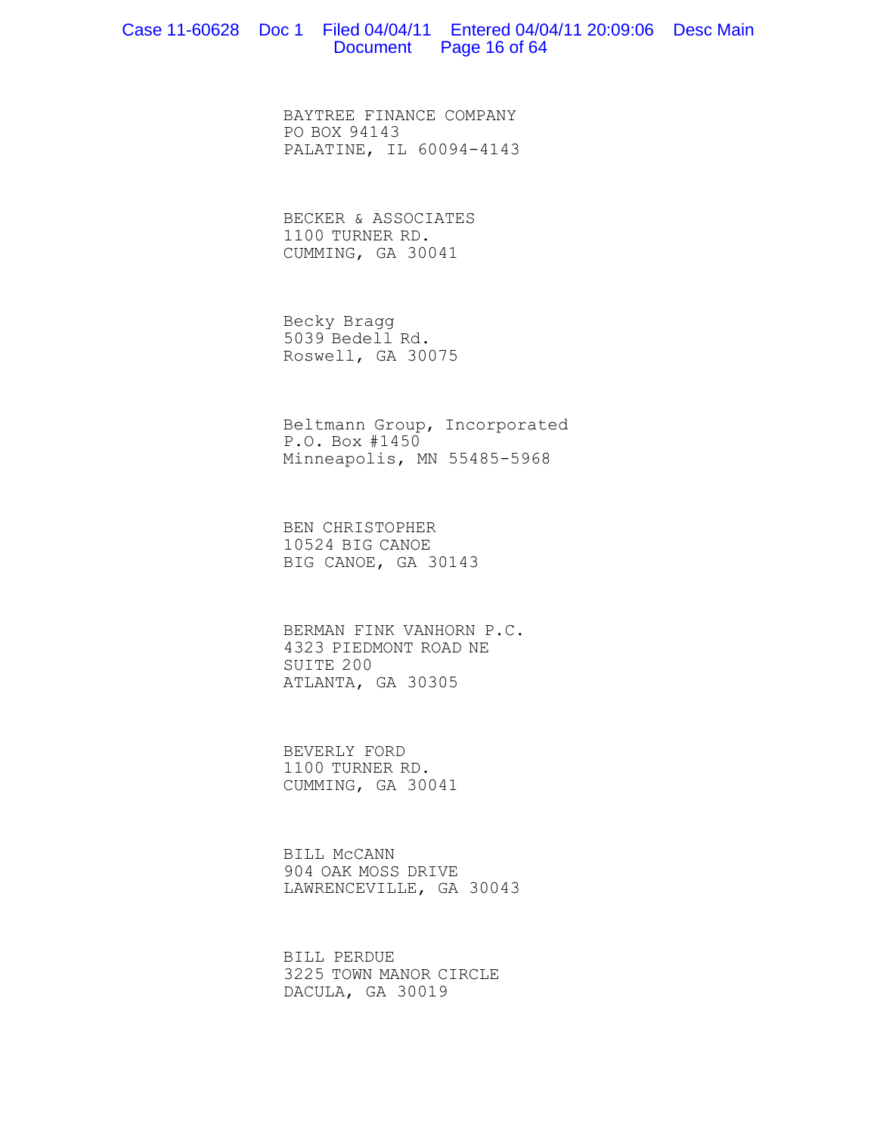## Case 11-60628 Doc 1 Filed 04/04/11 Entered 04/04/11 20:09:06 Desc Main Document Page 16 of 64

BAYTREE FINANCE COMPANY PO BOX 94143 PALATINE, IL 60094-4143

BECKER & ASSOCIATES 1100 TURNER RD. CUMMING, GA 30041

Becky Bragg 5039 Bedell Rd. Roswell, GA 30075

Beltmann Group, Incorporated P.O. Box #1450 Minneapolis, MN 55485-5968

BEN CHRISTOPHER 10524 BIG CANOE BIG CANOE, GA 30143

BERMAN FINK VANHORN P.C. 4323 PIEDMONT ROAD NE SUITE 200 ATLANTA, GA 30305

BEVERLY FORD 1100 TURNER RD. CUMMING, GA 30041

BILL McCANN 904 OAK MOSS DRIVE LAWRENCEVILLE, GA 30043

BILL PERDUE 3225 TOWN MANOR CIRCLE DACULA, GA 30019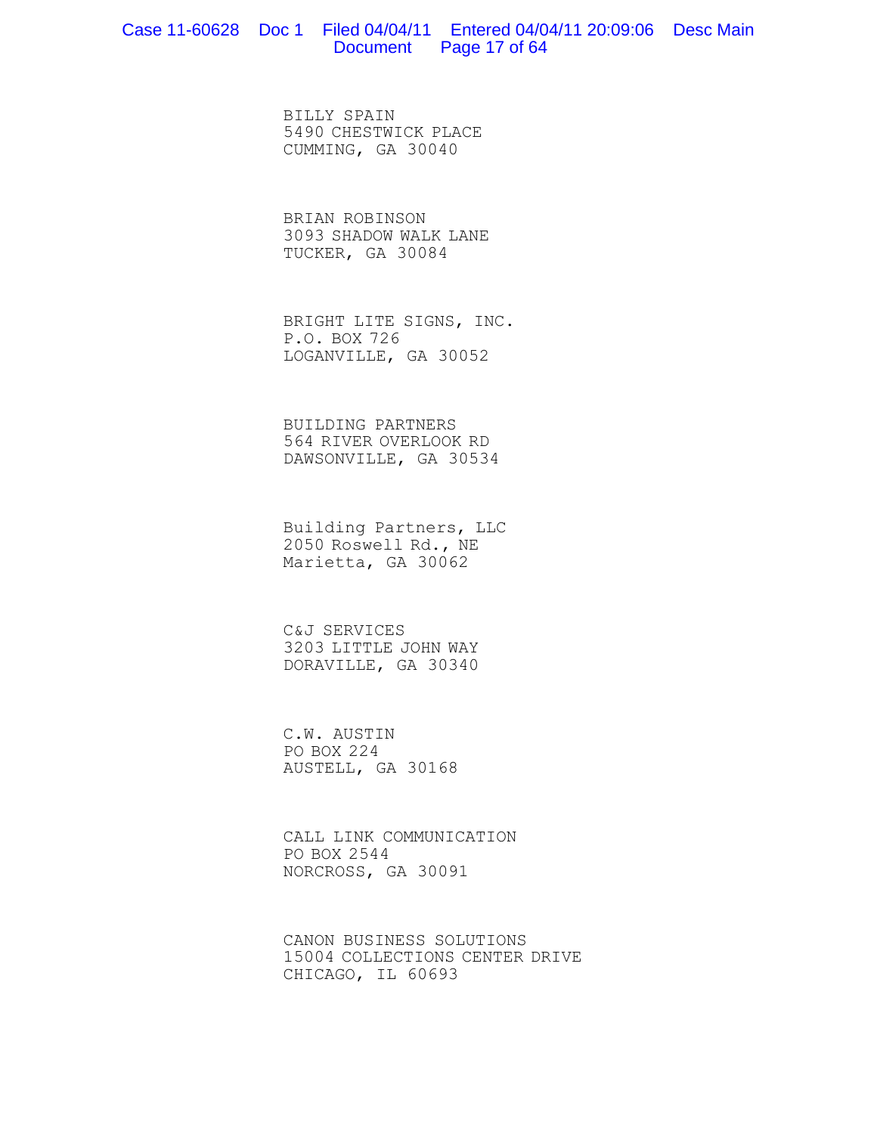## Case 11-60628 Doc 1 Filed 04/04/11 Entered 04/04/11 20:09:06 Desc Main Document Page 17 of 64

BILLY SPAIN 5490 CHESTWICK PLACE CUMMING, GA 30040

BRIAN ROBINSON 3093 SHADOW WALK LANE TUCKER, GA 30084

BRIGHT LITE SIGNS, INC. P.O. BOX 726 LOGANVILLE, GA 30052

BUILDING PARTNERS 564 RIVER OVERLOOK RD DAWSONVILLE, GA 30534

Building Partners, LLC 2050 Roswell Rd., NE Marietta, GA 30062

C&J SERVICES 3203 LITTLE JOHN WAY DORAVILLE, GA 30340

C.W. AUSTIN PO BOX 224 AUSTELL, GA 30168

CALL LINK COMMUNICATION PO BOX 2544 NORCROSS, GA 30091

CANON BUSINESS SOLUTIONS 15004 COLLECTIONS CENTER DRIVE CHICAGO, IL 60693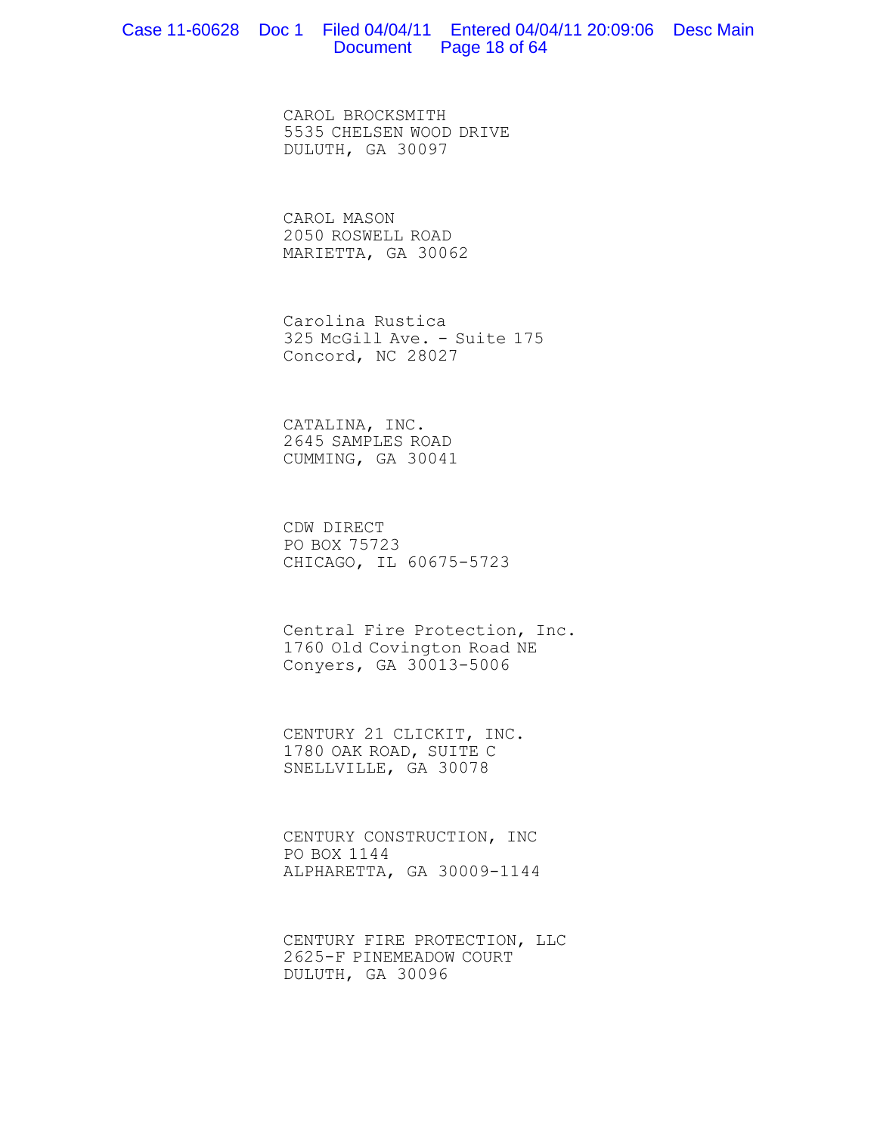## Case 11-60628 Doc 1 Filed 04/04/11 Entered 04/04/11 20:09:06 Desc Main Document Page 18 of 64

CAROL BROCKSMITH 5535 CHELSEN WOOD DRIVE DULUTH, GA 30097

CAROL MASON 2050 ROSWELL ROAD MARIETTA, GA 30062

Carolina Rustica 325 McGill Ave. - Suite 175 Concord, NC 28027

CATALINA, INC. 2645 SAMPLES ROAD CUMMING, GA 30041

CDW DIRECT PO BOX 75723 CHICAGO, IL 60675-5723

Central Fire Protection, Inc. 1760 Old Covington Road NE Conyers, GA 30013-5006

CENTURY 21 CLICKIT, INC. 1780 OAK ROAD, SUITE C SNELLVILLE, GA 30078

CENTURY CONSTRUCTION, INC PO BOX 1144 ALPHARETTA, GA 30009-1144

CENTURY FIRE PROTECTION, LLC 2625-F PINEMEADOW COURT DULUTH, GA 30096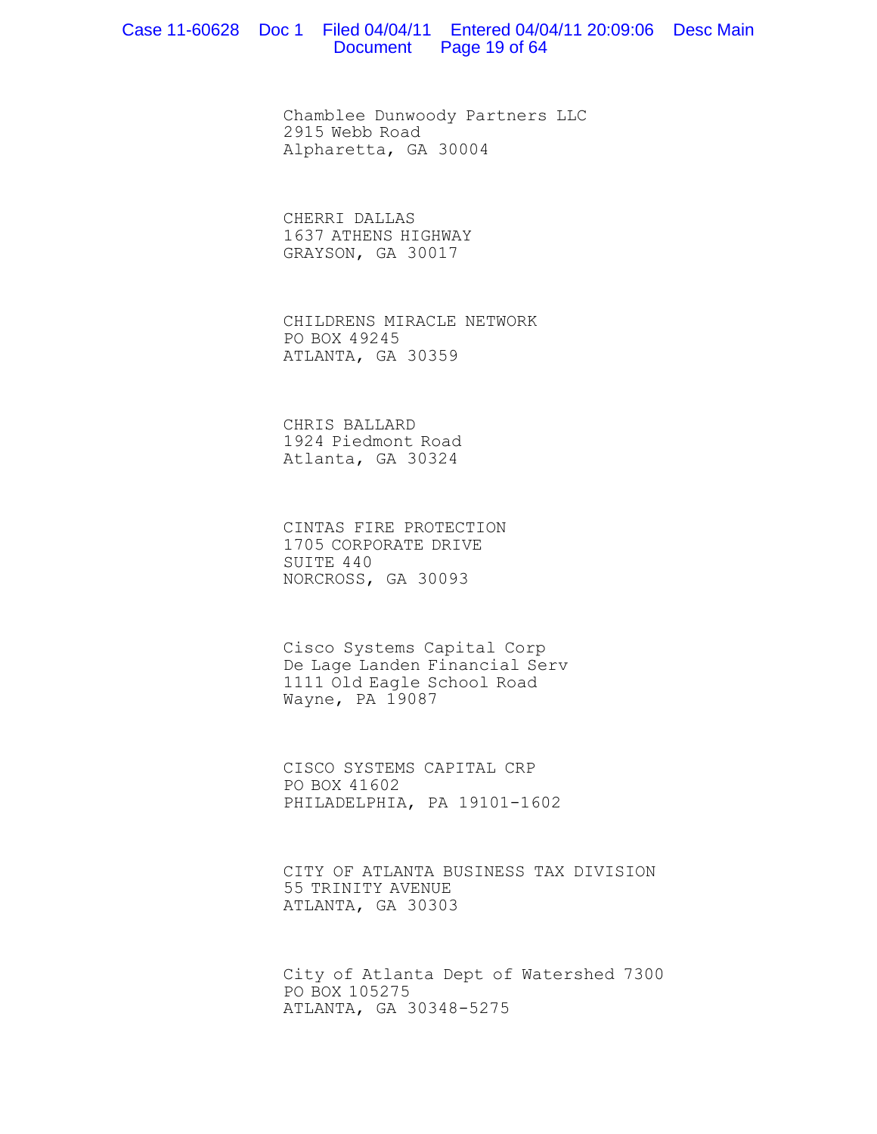## Case 11-60628 Doc 1 Filed 04/04/11 Entered 04/04/11 20:09:06 Desc Main Document Page 19 of 64

Chamblee Dunwoody Partners LLC 2915 Webb Road Alpharetta, GA 30004

CHERRI DALLAS 1637 ATHENS HIGHWAY GRAYSON, GA 30017

CHILDRENS MIRACLE NETWORK PO BOX 49245 ATLANTA, GA 30359

CHRIS BALLARD 1924 Piedmont Road Atlanta, GA 30324

CINTAS FIRE PROTECTION 1705 CORPORATE DRIVE SUITE 440 NORCROSS, GA 30093

Cisco Systems Capital Corp De Lage Landen Financial Serv 1111 Old Eagle School Road Wayne, PA 19087

CISCO SYSTEMS CAPITAL CRP PO BOX 41602 PHILADELPHIA, PA 19101-1602

CITY OF ATLANTA BUSINESS TAX DIVISION 55 TRINITY AVENUE ATLANTA, GA 30303

City of Atlanta Dept of Watershed 7300 PO BOX 105275 ATLANTA, GA 30348-5275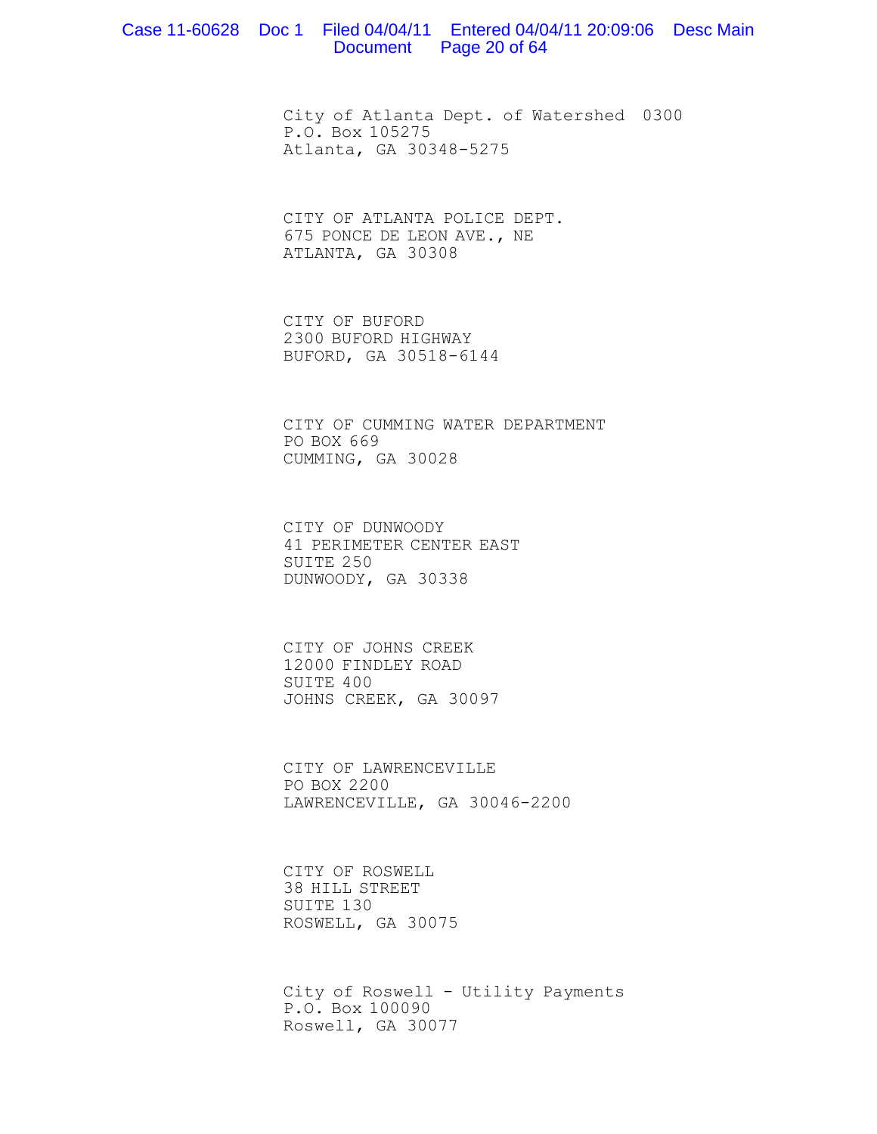## Case 11-60628 Doc 1 Filed 04/04/11 Entered 04/04/11 20:09:06 Desc Main Document Page 20 of 64

City of Atlanta Dept. of Watershed 0300 P.O. Box 105275 Atlanta, GA 30348-5275

CITY OF ATLANTA POLICE DEPT. 675 PONCE DE LEON AVE., NE ATLANTA, GA 30308

CITY OF BUFORD 2300 BUFORD HIGHWAY BUFORD, GA 30518-6144

CITY OF CUMMING WATER DEPARTMENT PO BOX 669 CUMMING, GA 30028

CITY OF DUNWOODY 41 PERIMETER CENTER EAST SUITE 250 DUNWOODY, GA 30338

CITY OF JOHNS CREEK 12000 FINDLEY ROAD SUITE 400 JOHNS CREEK, GA 30097

CITY OF LAWRENCEVILLE PO BOX 2200 LAWRENCEVILLE, GA 30046-2200

CITY OF ROSWELL 38 HILL STREET SUITE 130 ROSWELL, GA 30075

City of Roswell - Utility Payments P.O. Box 100090 Roswell, GA 30077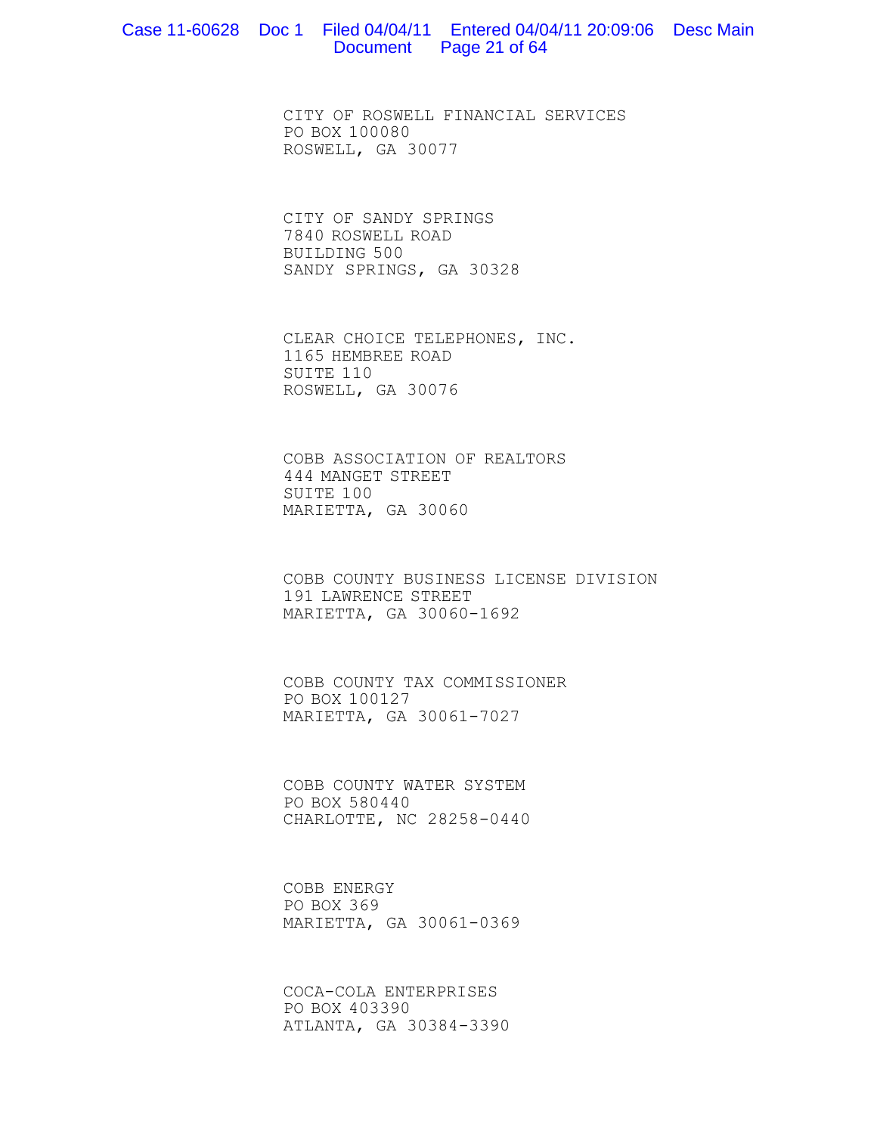## Case 11-60628 Doc 1 Filed 04/04/11 Entered 04/04/11 20:09:06 Desc Main Document Page 21 of 64

CITY OF ROSWELL FINANCIAL SERVICES PO BOX 100080 ROSWELL, GA 30077

CITY OF SANDY SPRINGS 7840 ROSWELL ROAD BUILDING 500 SANDY SPRINGS, GA 30328

CLEAR CHOICE TELEPHONES, INC. 1165 HEMBREE ROAD SUITE 110 ROSWELL, GA 30076

COBB ASSOCIATION OF REALTORS 444 MANGET STREET SUITE 100 MARIETTA, GA 30060

COBB COUNTY BUSINESS LICENSE DIVISION 191 LAWRENCE STREET MARIETTA, GA 30060-1692

COBB COUNTY TAX COMMISSIONER PO BOX 100127 MARIETTA, GA 30061-7027

COBB COUNTY WATER SYSTEM PO BOX 580440 CHARLOTTE, NC 28258-0440

COBB ENERGY PO BOX 369 MARIETTA, GA 30061-0369

COCA-COLA ENTERPRISES PO BOX 403390 ATLANTA, GA 30384-3390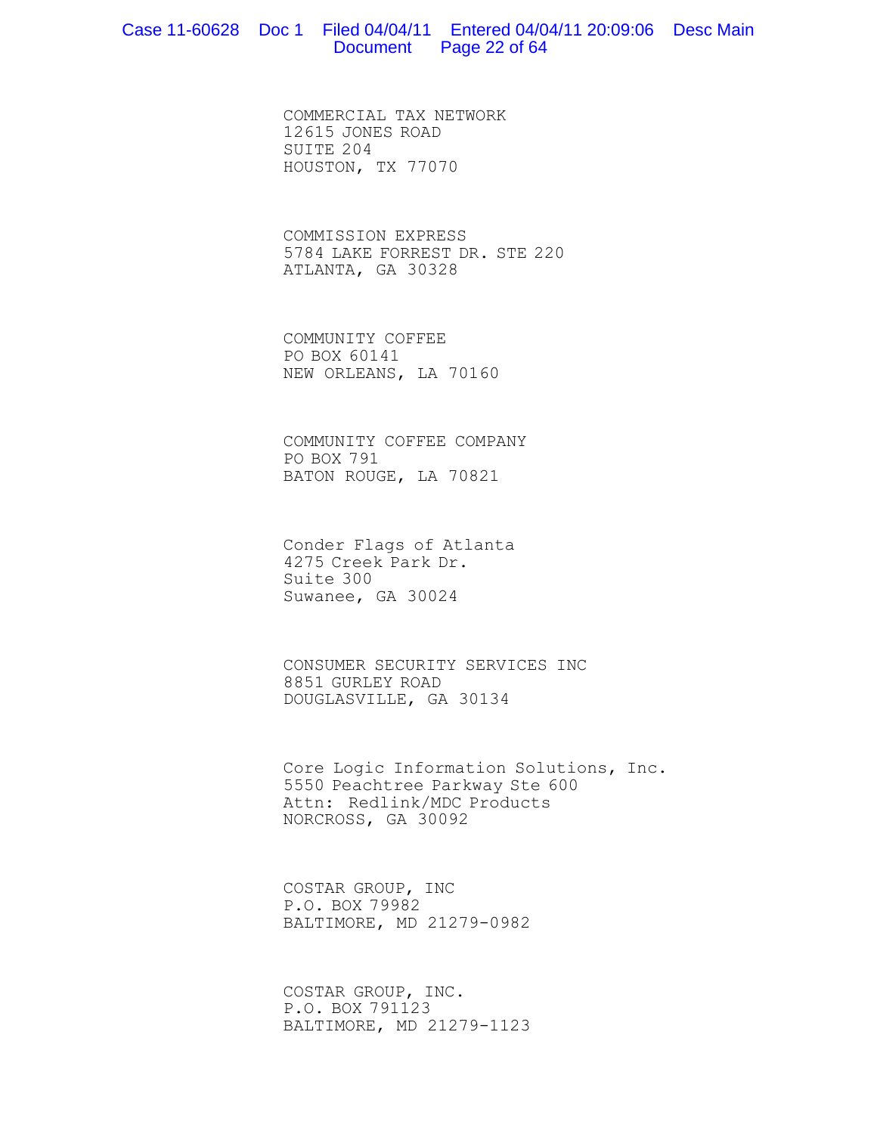## Case 11-60628 Doc 1 Filed 04/04/11 Entered 04/04/11 20:09:06 Desc Main Document Page 22 of 64

COMMERCIAL TAX NETWORK 12615 JONES ROAD SUITE 204 HOUSTON, TX 77070

COMMISSION EXPRESS 5784 LAKE FORREST DR. STE 220 ATLANTA, GA 30328

COMMUNITY COFFEE PO BOX 60141 NEW ORLEANS, LA 70160

COMMUNITY COFFEE COMPANY PO BOX 791 BATON ROUGE, LA 70821

Conder Flags of Atlanta 4275 Creek Park Dr. Suite 300 Suwanee, GA 30024

CONSUMER SECURITY SERVICES INC 8851 GURLEY ROAD DOUGLASVILLE, GA 30134

Core Logic Information Solutions, Inc. 5550 Peachtree Parkway Ste 600 Attn: Redlink/MDC Products NORCROSS, GA 30092

COSTAR GROUP, INC P.O. BOX 79982 BALTIMORE, MD 21279-0982

COSTAR GROUP, INC. P.O. BOX 791123 BALTIMORE, MD 21279-1123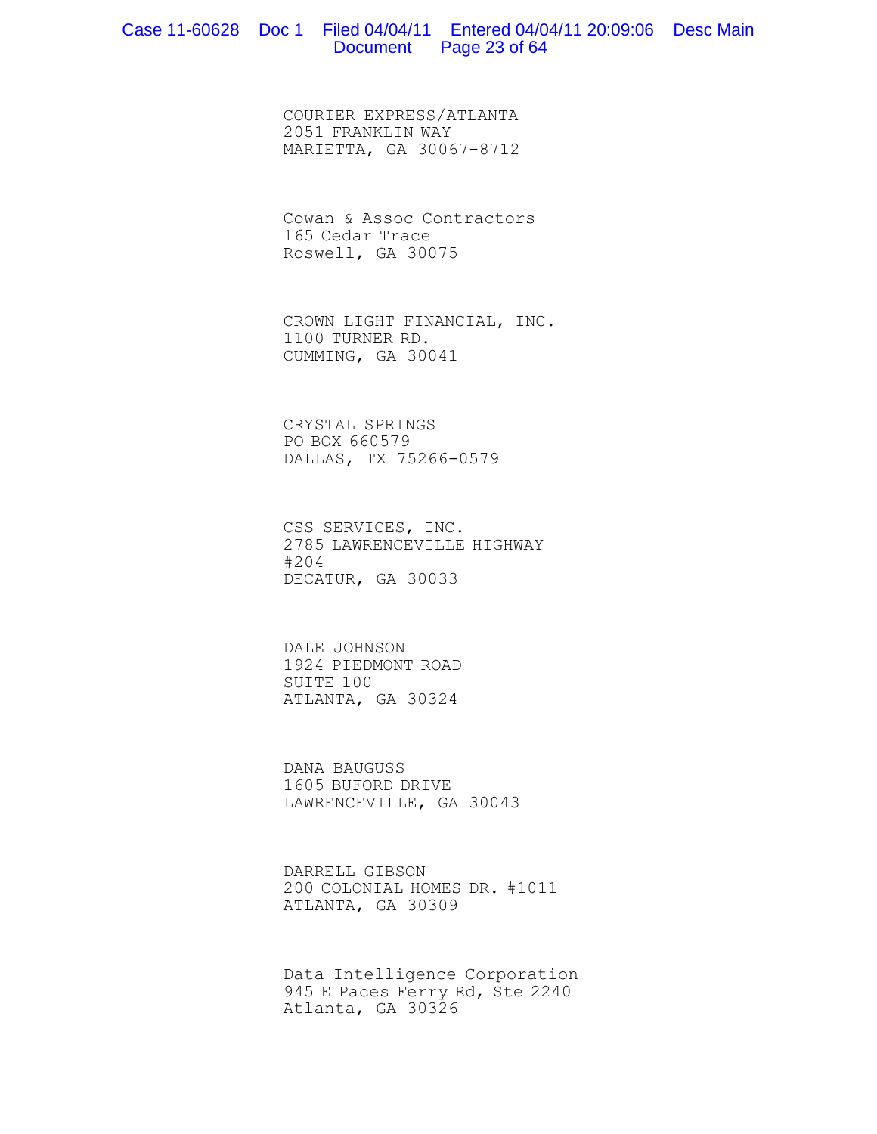## Case 11-60628 Doc 1 Filed 04/04/11 Entered 04/04/11 20:09:06 Desc Main Document Page 23 of 64

COURIER EXPRESS/ATLANTA 2051 FRANKLIN WAY MARIETTA, GA 30067-8712

Cowan & Assoc Contractors 165 Cedar Trace Roswell, GA 30075

CROWN LIGHT FINANCIAL, INC. 1100 TURNER RD. CUMMING, GA 30041

CRYSTAL SPRINGS PO BOX 660579 DALLAS, TX 75266-0579

CSS SERVICES, INC. 2785 LAWRENCEVILLE HIGHWAY #204 DECATUR, GA 30033

DALE JOHNSON 1924 PIEDMONT ROAD SUITE 100 ATLANTA, GA 30324

DANA BAUGUSS 1605 BUFORD DRIVE LAWRENCEVILLE, GA 30043

DARRELL GIBSON 200 COLONIAL HOMES DR. #1011 ATLANTA, GA 30309

Data Intelligence Corporation 945 E Paces Ferry Rd, Ste 2240 Atlanta, GA 30326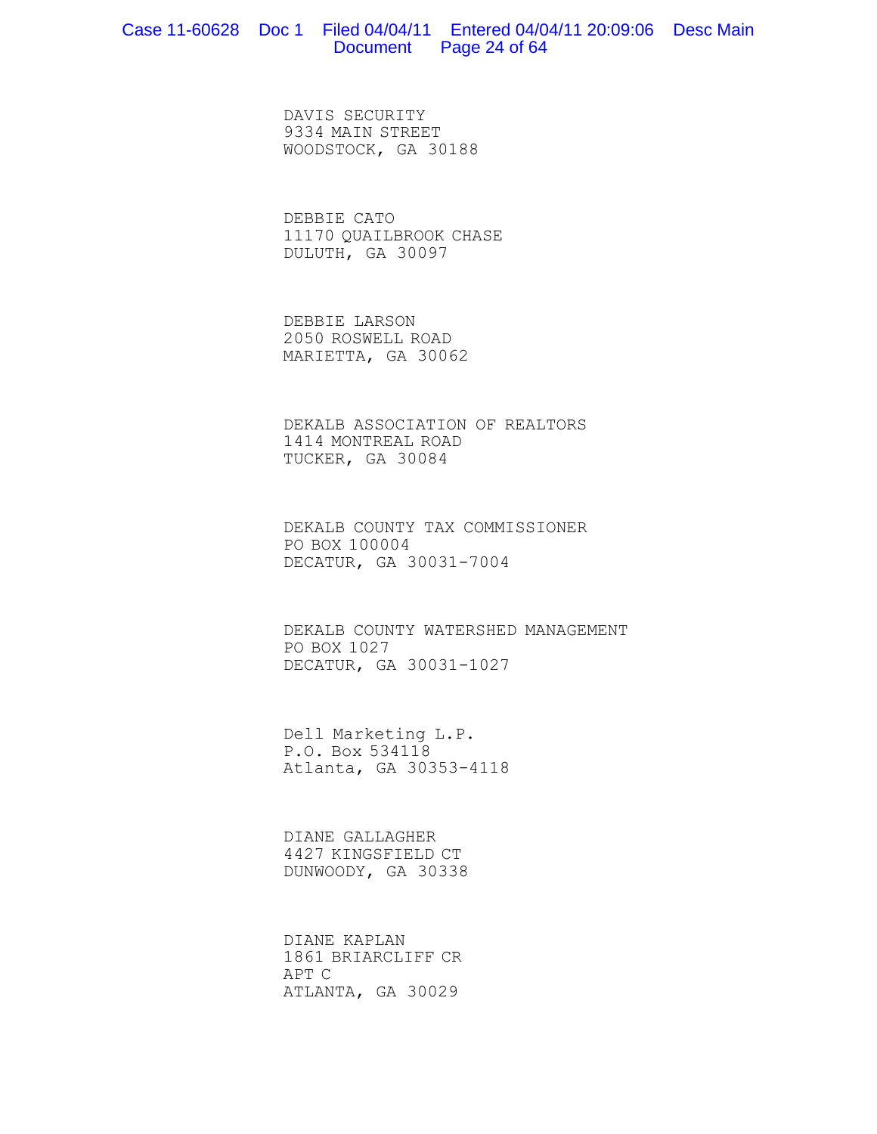## Case 11-60628 Doc 1 Filed 04/04/11 Entered 04/04/11 20:09:06 Desc Main Document Page 24 of 64

DAVIS SECURITY 9334 MAIN STREET WOODSTOCK, GA 30188

DEBBIE CATO 11170 QUAILBROOK CHASE DULUTH, GA 30097

DEBBIE LARSON 2050 ROSWELL ROAD MARIETTA, GA 30062

DEKALB ASSOCIATION OF REALTORS 1414 MONTREAL ROAD TUCKER, GA 30084

DEKALB COUNTY TAX COMMISSIONER PO BOX 100004 DECATUR, GA 30031-7004

DEKALB COUNTY WATERSHED MANAGEMENT PO BOX 1027 DECATUR, GA 30031-1027

Dell Marketing L.P. P.O. Box 534118 Atlanta, GA 30353-4118

DIANE GALLAGHER 4427 KINGSFIELD CT DUNWOODY, GA 30338

DIANE KAPLAN 1861 BRIARCLIFF CR APT C ATLANTA, GA 30029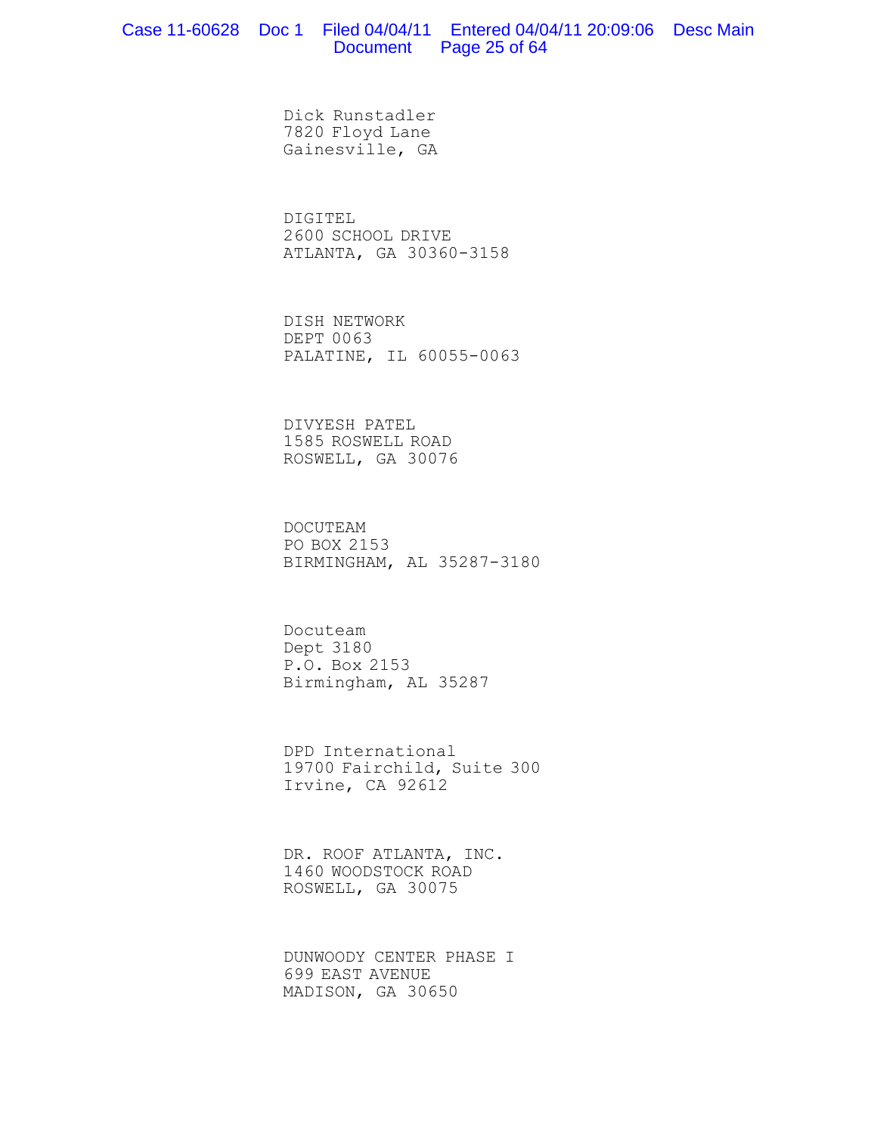## Case 11-60628 Doc 1 Filed 04/04/11 Entered 04/04/11 20:09:06 Desc Main Document Page 25 of 64

Dick Runstadler 7820 Floyd Lane Gainesville, GA

DIGITEL 2600 SCHOOL DRIVE ATLANTA, GA 30360-3158

DISH NETWORK DEPT 0063 PALATINE, IL 60055-0063

DIVYESH PATEL 1585 ROSWELL ROAD ROSWELL, GA 30076

DOCUTEAM PO BOX 2153 BIRMINGHAM, AL 35287-3180

Docuteam Dept 3180 P.O. Box 2153 Birmingham, AL 35287

DPD International 19700 Fairchild, Suite 300 Irvine, CA 92612

DR. ROOF ATLANTA, INC. 1460 WOODSTOCK ROAD ROSWELL, GA 30075

DUNWOODY CENTER PHASE I 699 EAST AVENUE MADISON, GA 30650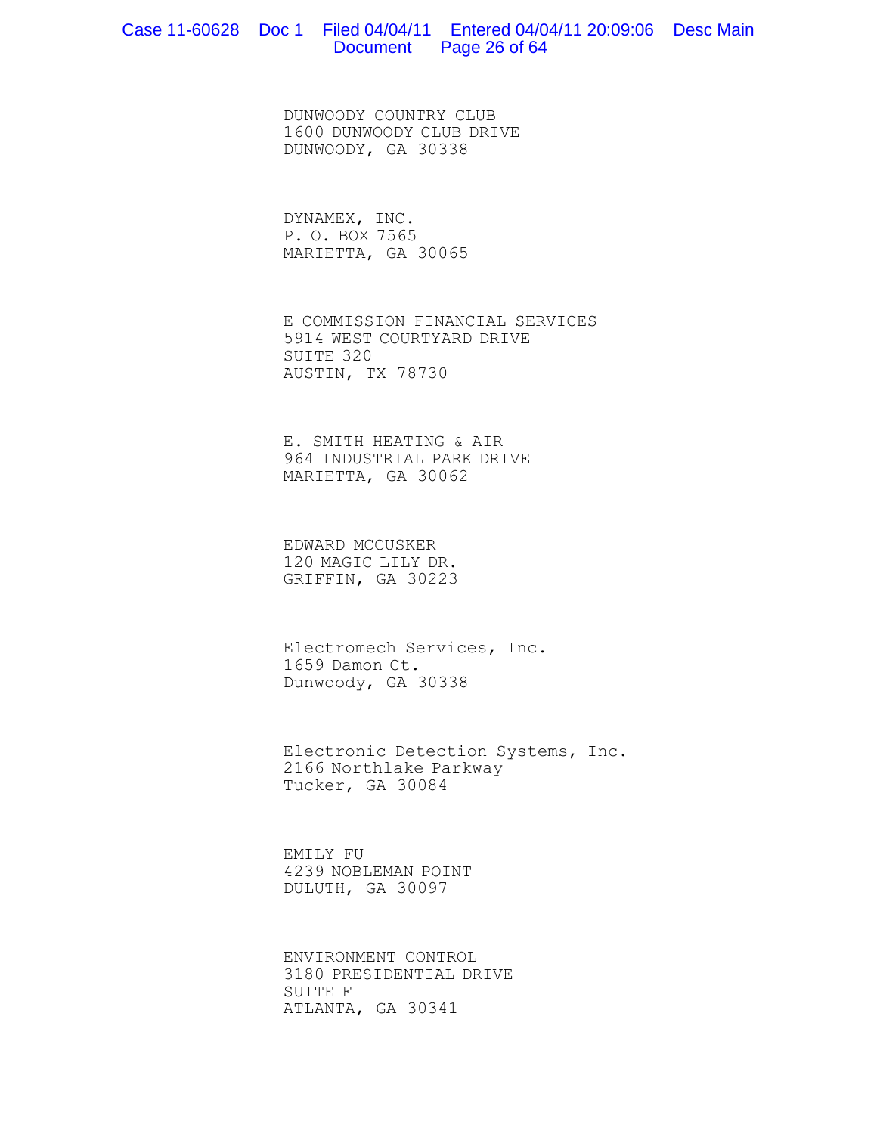## Case 11-60628 Doc 1 Filed 04/04/11 Entered 04/04/11 20:09:06 Desc Main Document Page 26 of 64

DUNWOODY COUNTRY CLUB 1600 DUNWOODY CLUB DRIVE DUNWOODY, GA 30338

DYNAMEX, INC. P. O. BOX 7565 MARIETTA, GA 30065

E COMMISSION FINANCIAL SERVICES 5914 WEST COURTYARD DRIVE SUITE 320 AUSTIN, TX 78730

E. SMITH HEATING & AIR 964 INDUSTRIAL PARK DRIVE MARIETTA, GA 30062

EDWARD MCCUSKER 120 MAGIC LILY DR. GRIFFIN, GA 30223

Electromech Services, Inc. 1659 Damon Ct. Dunwoody, GA 30338

Electronic Detection Systems, Inc. 2166 Northlake Parkway Tucker, GA 30084

EMILY FU 4239 NOBLEMAN POINT DULUTH, GA 30097

ENVIRONMENT CONTROL 3180 PRESIDENTIAL DRIVE SUITE F ATLANTA, GA 30341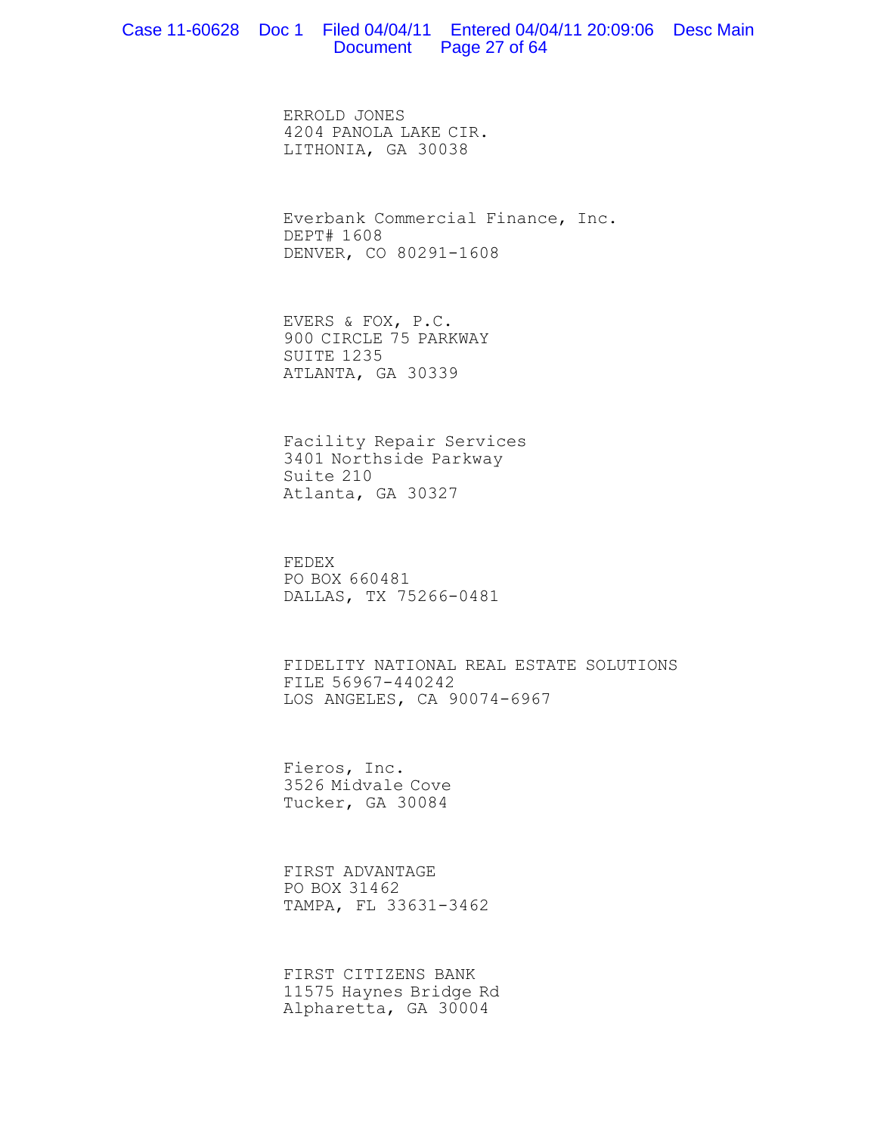## Case 11-60628 Doc 1 Filed 04/04/11 Entered 04/04/11 20:09:06 Desc Main Document Page 27 of 64

ERROLD JONES 4204 PANOLA LAKE CIR. LITHONIA, GA 30038

Everbank Commercial Finance, Inc. DEPT# 1608 DENVER, CO 80291-1608

EVERS & FOX, P.C. 900 CIRCLE 75 PARKWAY SUITE 1235 ATLANTA, GA 30339

Facility Repair Services 3401 Northside Parkway Suite 210 Atlanta, GA 30327

FEDEX PO BOX 660481 DALLAS, TX 75266-0481

FIDELITY NATIONAL REAL ESTATE SOLUTIONS FILE 56967-440242 LOS ANGELES, CA 90074-6967

Fieros, Inc. 3526 Midvale Cove Tucker, GA 30084

FIRST ADVANTAGE PO BOX 31462 TAMPA, FL 33631-3462

FIRST CITIZENS BANK 11575 Haynes Bridge Rd Alpharetta, GA 30004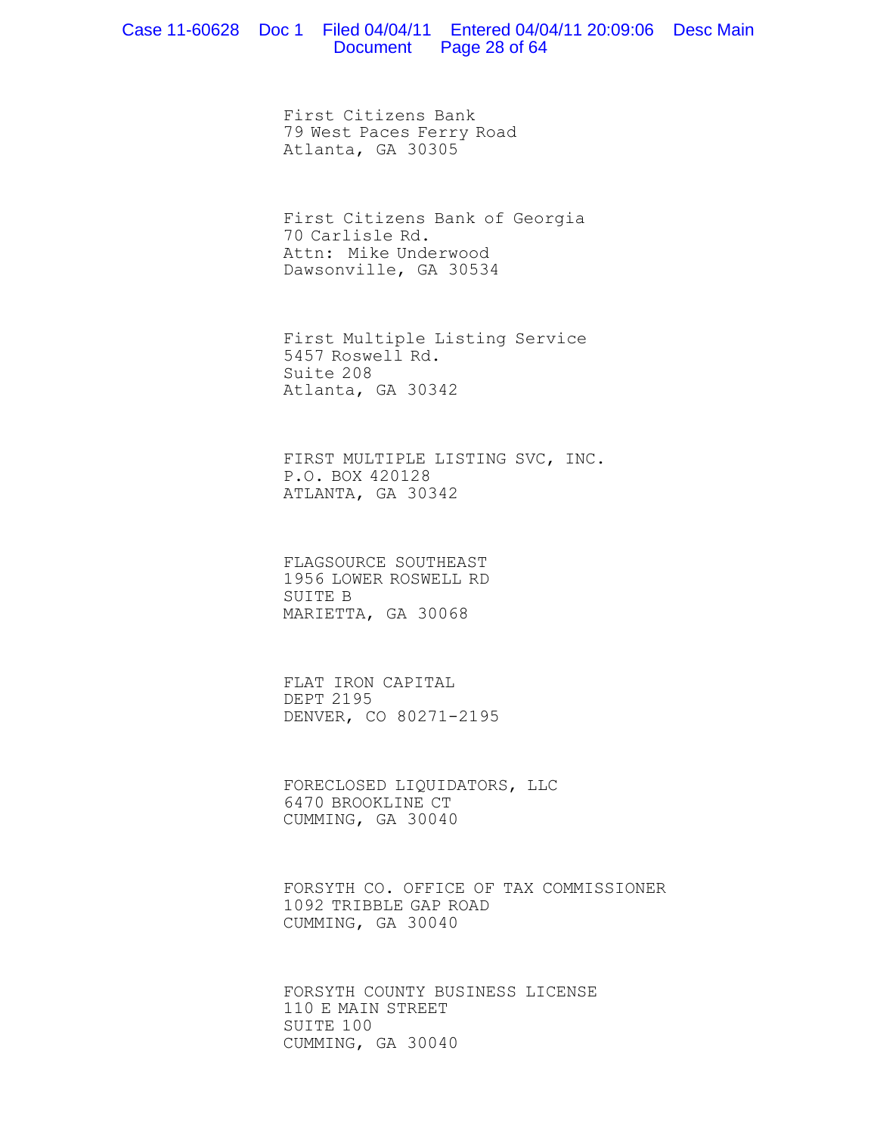## Case 11-60628 Doc 1 Filed 04/04/11 Entered 04/04/11 20:09:06 Desc Main Document Page 28 of 64

First Citizens Bank 79 West Paces Ferry Road Atlanta, GA 30305

First Citizens Bank of Georgia 70 Carlisle Rd. Attn: Mike Underwood Dawsonville, GA 30534

First Multiple Listing Service 5457 Roswell Rd. Suite 208 Atlanta, GA 30342

FIRST MULTIPLE LISTING SVC, INC. P.O. BOX 420128 ATLANTA, GA 30342

FLAGSOURCE SOUTHEAST 1956 LOWER ROSWELL RD SUITE B MARIETTA, GA 30068

FLAT IRON CAPITAL DEPT 2195 DENVER, CO 80271-2195

FORECLOSED LIQUIDATORS, LLC 6470 BROOKLINE CT CUMMING, GA 30040

FORSYTH CO. OFFICE OF TAX COMMISSIONER 1092 TRIBBLE GAP ROAD CUMMING, GA 30040

FORSYTH COUNTY BUSINESS LICENSE 110 E MAIN STREET SUITE 100 CUMMING, GA 30040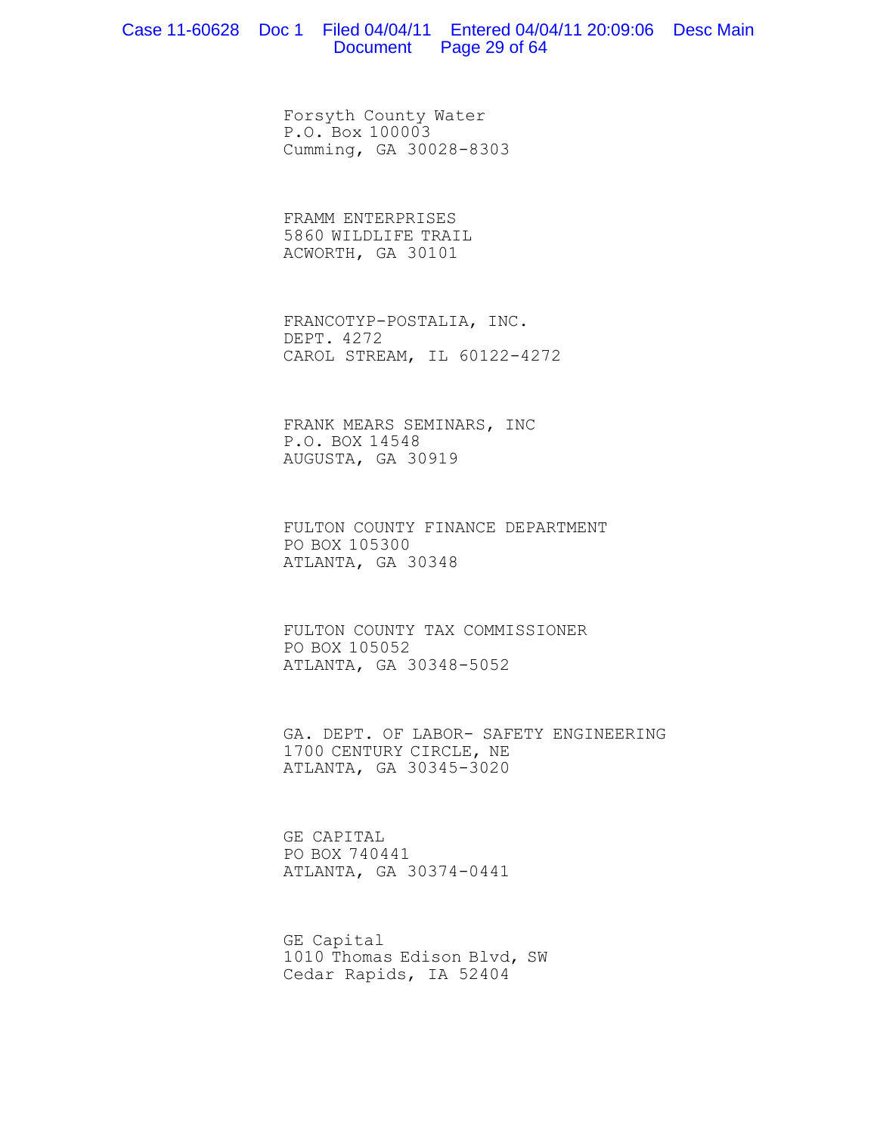## Case 11-60628 Doc 1 Filed 04/04/11 Entered 04/04/11 20:09:06 Desc Main Document Page 29 of 64

Forsyth County Water P.O. Box 100003 Cumming, GA 30028-8303

FRAMM ENTERPRISES 5860 WILDLIFE TRAIL ACWORTH, GA 30101

FRANCOTYP-POSTALIA, INC. DEPT. 4272 CAROL STREAM, IL 60122-4272

FRANK MEARS SEMINARS, INC P.O. BOX 14548 AUGUSTA, GA 30919

FULTON COUNTY FINANCE DEPARTMENT PO BOX 105300 ATLANTA, GA 30348

FULTON COUNTY TAX COMMISSIONER PO BOX 105052 ATLANTA, GA 30348-5052

GA. DEPT. OF LABOR- SAFETY ENGINEERING 1700 CENTURY CIRCLE, NE ATLANTA, GA 30345-3020

GE CAPITAL PO BOX 740441 ATLANTA, GA 30374-0441

GE Capital 1010 Thomas Edison Blvd, SW Cedar Rapids, IA 52404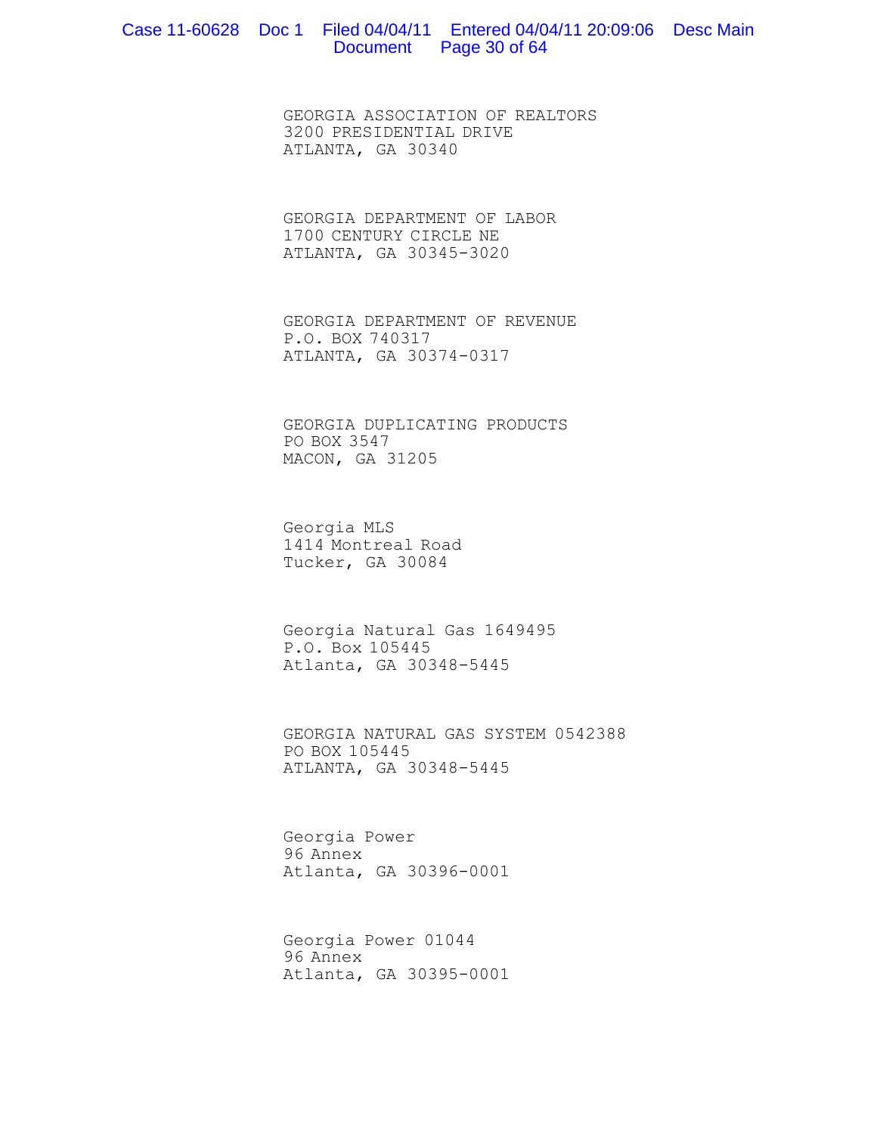## Case 11-60628 Doc 1 Filed 04/04/11 Entered 04/04/11 20:09:06 Desc Main Document Page 30 of 64

GEORGIA ASSOCIATION OF REALTORS 3200 PRESIDENTIAL DRIVE ATLANTA, GA 30340

GEORGIA DEPARTMENT OF LABOR 1700 CENTURY CIRCLE NE ATLANTA, GA 30345-3020

GEORGIA DEPARTMENT OF REVENUE P.O. BOX 740317 ATLANTA, GA 30374-0317

GEORGIA DUPLICATING PRODUCTS PO BOX 3547 MACON, GA 31205

Georgia MLS 1414 Montreal Road Tucker, GA 30084

Georgia Natural Gas 1649495 P.O. Box 105445 Atlanta, GA 30348-5445

GEORGIA NATURAL GAS SYSTEM 0542388 PO BOX 105445 ATLANTA, GA 30348-5445

Georgia Power 96 Annex Atlanta, GA 30396-0001

Georgia Power 01044 96 Annex Atlanta, GA 30395-0001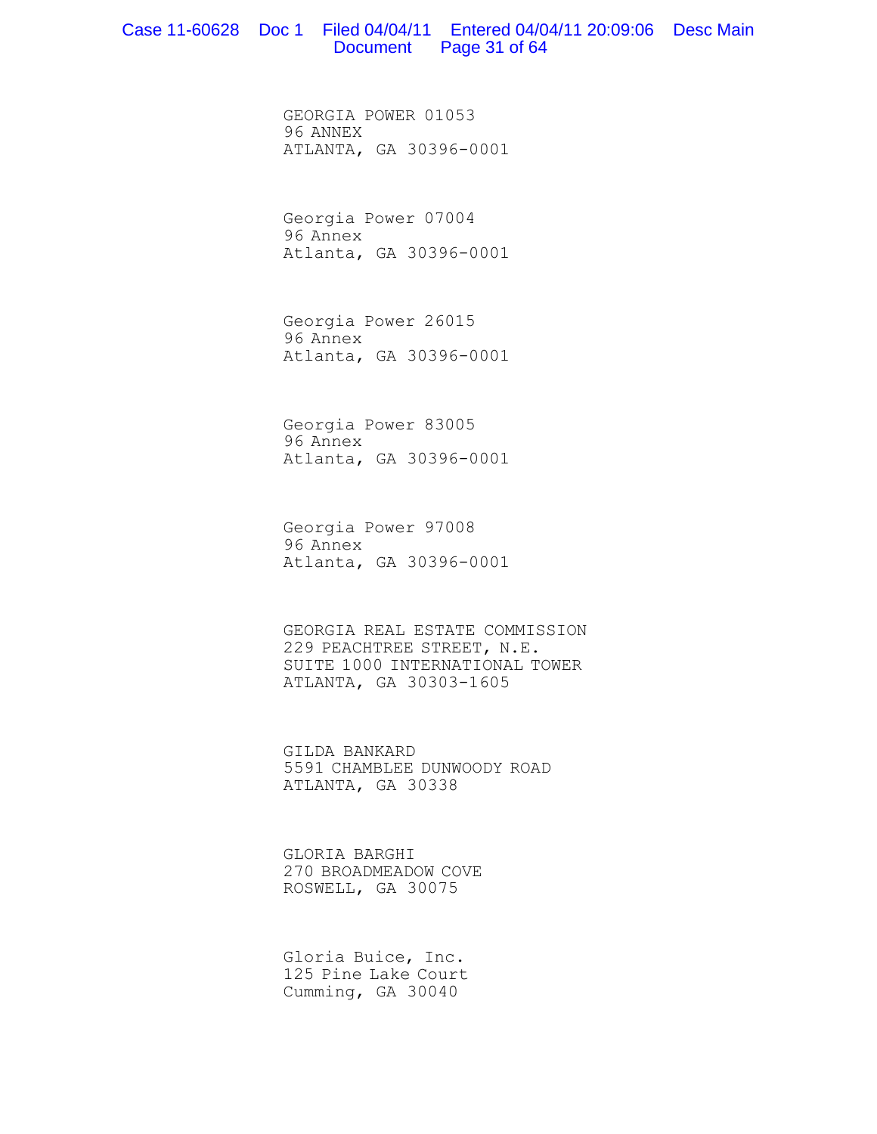## Case 11-60628 Doc 1 Filed 04/04/11 Entered 04/04/11 20:09:06 Desc Main Document Page 31 of 64

GEORGIA POWER 01053 96 ANNEX ATLANTA, GA 30396-0001

Georgia Power 07004 96 Annex Atlanta, GA 30396-0001

Georgia Power 26015 96 Annex Atlanta, GA 30396-0001

Georgia Power 83005 96 Annex Atlanta, GA 30396-0001

Georgia Power 97008 96 Annex Atlanta, GA 30396-0001

GEORGIA REAL ESTATE COMMISSION 229 PEACHTREE STREET, N.E. SUITE 1000 INTERNATIONAL TOWER ATLANTA, GA 30303-1605

GILDA BANKARD 5591 CHAMBLEE DUNWOODY ROAD ATLANTA, GA 30338

GLORIA BARGHI 270 BROADMEADOW COVE ROSWELL, GA 30075

Gloria Buice, Inc. 125 Pine Lake Court Cumming, GA 30040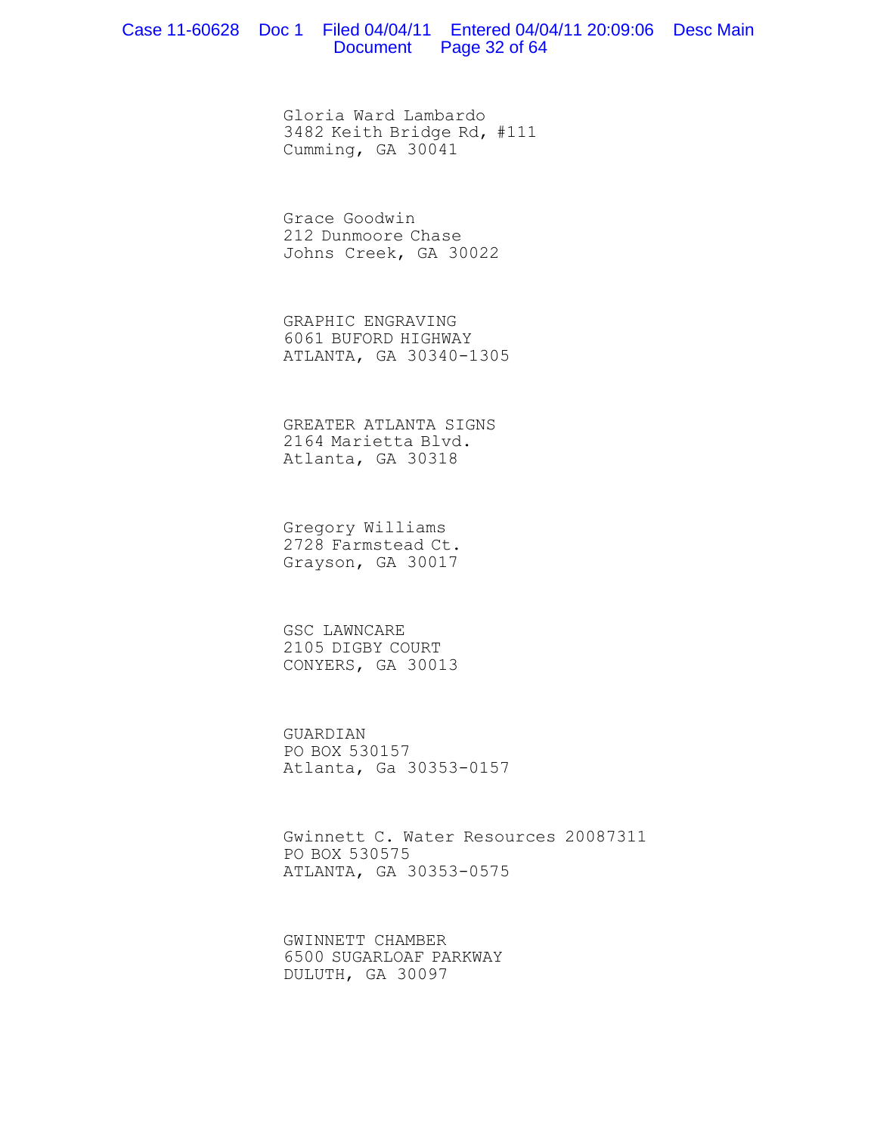## Case 11-60628 Doc 1 Filed 04/04/11 Entered 04/04/11 20:09:06 Desc Main Document Page 32 of 64

Gloria Ward Lambardo 3482 Keith Bridge Rd, #111 Cumming, GA 30041

Grace Goodwin 212 Dunmoore Chase Johns Creek, GA 30022

GRAPHIC ENGRAVING 6061 BUFORD HIGHWAY ATLANTA, GA 30340-1305

GREATER ATLANTA SIGNS 2164 Marietta Blvd. Atlanta, GA 30318

Gregory Williams 2728 Farmstead Ct. Grayson, GA 30017

GSC LAWNCARE 2105 DIGBY COURT CONYERS, GA 30013

GUARDIAN PO BOX 530157 Atlanta, Ga 30353-0157

Gwinnett C. Water Resources 20087311 PO BOX 530575 ATLANTA, GA 30353-0575

GWINNETT CHAMBER 6500 SUGARLOAF PARKWAY DULUTH, GA 30097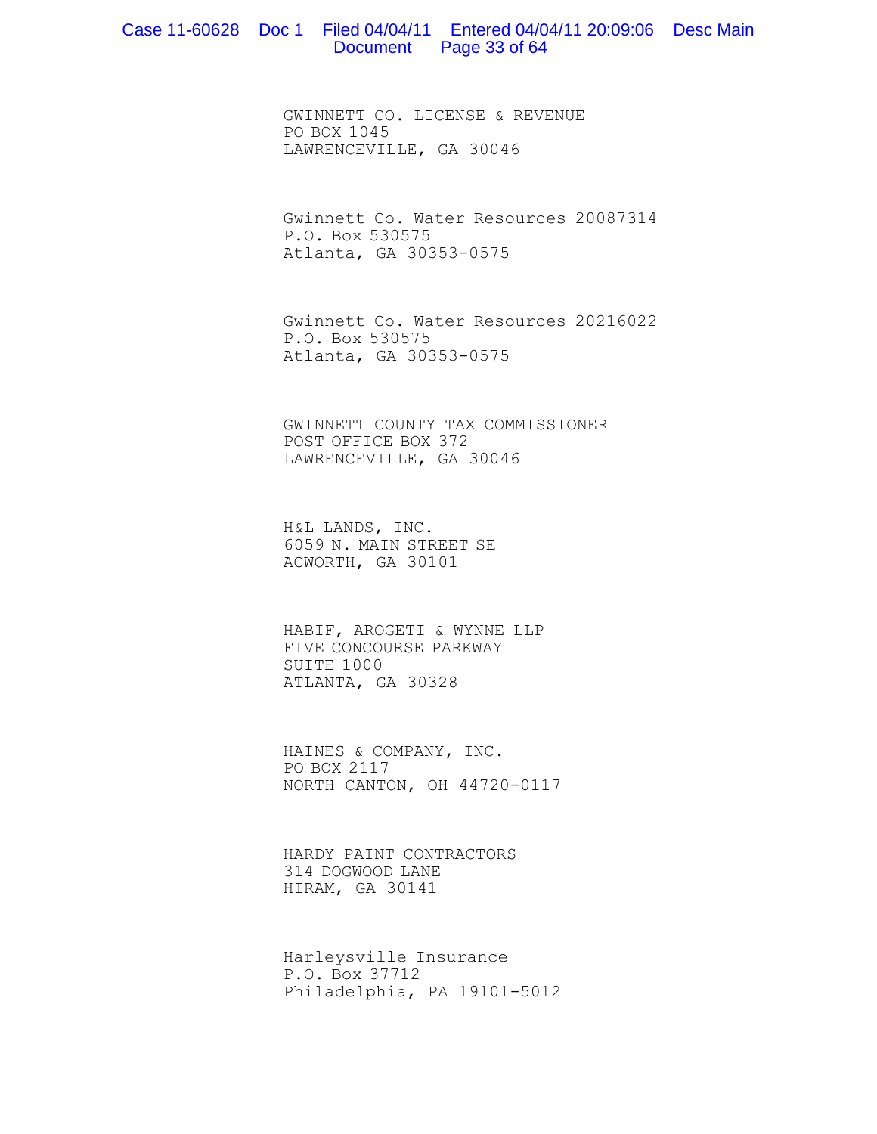## Case 11-60628 Doc 1 Filed 04/04/11 Entered 04/04/11 20:09:06 Desc Main Document Page 33 of 64

GWINNETT CO. LICENSE & REVENUE PO BOX 1045 LAWRENCEVILLE, GA 30046

Gwinnett Co. Water Resources 20087314 P.O. Box 530575 Atlanta, GA 30353-0575

Gwinnett Co. Water Resources 20216022 P.O. Box 530575 Atlanta, GA 30353-0575

GWINNETT COUNTY TAX COMMISSIONER POST OFFICE BOX 372 LAWRENCEVILLE, GA 30046

H&L LANDS, INC. 6059 N. MAIN STREET SE ACWORTH, GA 30101

HABIF, AROGETI & WYNNE LLP FIVE CONCOURSE PARKWAY SUITE 1000 ATLANTA, GA 30328

HAINES & COMPANY, INC. PO BOX 2117 NORTH CANTON, OH 44720-0117

HARDY PAINT CONTRACTORS 314 DOGWOOD LANE HIRAM, GA 30141

Harleysville Insurance P.O. Box 37712 Philadelphia, PA 19101-5012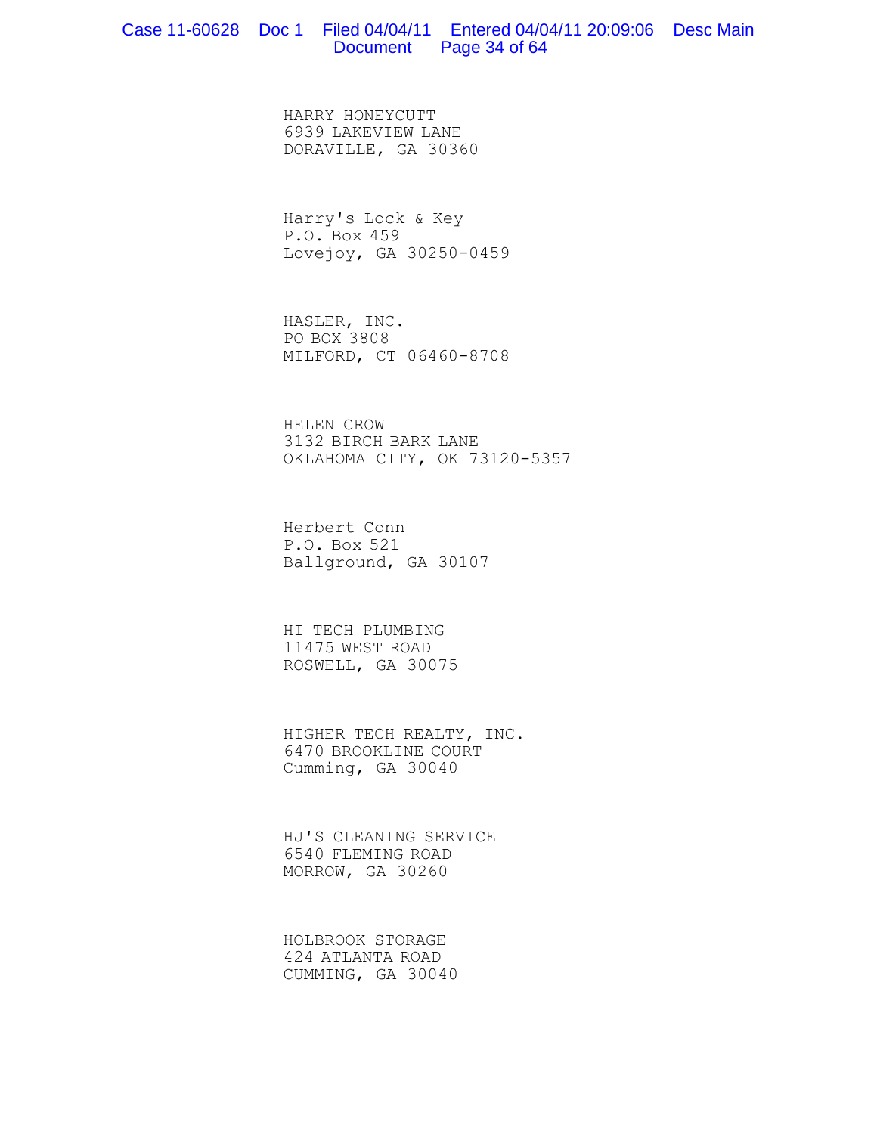## Case 11-60628 Doc 1 Filed 04/04/11 Entered 04/04/11 20:09:06 Desc Main Document Page 34 of 64

HARRY HONEYCUTT 6939 LAKEVIEW LANE DORAVILLE, GA 30360

Harry's Lock & Key P.O. Box 459 Lovejoy, GA 30250-0459

HASLER, INC. PO BOX 3808 MILFORD, CT 06460-8708

HELEN CROW 3132 BIRCH BARK LANE OKLAHOMA CITY, OK 73120-5357

Herbert Conn P.O. Box 521 Ballground, GA 30107

HI TECH PLUMBING 11475 WEST ROAD ROSWELL, GA 30075

HIGHER TECH REALTY, INC. 6470 BROOKLINE COURT Cumming, GA 30040

HJ'S CLEANING SERVICE 6540 FLEMING ROAD MORROW, GA 30260

HOLBROOK STORAGE 424 ATLANTA ROAD CUMMING, GA 30040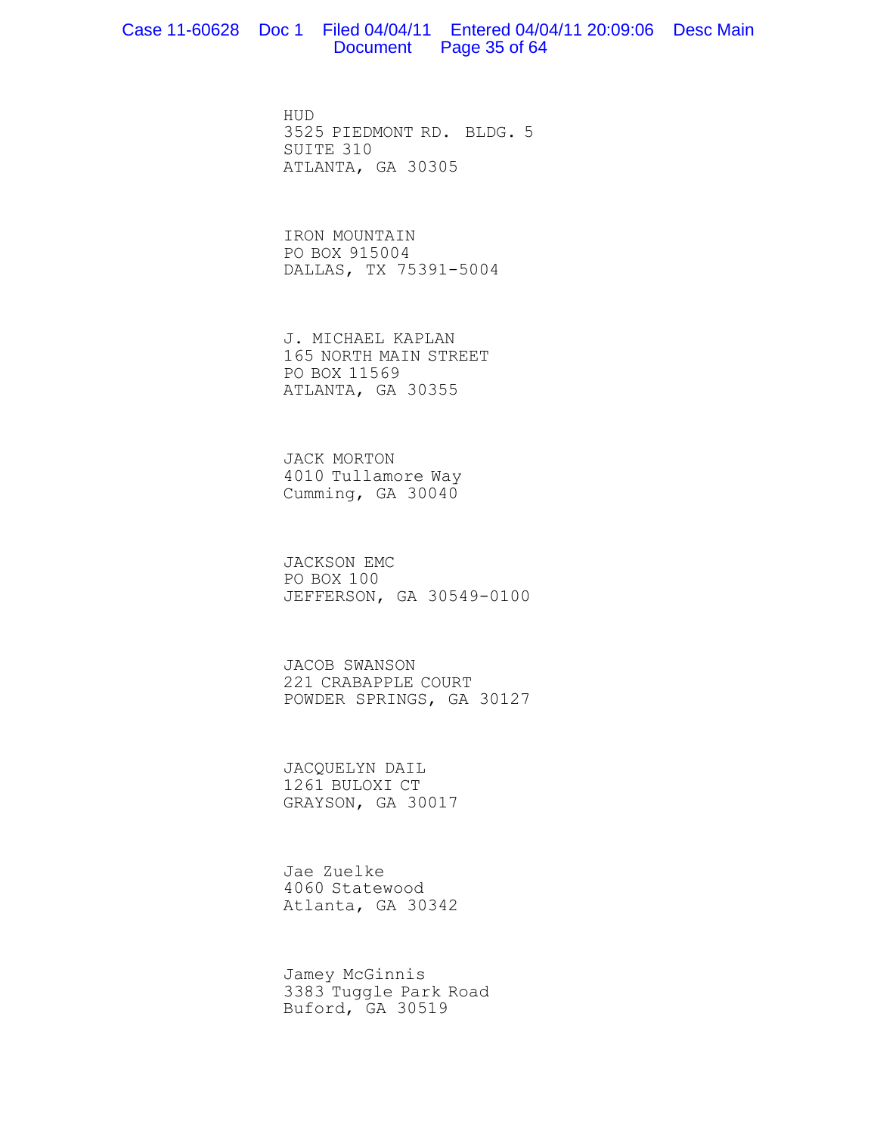## Case 11-60628 Doc 1 Filed 04/04/11 Entered 04/04/11 20:09:06 Desc Main Document Page 35 of 64

HUD 3525 PIEDMONT RD. BLDG. 5 SUITE 310 ATLANTA, GA 30305

IRON MOUNTAIN PO BOX 915004 DALLAS, TX 75391-5004

J. MICHAEL KAPLAN 165 NORTH MAIN STREET PO BOX 11569 ATLANTA, GA 30355

JACK MORTON 4010 Tullamore Way Cumming, GA 30040

JACKSON EMC PO BOX 100 JEFFERSON, GA 30549-0100

JACOB SWANSON 221 CRABAPPLE COURT POWDER SPRINGS, GA 30127

JACQUELYN DAIL 1261 BULOXI CT GRAYSON, GA 30017

Jae Zuelke 4060 Statewood Atlanta, GA 30342

Jamey McGinnis 3383 Tuggle Park Road Buford, GA 30519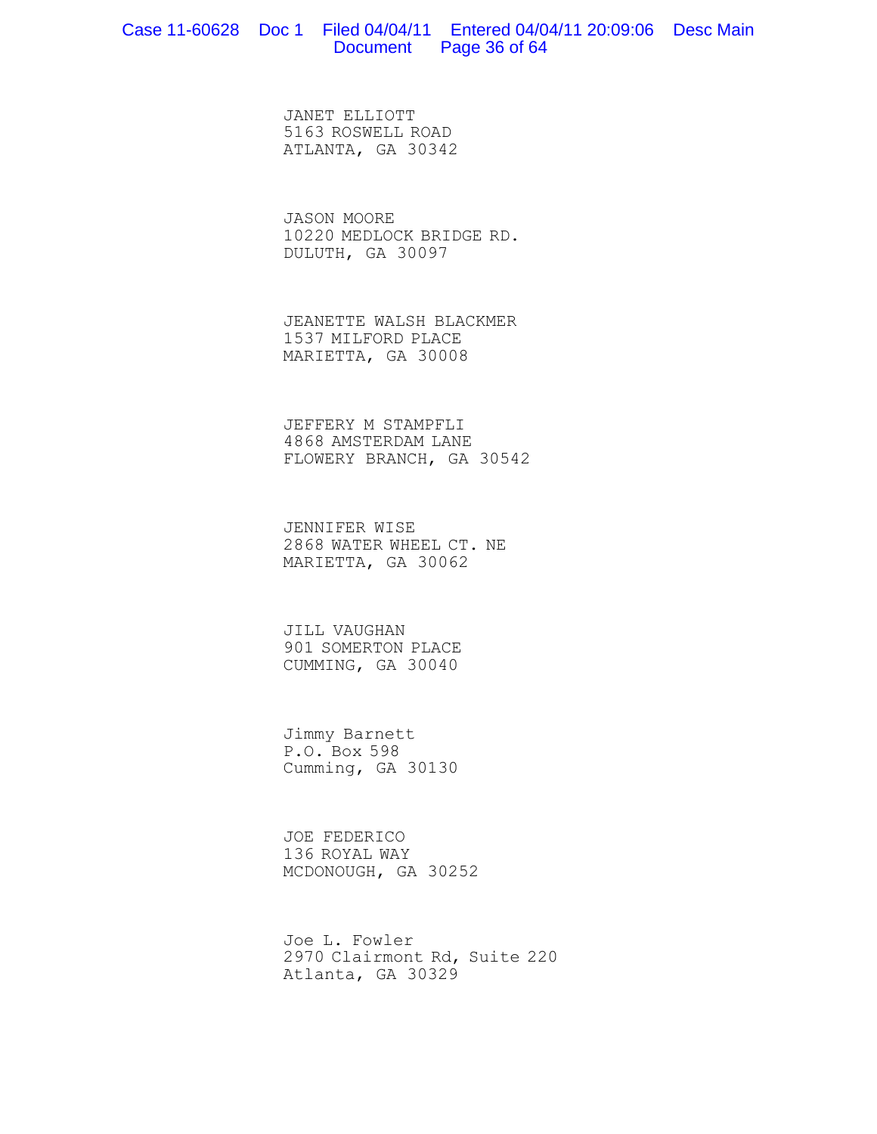## Case 11-60628 Doc 1 Filed 04/04/11 Entered 04/04/11 20:09:06 Desc Main Document Page 36 of 64

JANET ELLIOTT 5163 ROSWELL ROAD ATLANTA, GA 30342

JASON MOORE 10220 MEDLOCK BRIDGE RD. DULUTH, GA 30097

JEANETTE WALSH BLACKMER 1537 MILFORD PLACE MARIETTA, GA 30008

JEFFERY M STAMPFLI 4868 AMSTERDAM LANE FLOWERY BRANCH, GA 30542

JENNIFER WISE 2868 WATER WHEEL CT. NE MARIETTA, GA 30062

JILL VAUGHAN 901 SOMERTON PLACE CUMMING, GA 30040

Jimmy Barnett P.O. Box 598 Cumming, GA 30130

JOE FEDERICO 136 ROYAL WAY MCDONOUGH, GA 30252

Joe L. Fowler 2970 Clairmont Rd, Suite 220 Atlanta, GA 30329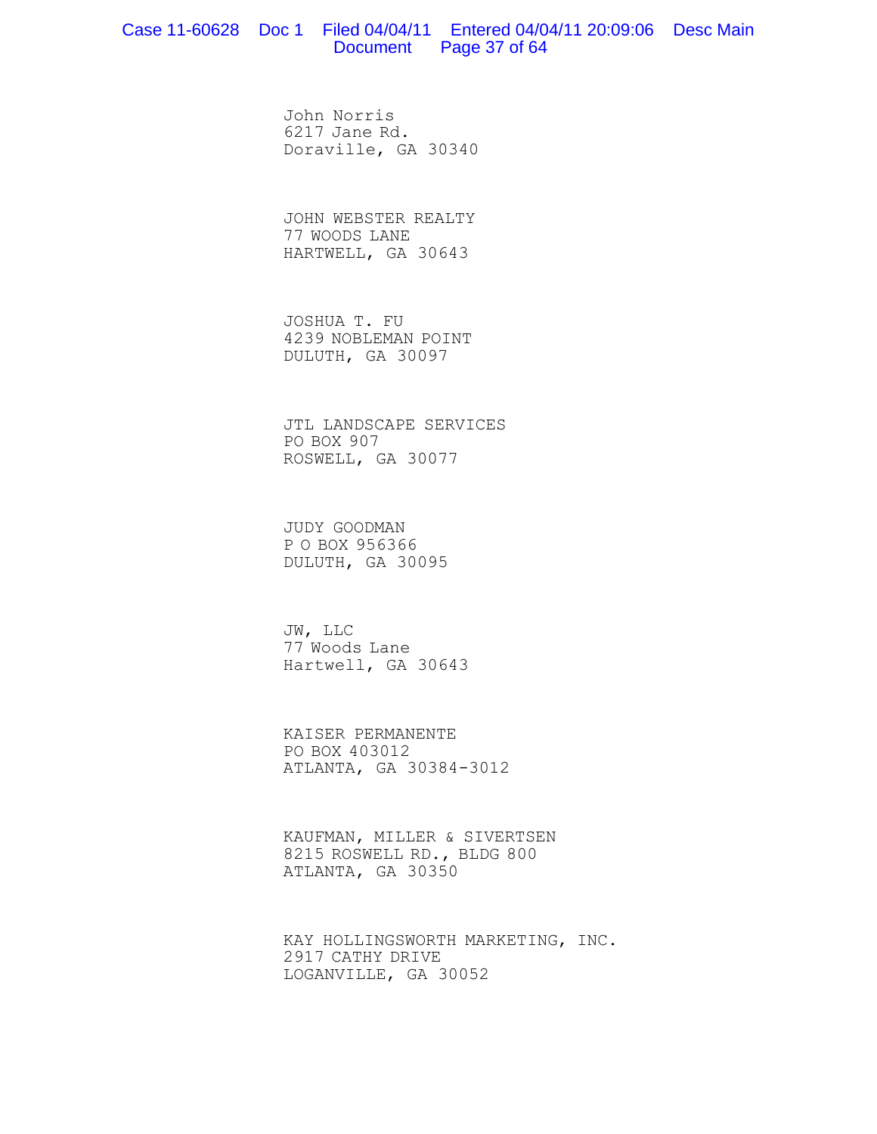## Case 11-60628 Doc 1 Filed 04/04/11 Entered 04/04/11 20:09:06 Desc Main Document Page 37 of 64

John Norris 6217 Jane Rd. Doraville, GA 30340

JOHN WEBSTER REALTY 77 WOODS LANE HARTWELL, GA 30643

JOSHUA T. FU 4239 NOBLEMAN POINT DULUTH, GA 30097

JTL LANDSCAPE SERVICES PO BOX 907 ROSWELL, GA 30077

JUDY GOODMAN P O BOX 956366 DULUTH, GA 30095

JW, LLC 77 Woods Lane Hartwell, GA 30643

KAISER PERMANENTE PO BOX 403012 ATLANTA, GA 30384-3012

KAUFMAN, MILLER & SIVERTSEN 8215 ROSWELL RD., BLDG 800 ATLANTA, GA 30350

KAY HOLLINGSWORTH MARKETING, INC. 2917 CATHY DRIVE LOGANVILLE, GA 30052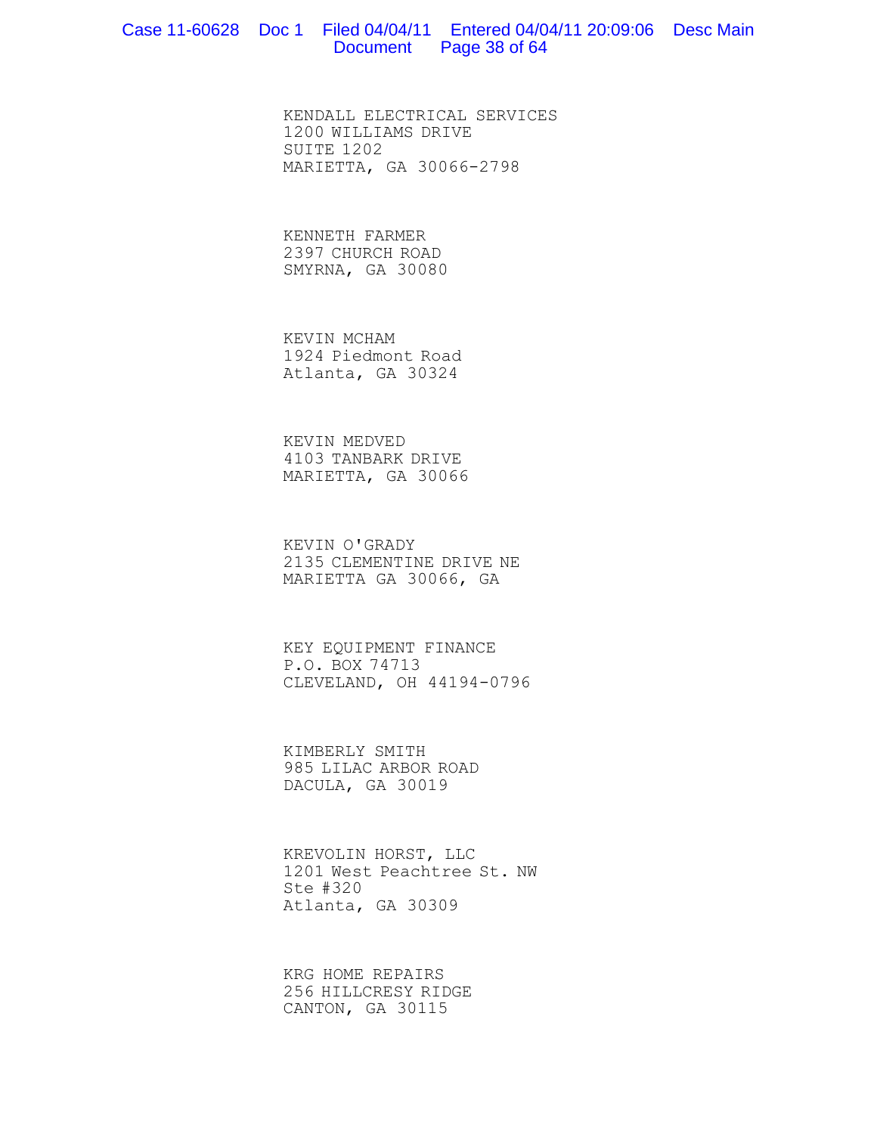## Case 11-60628 Doc 1 Filed 04/04/11 Entered 04/04/11 20:09:06 Desc Main Document Page 38 of 64

KENDALL ELECTRICAL SERVICES 1200 WILLIAMS DRIVE SUITE 1202 MARIETTA, GA 30066-2798

KENNETH FARMER 2397 CHURCH ROAD SMYRNA, GA 30080

KEVIN MCHAM 1924 Piedmont Road Atlanta, GA 30324

KEVIN MEDVED 4103 TANBARK DRIVE MARIETTA, GA 30066

KEVIN O'GRADY 2135 CLEMENTINE DRIVE NE MARIETTA GA 30066, GA

KEY EQUIPMENT FINANCE P.O. BOX 74713 CLEVELAND, OH 44194-0796

KIMBERLY SMITH 985 LILAC ARBOR ROAD DACULA, GA 30019

KREVOLIN HORST, LLC 1201 West Peachtree St. NW Ste #320 Atlanta, GA 30309

KRG HOME REPAIRS 256 HILLCRESY RIDGE CANTON, GA 30115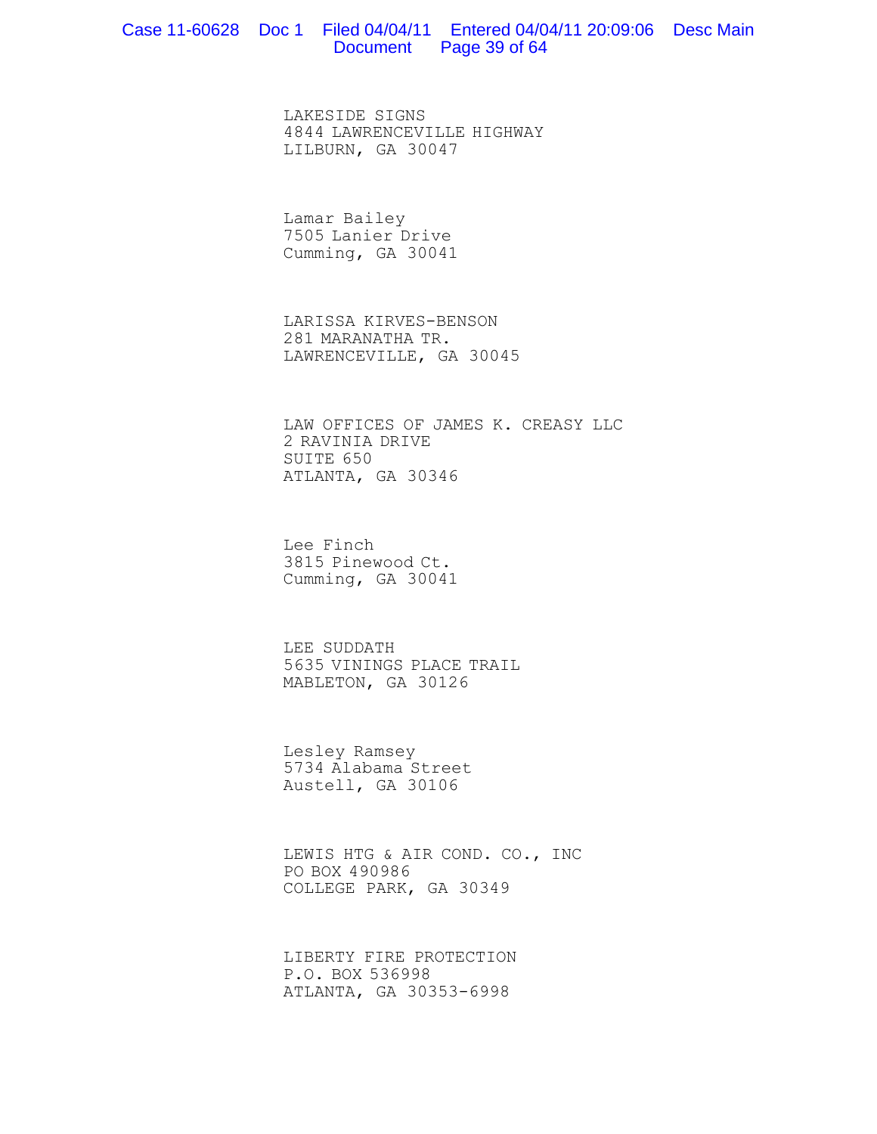## Case 11-60628 Doc 1 Filed 04/04/11 Entered 04/04/11 20:09:06 Desc Main Document Page 39 of 64

LAKESIDE SIGNS 4844 LAWRENCEVILLE HIGHWAY LILBURN, GA 30047

Lamar Bailey 7505 Lanier Drive Cumming, GA 30041

LARISSA KIRVES-BENSON 281 MARANATHA TR. LAWRENCEVILLE, GA 30045

LAW OFFICES OF JAMES K. CREASY LLC 2 RAVINIA DRIVE SUITE 650 ATLANTA, GA 30346

Lee Finch 3815 Pinewood Ct. Cumming, GA 30041

LEE SUDDATH 5635 VININGS PLACE TRAIL MABLETON, GA 30126

Lesley Ramsey 5734 Alabama Street Austell, GA 30106

LEWIS HTG & AIR COND. CO., INC PO BOX 490986 COLLEGE PARK, GA 30349

LIBERTY FIRE PROTECTION P.O. BOX 536998 ATLANTA, GA 30353-6998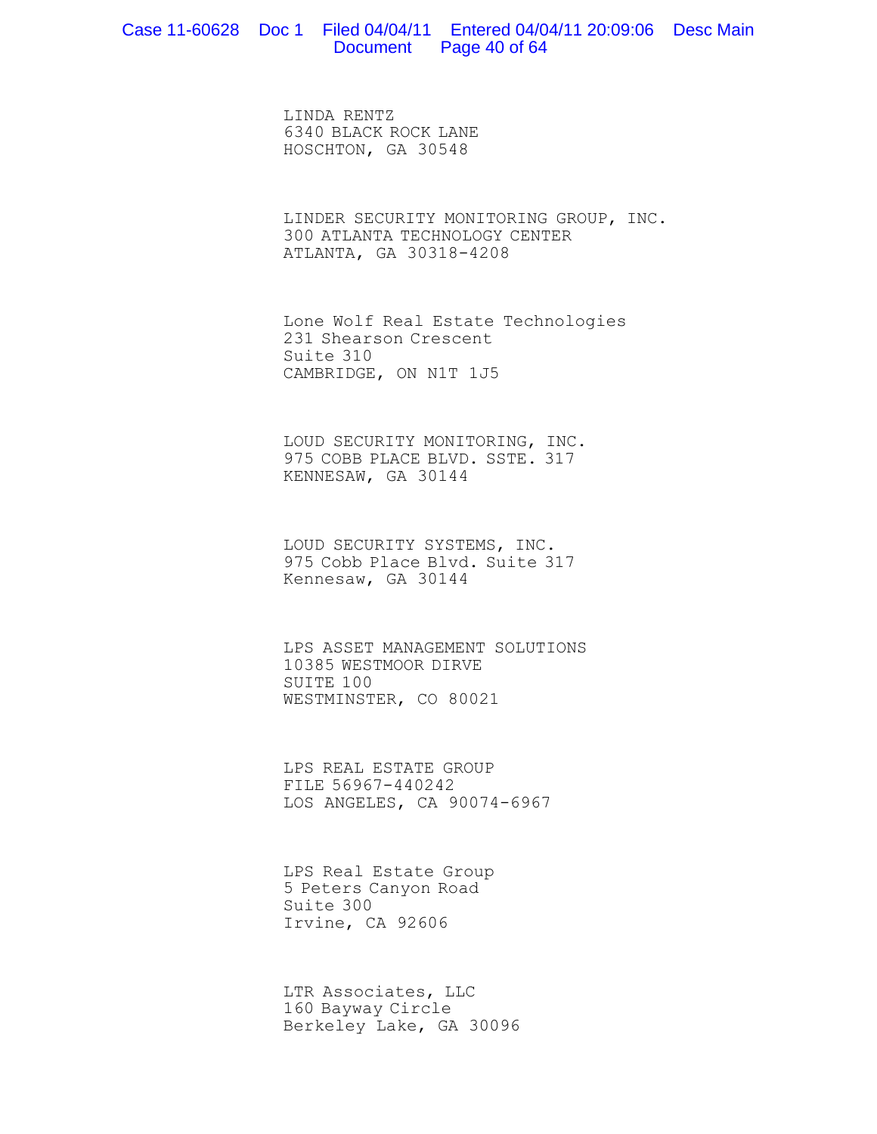## Case 11-60628 Doc 1 Filed 04/04/11 Entered 04/04/11 20:09:06 Desc Main Document Page 40 of 64

LINDA RENTZ 6340 BLACK ROCK LANE HOSCHTON, GA 30548

LINDER SECURITY MONITORING GROUP, INC. 300 ATLANTA TECHNOLOGY CENTER ATLANTA, GA 30318-4208

Lone Wolf Real Estate Technologies 231 Shearson Crescent Suite 310 CAMBRIDGE, ON N1T 1J5

LOUD SECURITY MONITORING, INC. 975 COBB PLACE BLVD. SSTE. 317 KENNESAW, GA 30144

LOUD SECURITY SYSTEMS, INC. 975 Cobb Place Blvd. Suite 317 Kennesaw, GA 30144

LPS ASSET MANAGEMENT SOLUTIONS 10385 WESTMOOR DIRVE SUITE 100 WESTMINSTER, CO 80021

LPS REAL ESTATE GROUP FILE 56967-440242 LOS ANGELES, CA 90074-6967

LPS Real Estate Group 5 Peters Canyon Road Suite 300 Irvine, CA 92606

LTR Associates, LLC 160 Bayway Circle Berkeley Lake, GA 30096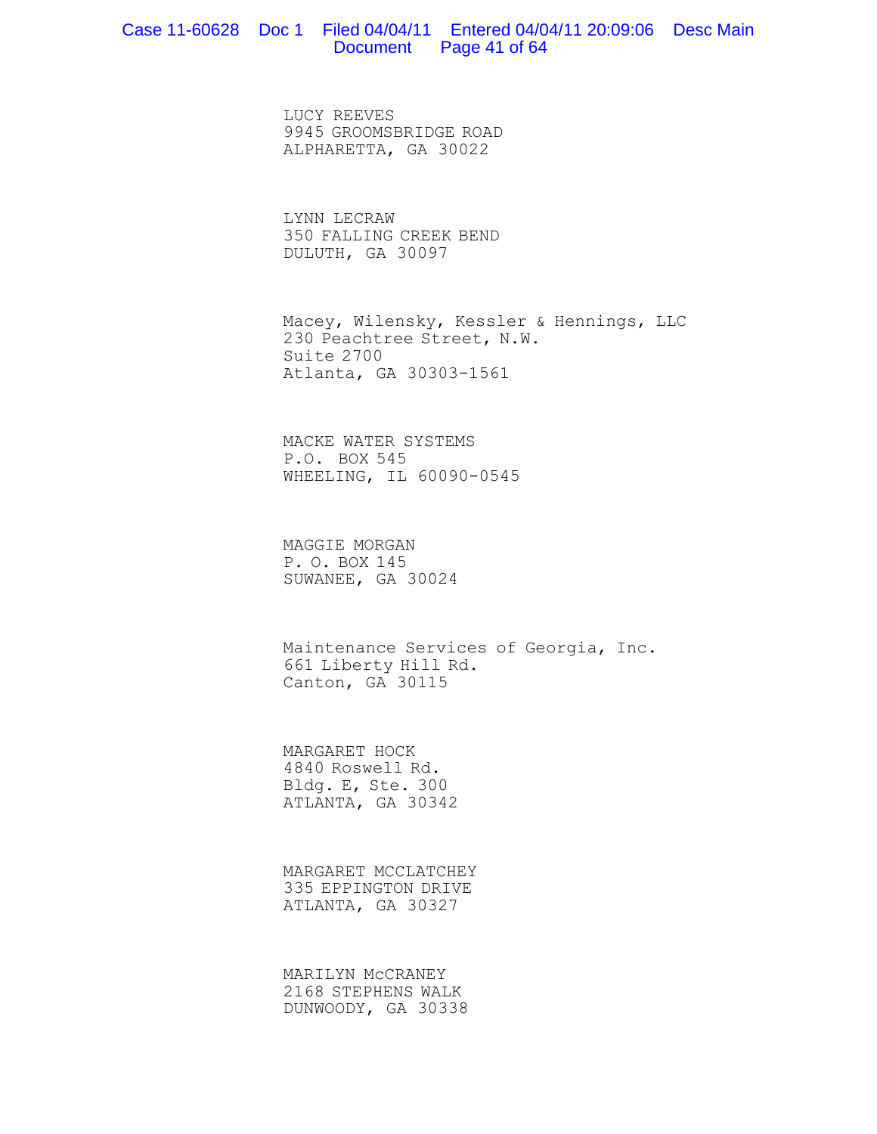## Case 11-60628 Doc 1 Filed 04/04/11 Entered 04/04/11 20:09:06 Desc Main Document Page 41 of 64

LUCY REEVES 9945 GROOMSBRIDGE ROAD ALPHARETTA, GA 30022

LYNN LECRAW 350 FALLING CREEK BEND DULUTH, GA 30097

Macey, Wilensky, Kessler & Hennings, LLC 230 Peachtree Street, N.W. Suite 2700 Atlanta, GA 30303-1561

MACKE WATER SYSTEMS P.O. BOX 545 WHEELING, IL 60090-0545

MAGGIE MORGAN P. O. BOX 145 SUWANEE, GA 30024

Maintenance Services of Georgia, Inc. 661 Liberty Hill Rd. Canton, GA 30115

MARGARET HOCK 4840 Roswell Rd. Bldg. E, Ste. 300 ATLANTA, GA 30342

MARGARET MCCLATCHEY 335 EPPINGTON DRIVE ATLANTA, GA 30327

MARILYN McCRANEY 2168 STEPHENS WALK DUNWOODY, GA 30338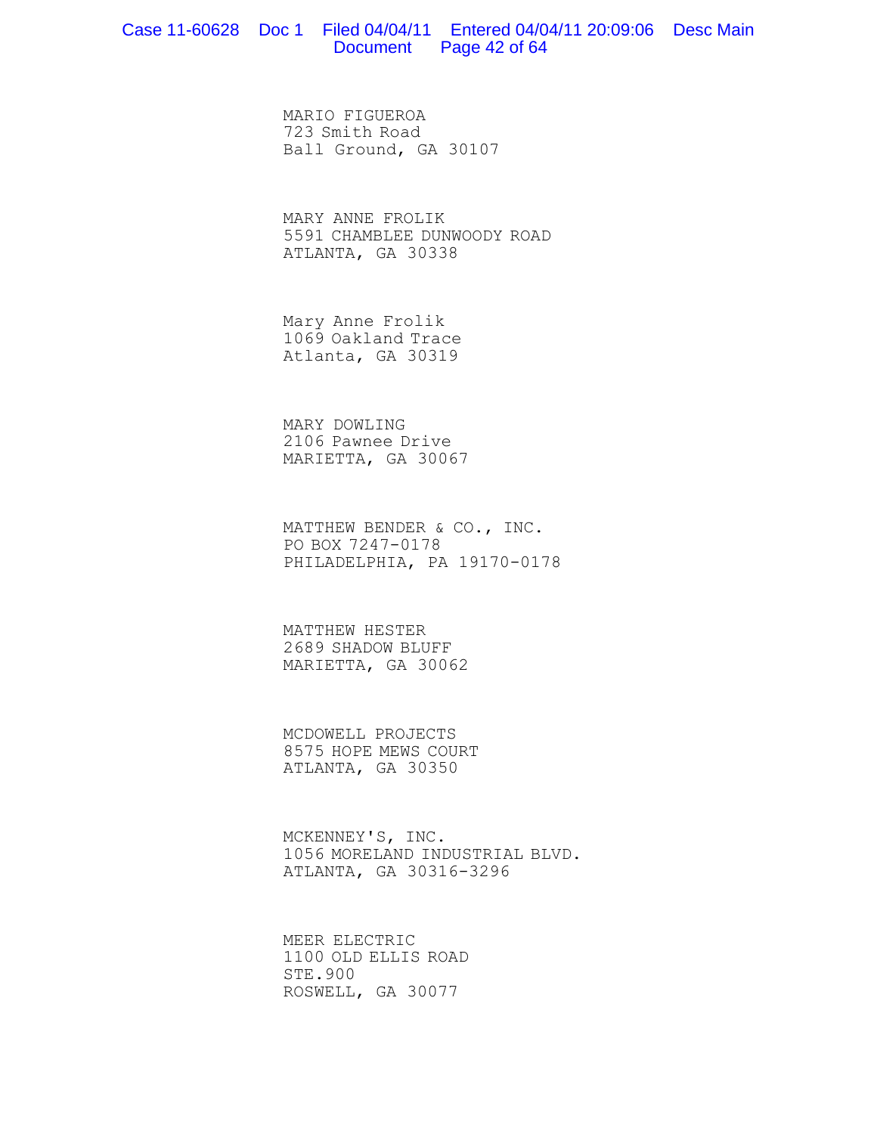## Case 11-60628 Doc 1 Filed 04/04/11 Entered 04/04/11 20:09:06 Desc Main Document Page 42 of 64

MARIO FIGUEROA 723 Smith Road Ball Ground, GA 30107

MARY ANNE FROLIK 5591 CHAMBLEE DUNWOODY ROAD ATLANTA, GA 30338

Mary Anne Frolik 1069 Oakland Trace Atlanta, GA 30319

MARY DOWLING 2106 Pawnee Drive MARIETTA, GA 30067

MATTHEW BENDER & CO., INC. PO BOX 7247-0178 PHILADELPHIA, PA 19170-0178

MATTHEW HESTER 2689 SHADOW BLUFF MARIETTA, GA 30062

MCDOWELL PROJECTS 8575 HOPE MEWS COURT ATLANTA, GA 30350

MCKENNEY'S, INC. 1056 MORELAND INDUSTRIAL BLVD. ATLANTA, GA 30316-3296

MEER ELECTRIC 1100 OLD ELLIS ROAD STE.900 ROSWELL, GA 30077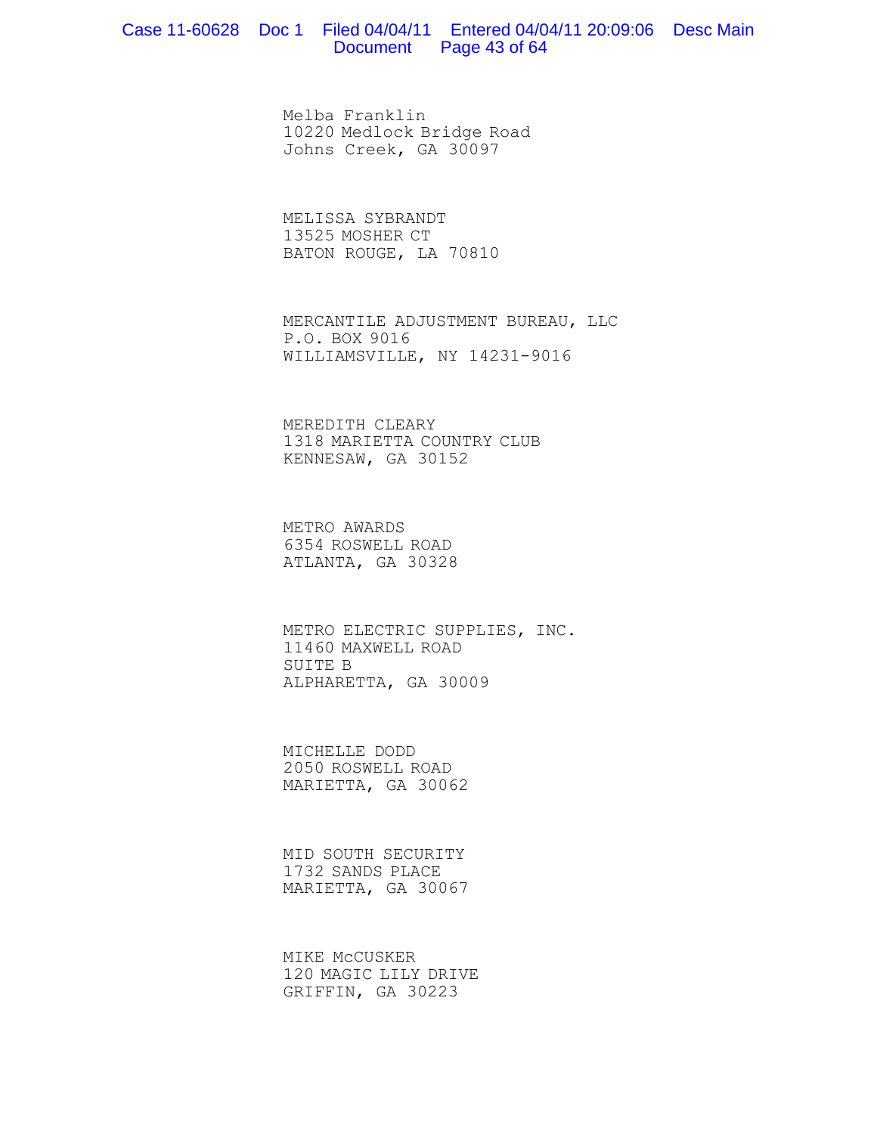## Case 11-60628 Doc 1 Filed 04/04/11 Entered 04/04/11 20:09:06 Desc Main Document Page 43 of 64

Melba Franklin 10220 Medlock Bridge Road Johns Creek, GA 30097

MELISSA SYBRANDT 13525 MOSHER CT BATON ROUGE, LA 70810

MERCANTILE ADJUSTMENT BUREAU, LLC P.O. BOX 9016 WILLIAMSVILLE, NY 14231-9016

MEREDITH CLEARY 1318 MARIETTA COUNTRY CLUB KENNESAW, GA 30152

METRO AWARDS 6354 ROSWELL ROAD ATLANTA, GA 30328

METRO ELECTRIC SUPPLIES, INC. 11460 MAXWELL ROAD SUITE B ALPHARETTA, GA 30009

MICHELLE DODD 2050 ROSWELL ROAD MARIETTA, GA 30062

MID SOUTH SECURITY 1732 SANDS PLACE MARIETTA, GA 30067

MIKE McCUSKER 120 MAGIC LILY DRIVE GRIFFIN, GA 30223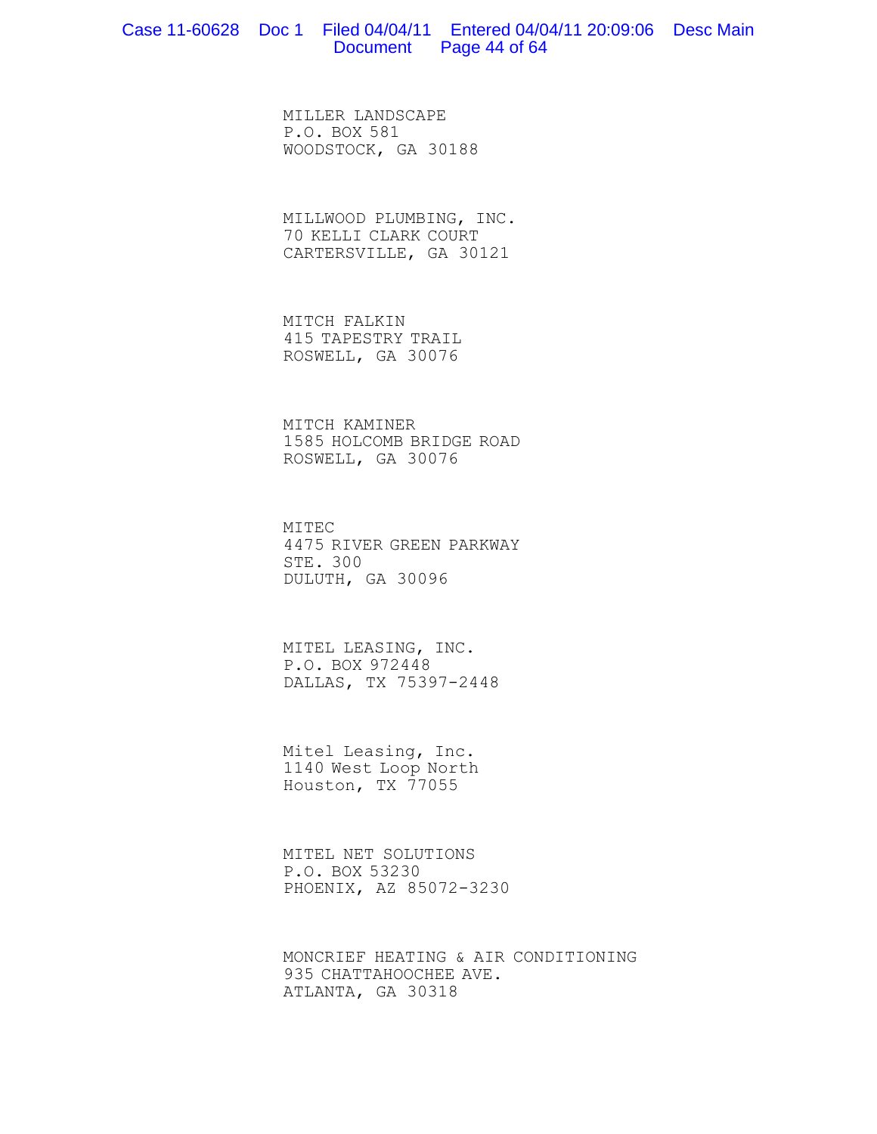## Case 11-60628 Doc 1 Filed 04/04/11 Entered 04/04/11 20:09:06 Desc Main Document Page 44 of 64

MILLER LANDSCAPE P.O. BOX 581 WOODSTOCK, GA 30188

MILLWOOD PLUMBING, INC. 70 KELLI CLARK COURT CARTERSVILLE, GA 30121

MITCH FALKIN 415 TAPESTRY TRAIL ROSWELL, GA 30076

MITCH KAMINER 1585 HOLCOMB BRIDGE ROAD ROSWELL, GA 30076

MITEC 4475 RIVER GREEN PARKWAY STE. 300 DULUTH, GA 30096

MITEL LEASING, INC. P.O. BOX 972448 DALLAS, TX 75397-2448

Mitel Leasing, Inc. 1140 West Loop North Houston, TX 77055

MITEL NET SOLUTIONS P.O. BOX 53230 PHOENIX, AZ 85072-3230

MONCRIEF HEATING & AIR CONDITIONING 935 CHATTAHOOCHEE AVE. ATLANTA, GA 30318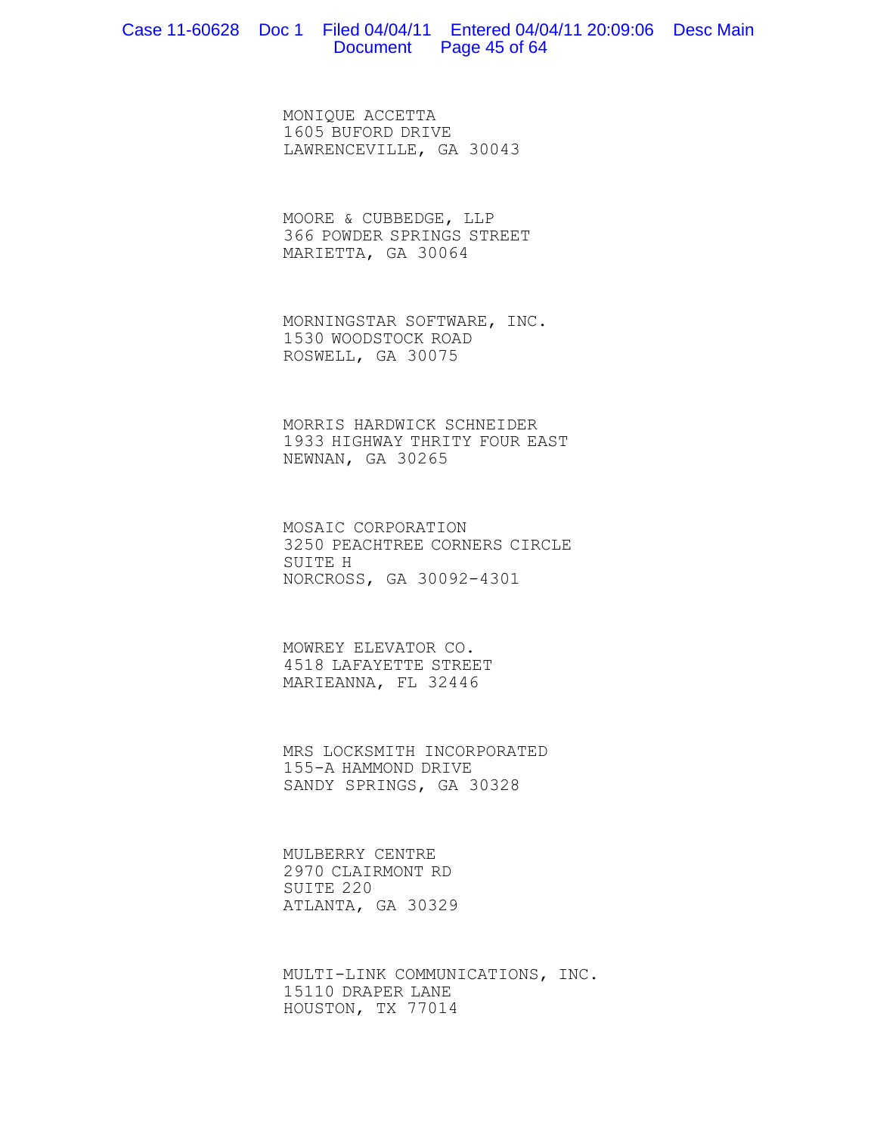## Case 11-60628 Doc 1 Filed 04/04/11 Entered 04/04/11 20:09:06 Desc Main Document Page 45 of 64

MONIQUE ACCETTA 1605 BUFORD DRIVE LAWRENCEVILLE, GA 30043

MOORE & CUBBEDGE, LLP 366 POWDER SPRINGS STREET MARIETTA, GA 30064

MORNINGSTAR SOFTWARE, INC. 1530 WOODSTOCK ROAD ROSWELL, GA 30075

MORRIS HARDWICK SCHNEIDER 1933 HIGHWAY THRITY FOUR EAST NEWNAN, GA 30265

MOSAIC CORPORATION 3250 PEACHTREE CORNERS CIRCLE SUITE H NORCROSS, GA 30092-4301

MOWREY ELEVATOR CO. 4518 LAFAYETTE STREET MARIEANNA, FL 32446

MRS LOCKSMITH INCORPORATED 155-A HAMMOND DRIVE SANDY SPRINGS, GA 30328

MULBERRY CENTRE 2970 CLAIRMONT RD SUITE 220 ATLANTA, GA 30329

MULTI-LINK COMMUNICATIONS, INC. 15110 DRAPER LANE HOUSTON, TX 77014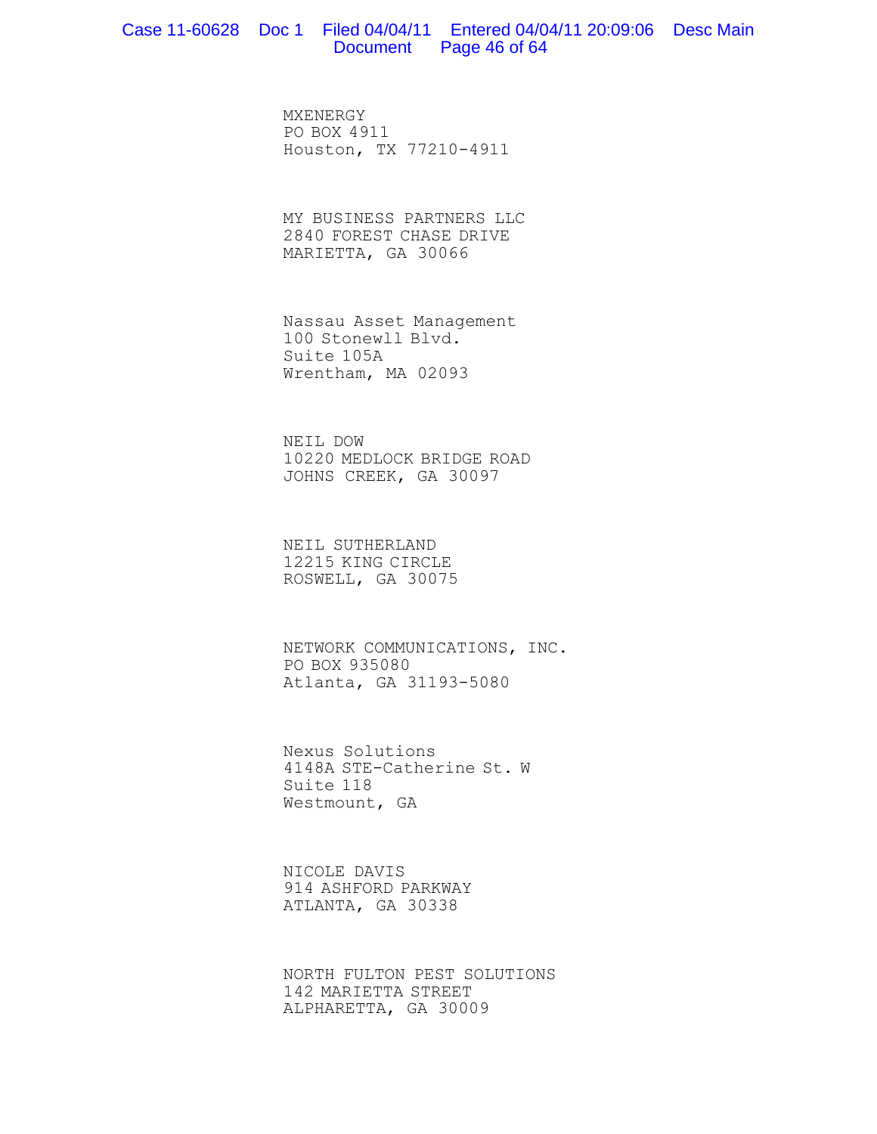## Case 11-60628 Doc 1 Filed 04/04/11 Entered 04/04/11 20:09:06 Desc Main Document Page 46 of 64

MXENERGY PO BOX 4911 Houston, TX 77210-4911

MY BUSINESS PARTNERS LLC 2840 FOREST CHASE DRIVE MARIETTA, GA 30066

Nassau Asset Management 100 Stonewll Blvd. Suite 105A Wrentham, MA 02093

NEIL DOW 10220 MEDLOCK BRIDGE ROAD JOHNS CREEK, GA 30097

NEIL SUTHERLAND 12215 KING CIRCLE ROSWELL, GA 30075

NETWORK COMMUNICATIONS, INC. PO BOX 935080 Atlanta, GA 31193-5080

Nexus Solutions 4148A STE-Catherine St. W Suite 118 Westmount, GA

NICOLE DAVIS 914 ASHFORD PARKWAY ATLANTA, GA 30338

NORTH FULTON PEST SOLUTIONS 142 MARIETTA STREET ALPHARETTA, GA 30009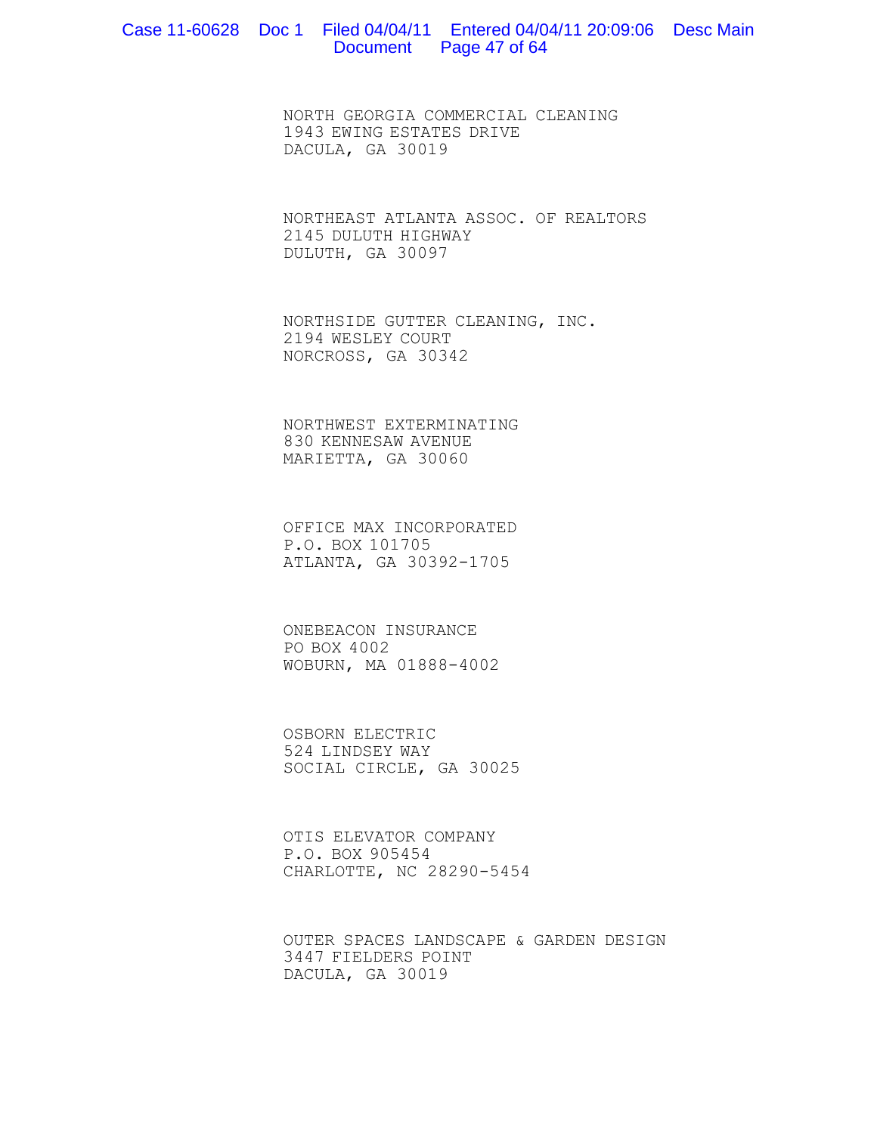## Case 11-60628 Doc 1 Filed 04/04/11 Entered 04/04/11 20:09:06 Desc Main Document Page 47 of 64

NORTH GEORGIA COMMERCIAL CLEANING 1943 EWING ESTATES DRIVE DACULA, GA 30019

NORTHEAST ATLANTA ASSOC. OF REALTORS 2145 DULUTH HIGHWAY DULUTH, GA 30097

NORTHSIDE GUTTER CLEANING, INC. 2194 WESLEY COURT NORCROSS, GA 30342

NORTHWEST EXTERMINATING 830 KENNESAW AVENUE MARIETTA, GA 30060

OFFICE MAX INCORPORATED P.O. BOX 101705 ATLANTA, GA 30392-1705

ONEBEACON INSURANCE PO BOX 4002 WOBURN, MA 01888-4002

OSBORN ELECTRIC 524 LINDSEY WAY SOCIAL CIRCLE, GA 30025

OTIS ELEVATOR COMPANY P.O. BOX 905454 CHARLOTTE, NC 28290-5454

OUTER SPACES LANDSCAPE & GARDEN DESIGN 3447 FIELDERS POINT DACULA, GA 30019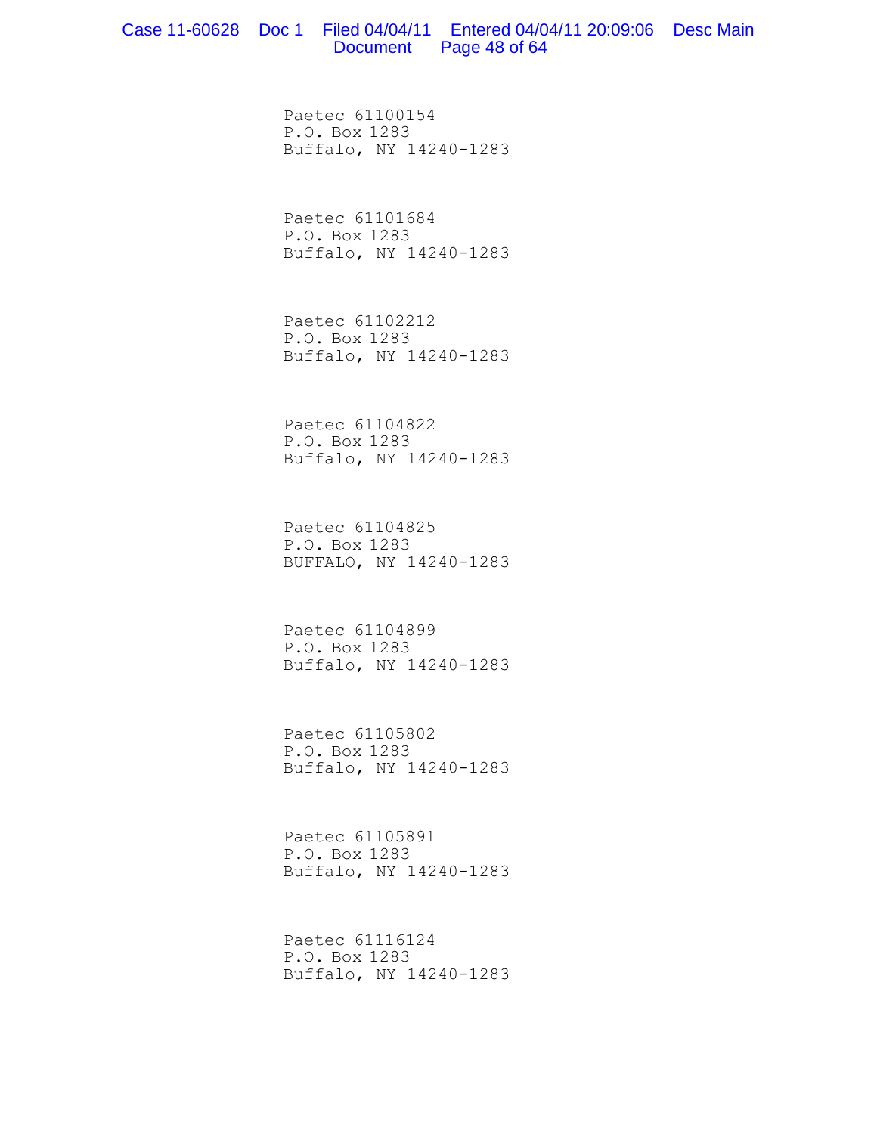## Case 11-60628 Doc 1 Filed 04/04/11 Entered 04/04/11 20:09:06 Desc Main Document Page 48 of 64

Paetec 61100154 P.O. Box 1283 Buffalo, NY 14240-1283

Paetec 61101684 P.O. Box 1283 Buffalo, NY 14240-1283

Paetec 61102212 P.O. Box 1283 Buffalo, NY 14240-1283

Paetec 61104822 P.O. Box 1283 Buffalo, NY 14240-1283

Paetec 61104825 P.O. Box 1283 BUFFALO, NY 14240-1283

Paetec 61104899 P.O. Box 1283 Buffalo, NY 14240-1283

Paetec 61105802 P.O. Box 1283 Buffalo, NY 14240-1283

Paetec 61105891 P.O. Box 1283 Buffalo, NY 14240-1283

Paetec 61116124 P.O. Box 1283 Buffalo, NY 14240-1283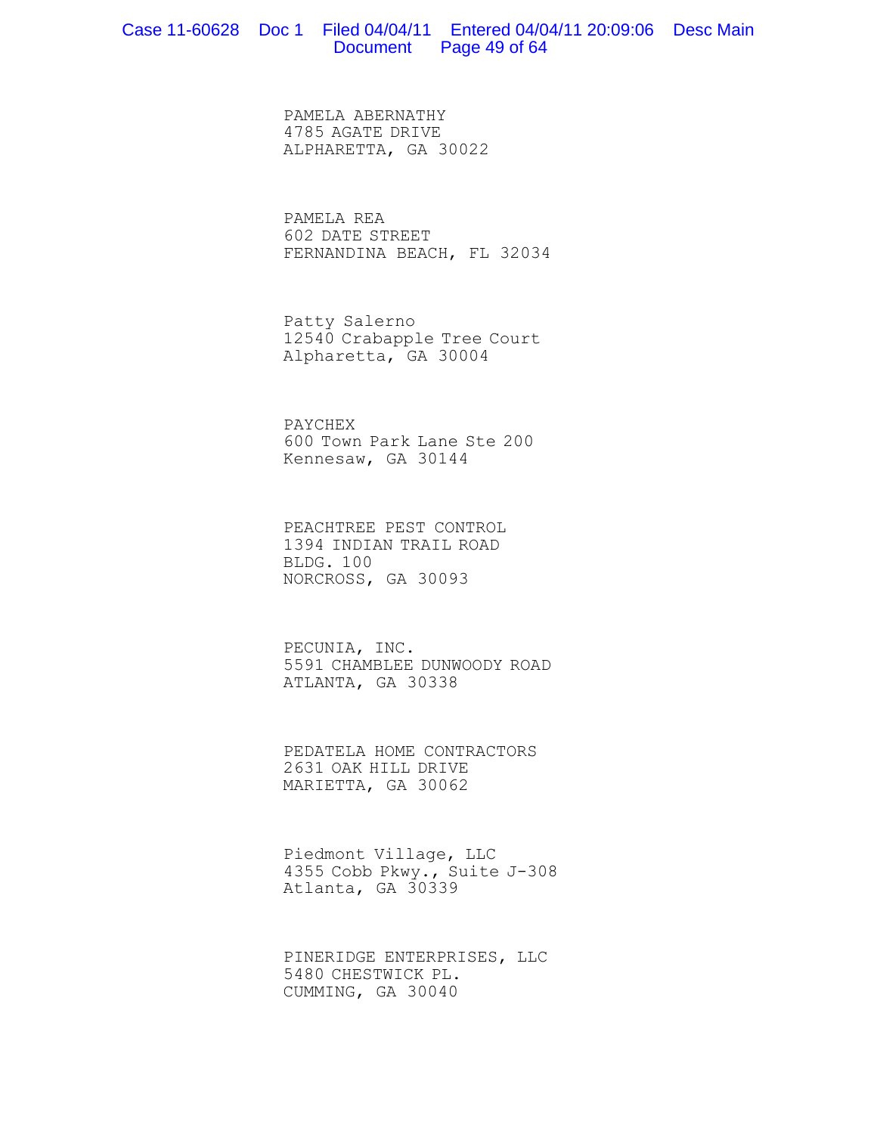## Case 11-60628 Doc 1 Filed 04/04/11 Entered 04/04/11 20:09:06 Desc Main Document Page 49 of 64

PAMELA ABERNATHY 4785 AGATE DRIVE ALPHARETTA, GA 30022

PAMELA REA 602 DATE STREET FERNANDINA BEACH, FL 32034

Patty Salerno 12540 Crabapple Tree Court Alpharetta, GA 30004

PAYCHEX 600 Town Park Lane Ste 200 Kennesaw, GA 30144

PEACHTREE PEST CONTROL 1394 INDIAN TRAIL ROAD BLDG. 100 NORCROSS, GA 30093

PECUNIA, INC. 5591 CHAMBLEE DUNWOODY ROAD ATLANTA, GA 30338

PEDATELA HOME CONTRACTORS 2631 OAK HILL DRIVE MARIETTA, GA 30062

Piedmont Village, LLC 4355 Cobb Pkwy., Suite J-308 Atlanta, GA 30339

PINERIDGE ENTERPRISES, LLC 5480 CHESTWICK PL. CUMMING, GA 30040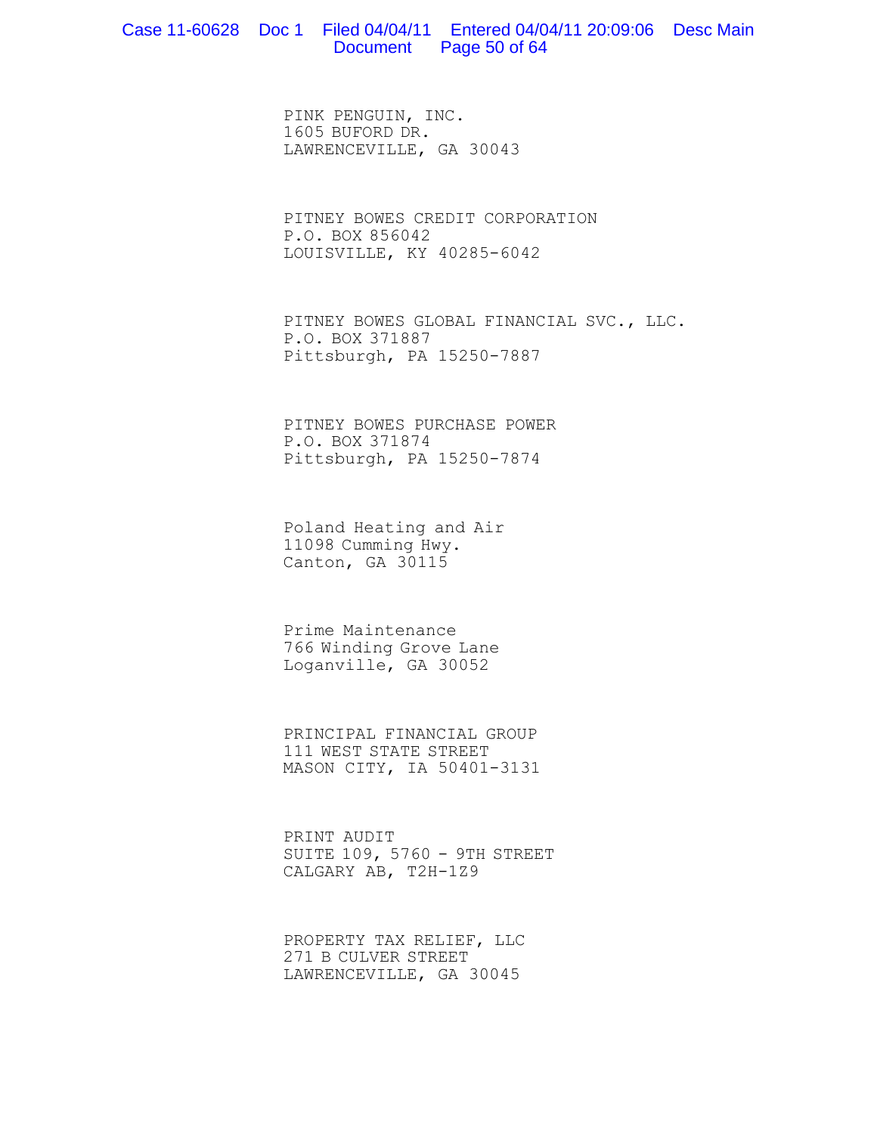## Case 11-60628 Doc 1 Filed 04/04/11 Entered 04/04/11 20:09:06 Desc Main Document Page 50 of 64

PINK PENGUIN, INC. 1605 BUFORD DR. LAWRENCEVILLE, GA 30043

PITNEY BOWES CREDIT CORPORATION P.O. BOX 856042 LOUISVILLE, KY 40285-6042

PITNEY BOWES GLOBAL FINANCIAL SVC., LLC. P.O. BOX 371887 Pittsburgh, PA 15250-7887

PITNEY BOWES PURCHASE POWER P.O. BOX 371874 Pittsburgh, PA 15250-7874

Poland Heating and Air 11098 Cumming Hwy. Canton, GA 30115

Prime Maintenance 766 Winding Grove Lane Loganville, GA 30052

PRINCIPAL FINANCIAL GROUP 111 WEST STATE STREET MASON CITY, IA 50401-3131

PRINT AUDIT SUITE 109, 5760 - 9TH STREET CALGARY AB, T2H-1Z9

PROPERTY TAX RELIEF, LLC 271 B CULVER STREET LAWRENCEVILLE, GA 30045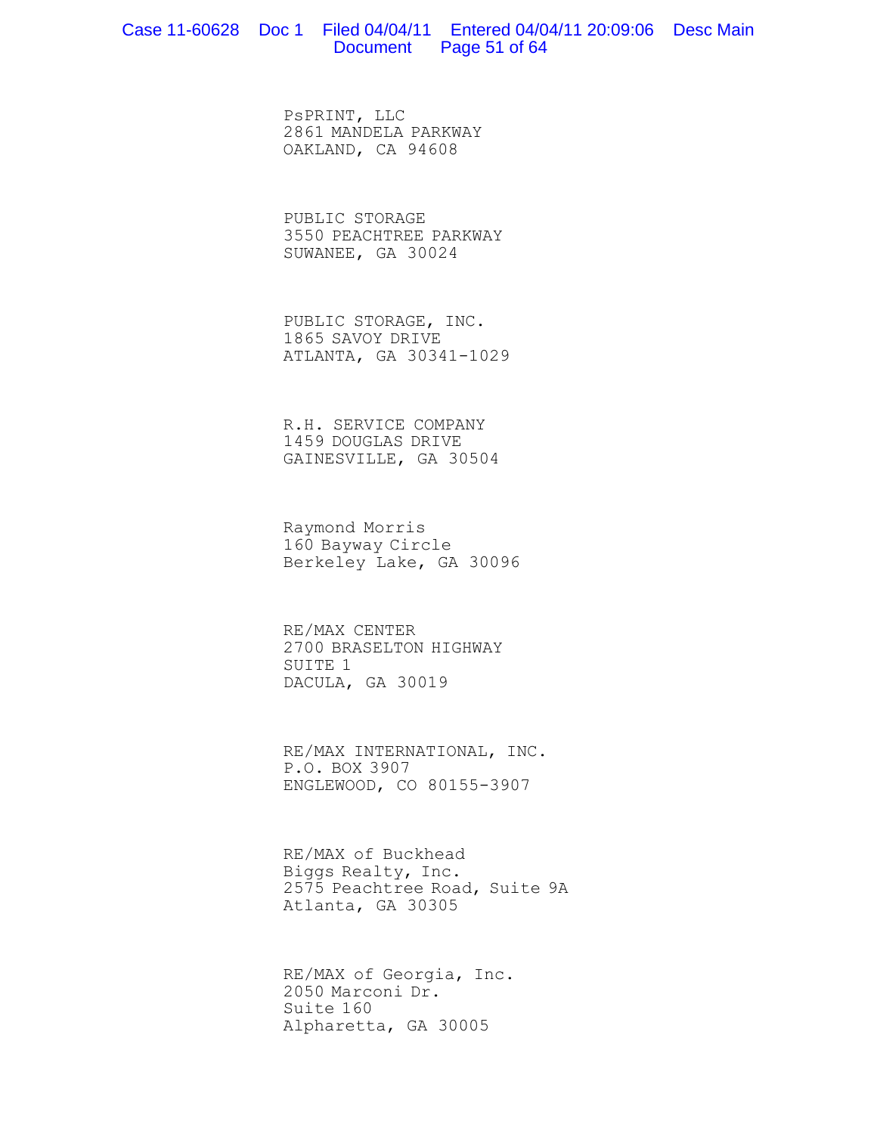## Case 11-60628 Doc 1 Filed 04/04/11 Entered 04/04/11 20:09:06 Desc Main Document Page 51 of 64

PsPRINT, LLC 2861 MANDELA PARKWAY OAKLAND, CA 94608

PUBLIC STORAGE 3550 PEACHTREE PARKWAY SUWANEE, GA 30024

PUBLIC STORAGE, INC. 1865 SAVOY DRIVE ATLANTA, GA 30341-1029

R.H. SERVICE COMPANY 1459 DOUGLAS DRIVE GAINESVILLE, GA 30504

Raymond Morris 160 Bayway Circle Berkeley Lake, GA 30096

RE/MAX CENTER 2700 BRASELTON HIGHWAY SUITE 1 DACULA, GA 30019

RE/MAX INTERNATIONAL, INC. P.O. BOX 3907 ENGLEWOOD, CO 80155-3907

RE/MAX of Buckhead Biggs Realty, Inc. 2575 Peachtree Road, Suite 9A Atlanta, GA 30305

RE/MAX of Georgia, Inc. 2050 Marconi Dr. Suite 160 Alpharetta, GA 30005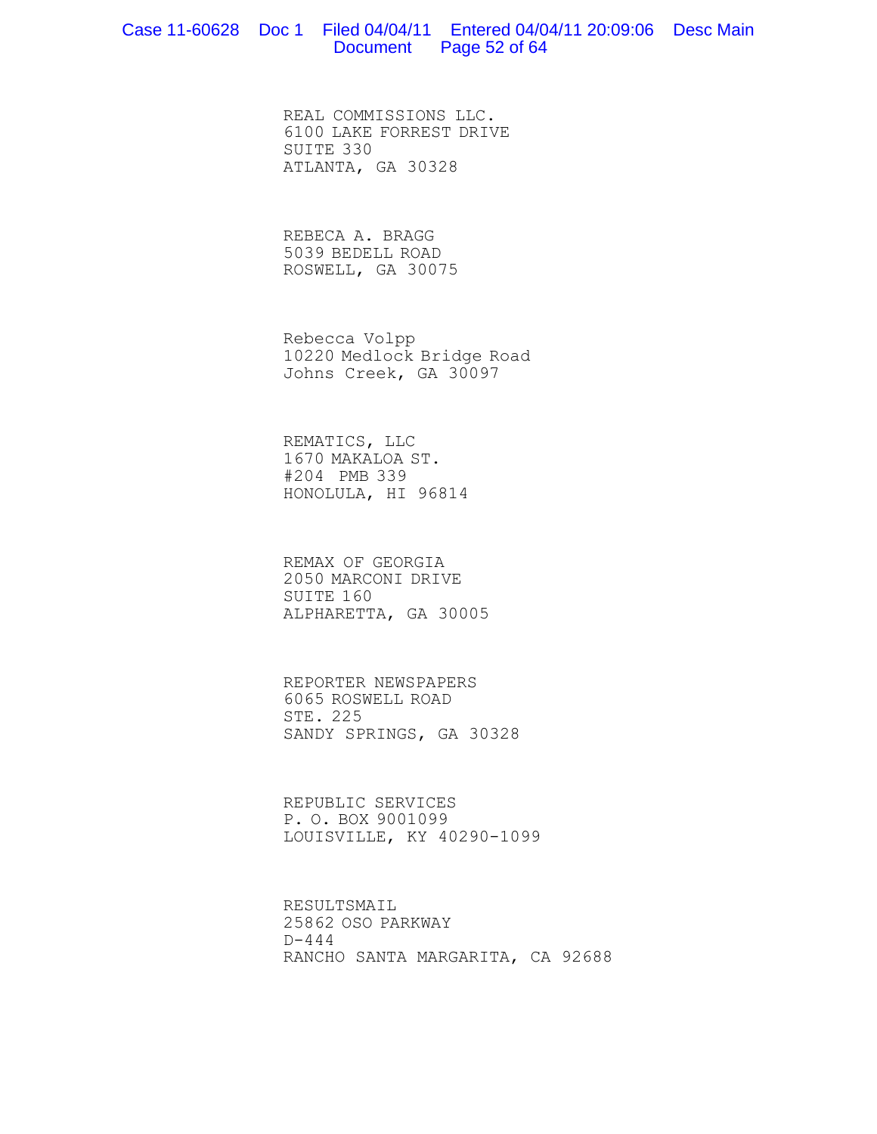## Case 11-60628 Doc 1 Filed 04/04/11 Entered 04/04/11 20:09:06 Desc Main Document Page 52 of 64

REAL COMMISSIONS LLC. 6100 LAKE FORREST DRIVE SUITE 330 ATLANTA, GA 30328

REBECA A. BRAGG 5039 BEDELL ROAD ROSWELL, GA 30075

Rebecca Volpp 10220 Medlock Bridge Road Johns Creek, GA 30097

REMATICS, LLC 1670 MAKALOA ST. #204 PMB 339 HONOLULA, HI 96814

REMAX OF GEORGIA 2050 MARCONI DRIVE SUITE 160 ALPHARETTA, GA 30005

REPORTER NEWSPAPERS 6065 ROSWELL ROAD STE. 225 SANDY SPRINGS, GA 30328

REPUBLIC SERVICES P. O. BOX 9001099 LOUISVILLE, KY 40290-1099

RESULTSMAIL 25862 OSO PARKWAY D-444 RANCHO SANTA MARGARITA, CA 92688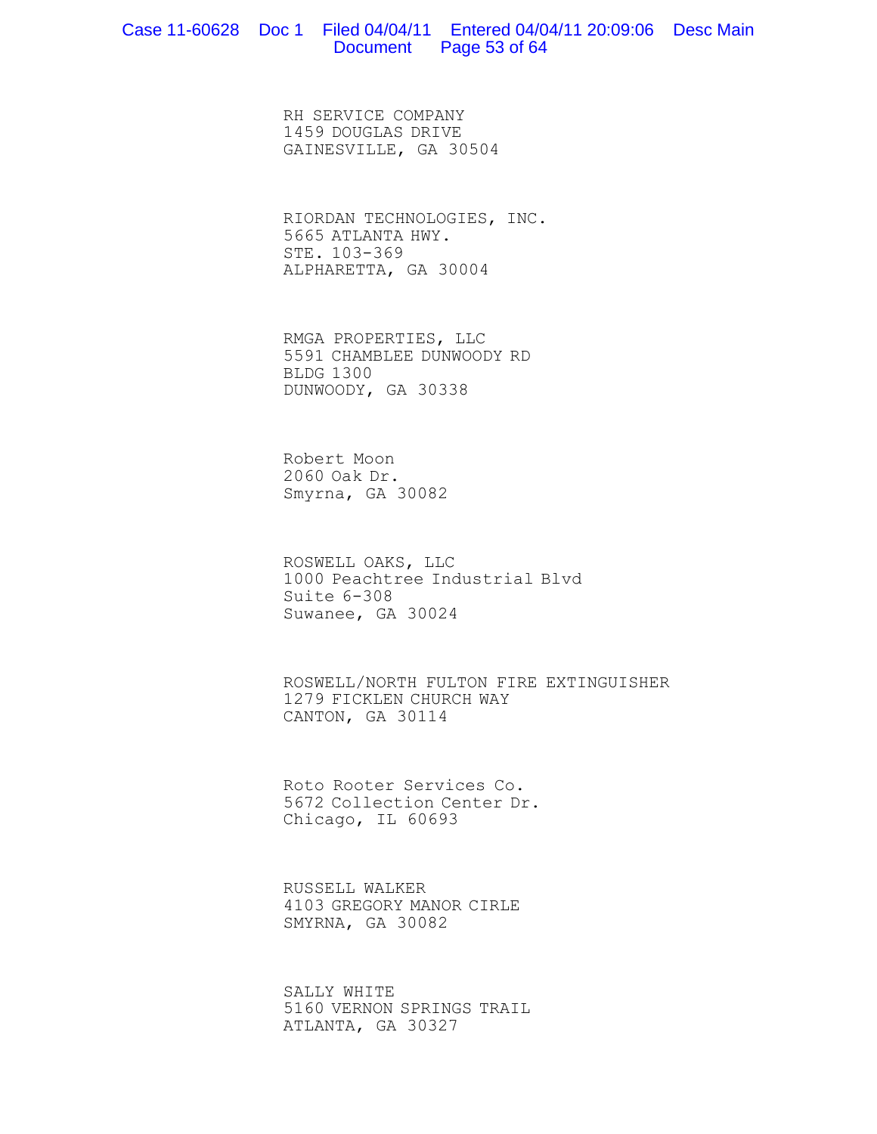## Case 11-60628 Doc 1 Filed 04/04/11 Entered 04/04/11 20:09:06 Desc Main Document Page 53 of 64

RH SERVICE COMPANY 1459 DOUGLAS DRIVE GAINESVILLE, GA 30504

RIORDAN TECHNOLOGIES, INC. 5665 ATLANTA HWY. STE. 103-369 ALPHARETTA, GA 30004

RMGA PROPERTIES, LLC 5591 CHAMBLEE DUNWOODY RD BLDG 1300 DUNWOODY, GA 30338

Robert Moon 2060 Oak Dr. Smyrna, GA 30082

ROSWELL OAKS, LLC 1000 Peachtree Industrial Blvd Suite 6-308 Suwanee, GA 30024

ROSWELL/NORTH FULTON FIRE EXTINGUISHER 1279 FICKLEN CHURCH WAY CANTON, GA 30114

Roto Rooter Services Co. 5672 Collection Center Dr. Chicago, IL 60693

RUSSELL WALKER 4103 GREGORY MANOR CIRLE SMYRNA, GA 30082

SALLY WHITE 5160 VERNON SPRINGS TRAIL ATLANTA, GA 30327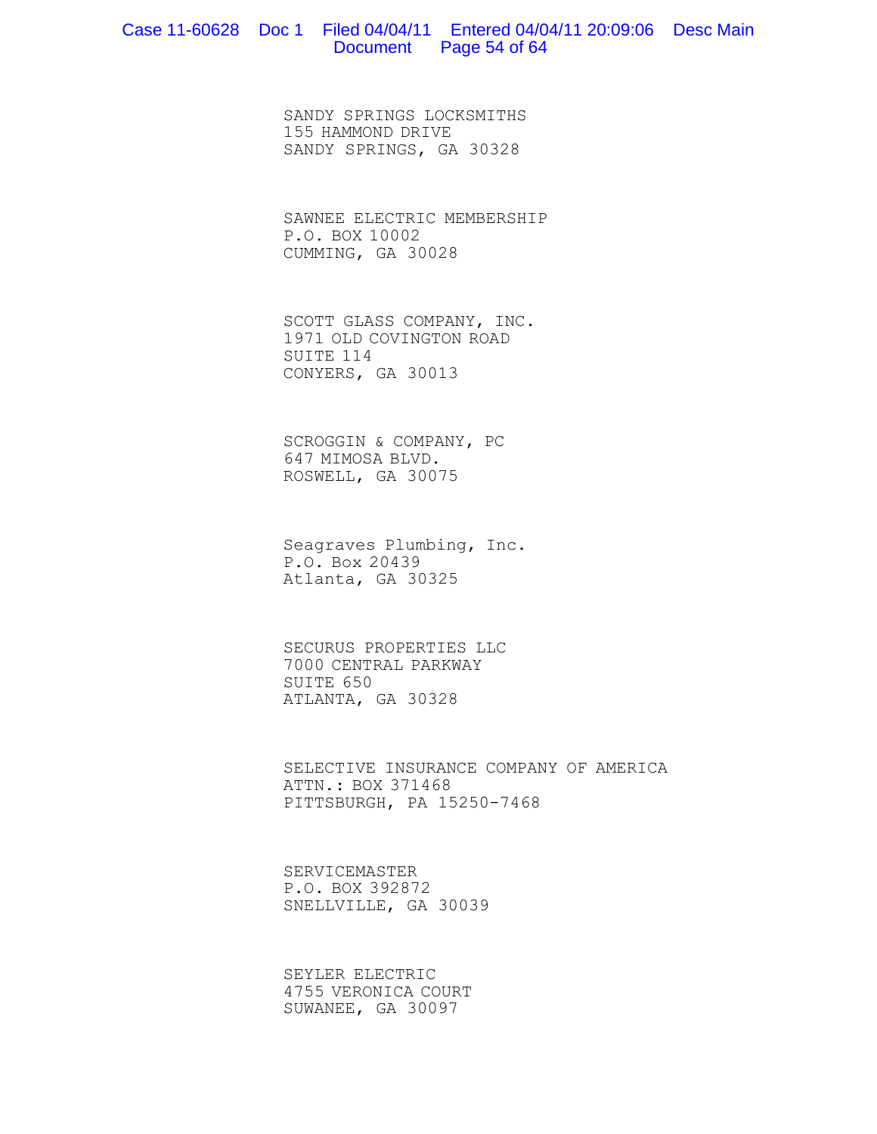## Case 11-60628 Doc 1 Filed 04/04/11 Entered 04/04/11 20:09:06 Desc Main Document Page 54 of 64

SANDY SPRINGS LOCKSMITHS 155 HAMMOND DRIVE SANDY SPRINGS, GA 30328

SAWNEE ELECTRIC MEMBERSHIP P.O. BOX 10002 CUMMING, GA 30028

SCOTT GLASS COMPANY, INC. 1971 OLD COVINGTON ROAD SUITE 114 CONYERS, GA 30013

SCROGGIN & COMPANY, PC 647 MIMOSA BLVD. ROSWELL, GA 30075

Seagraves Plumbing, Inc. P.O. Box 20439 Atlanta, GA 30325

SECURUS PROPERTIES LLC 7000 CENTRAL PARKWAY SUITE 650 ATLANTA, GA 30328

SELECTIVE INSURANCE COMPANY OF AMERICA ATTN.: BOX 371468 PITTSBURGH, PA 15250-7468

SERVICEMASTER P.O. BOX 392872 SNELLVILLE, GA 30039

SEYLER ELECTRIC 4755 VERONICA COURT SUWANEE, GA 30097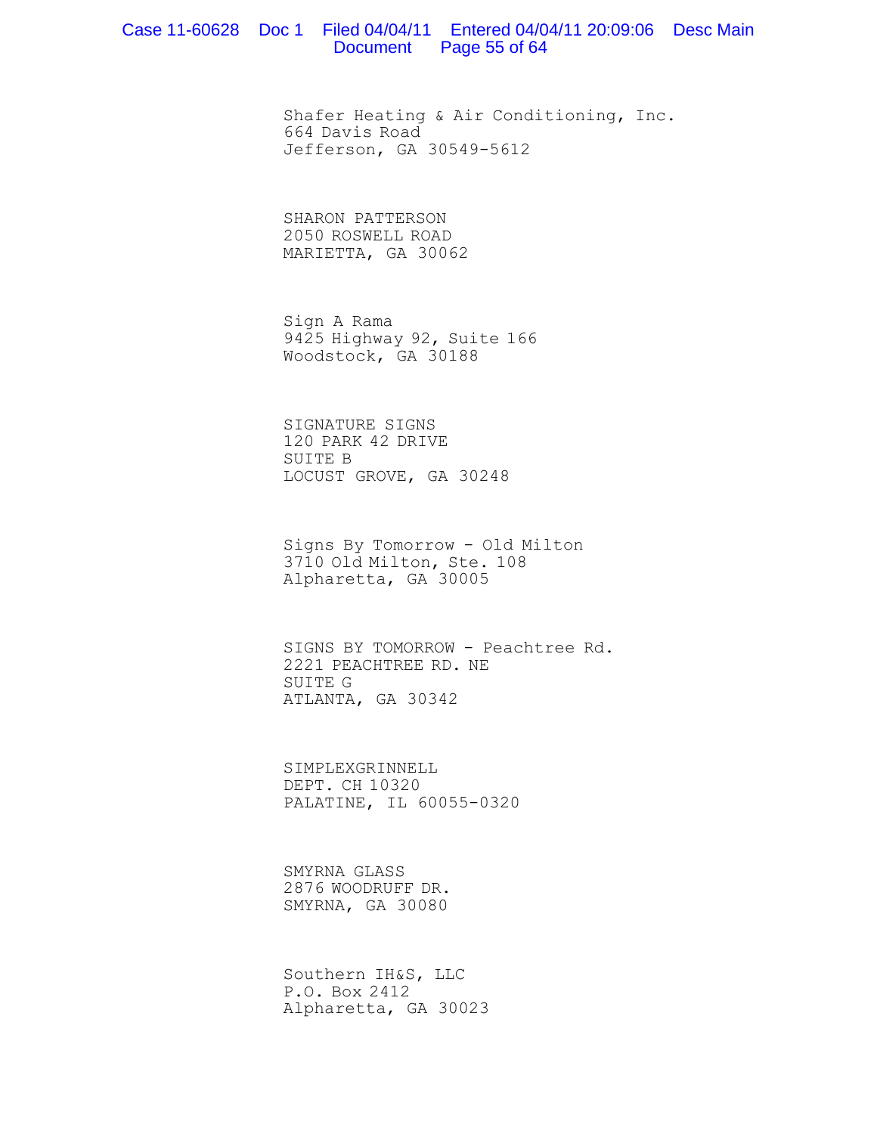## Case 11-60628 Doc 1 Filed 04/04/11 Entered 04/04/11 20:09:06 Desc Main Document Page 55 of 64

Shafer Heating & Air Conditioning, Inc. 664 Davis Road Jefferson, GA 30549-5612

SHARON PATTERSON 2050 ROSWELL ROAD MARIETTA, GA 30062

Sign A Rama 9425 Highway 92, Suite 166 Woodstock, GA 30188

SIGNATURE SIGNS 120 PARK 42 DRIVE SUITE B LOCUST GROVE, GA 30248

Signs By Tomorrow - Old Milton 3710 Old Milton, Ste. 108 Alpharetta, GA 30005

SIGNS BY TOMORROW - Peachtree Rd. 2221 PEACHTREE RD. NE SUITE G ATLANTA, GA 30342

SIMPLEXGRINNELL DEPT. CH 10320 PALATINE, IL 60055-0320

SMYRNA GLASS 2876 WOODRUFF DR. SMYRNA, GA 30080

Southern IH&S, LLC P.O. Box 2412 Alpharetta, GA 30023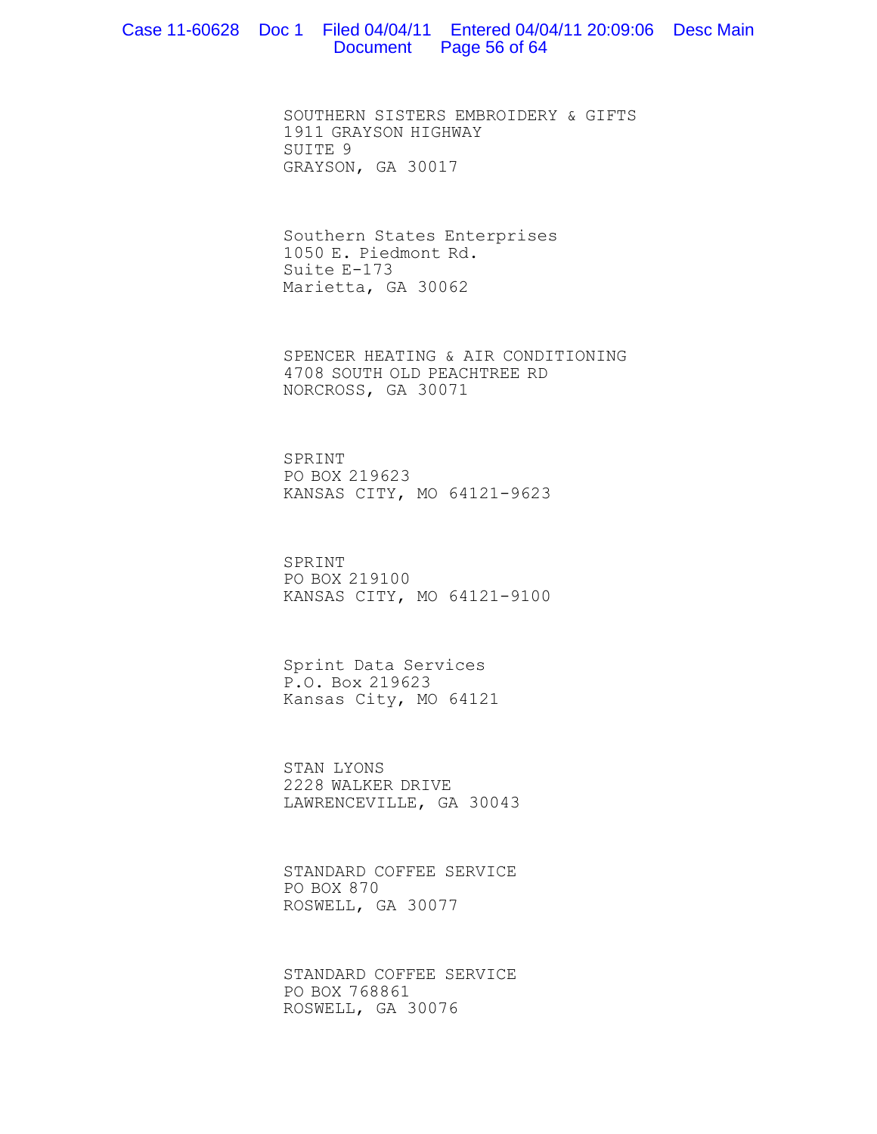## Case 11-60628 Doc 1 Filed 04/04/11 Entered 04/04/11 20:09:06 Desc Main Document Page 56 of 64

SOUTHERN SISTERS EMBROIDERY & GIFTS 1911 GRAYSON HIGHWAY SUITE 9 GRAYSON, GA 30017

Southern States Enterprises 1050 E. Piedmont Rd. Suite E-173 Marietta, GA 30062

SPENCER HEATING & AIR CONDITIONING 4708 SOUTH OLD PEACHTREE RD NORCROSS, GA 30071

SPRINT PO BOX 219623 KANSAS CITY, MO 64121-9623

SPRINT PO BOX 219100 KANSAS CITY, MO 64121-9100

Sprint Data Services P.O. Box 219623 Kansas City, MO 64121

STAN LYONS 2228 WALKER DRIVE LAWRENCEVILLE, GA 30043

STANDARD COFFEE SERVICE PO BOX 870 ROSWELL, GA 30077

STANDARD COFFEE SERVICE PO BOX 768861 ROSWELL, GA 30076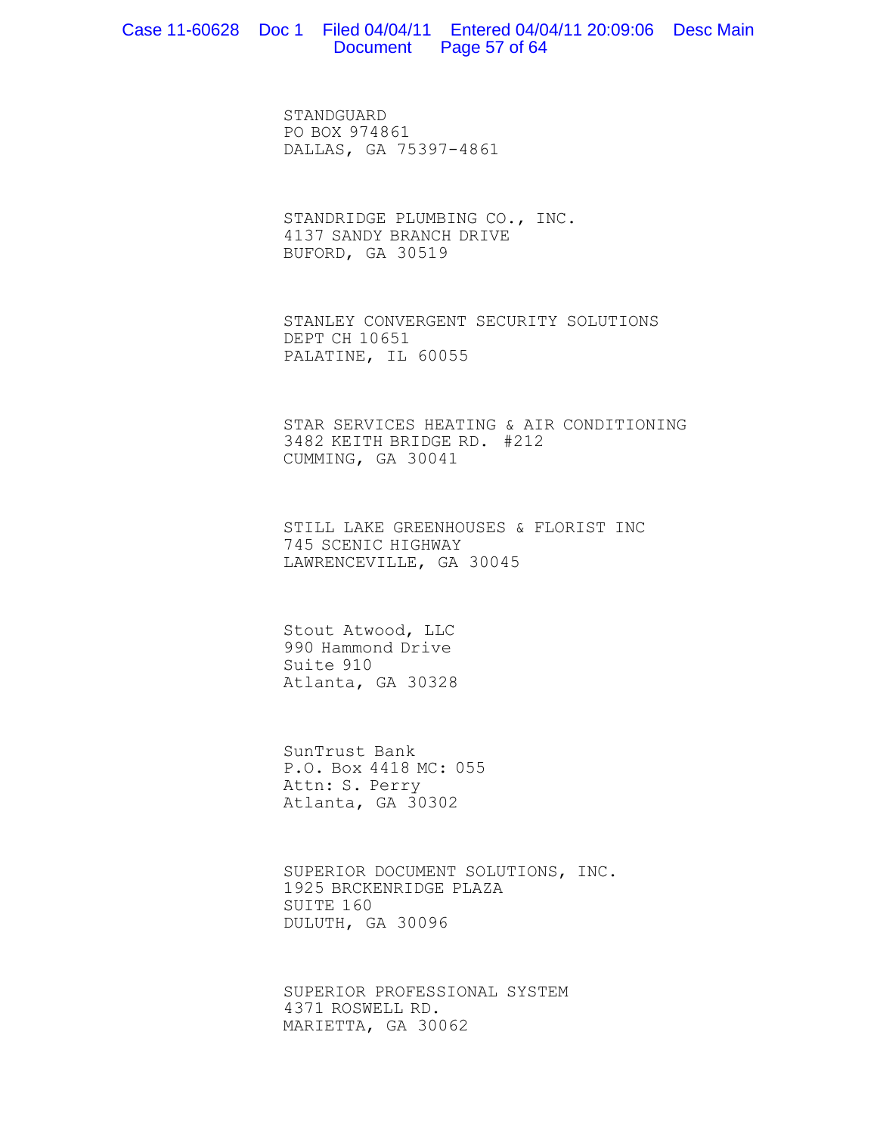## Case 11-60628 Doc 1 Filed 04/04/11 Entered 04/04/11 20:09:06 Desc Main Document Page 57 of 64

STANDGUARD PO BOX 974861 DALLAS, GA 75397-4861

STANDRIDGE PLUMBING CO., INC. 4137 SANDY BRANCH DRIVE BUFORD, GA 30519

STANLEY CONVERGENT SECURITY SOLUTIONS DEPT CH 10651 PALATINE, IL 60055

STAR SERVICES HEATING & AIR CONDITIONING 3482 KEITH BRIDGE RD. #212 CUMMING, GA 30041

STILL LAKE GREENHOUSES & FLORIST INC 745 SCENIC HIGHWAY LAWRENCEVILLE, GA 30045

Stout Atwood, LLC 990 Hammond Drive Suite 910 Atlanta, GA 30328

SunTrust Bank P.O. Box 4418 MC: 055 Attn: S. Perry Atlanta, GA 30302

SUPERIOR DOCUMENT SOLUTIONS, INC. 1925 BRCKENRIDGE PLAZA SUITE 160 DULUTH, GA 30096

SUPERIOR PROFESSIONAL SYSTEM 4371 ROSWELL RD. MARIETTA, GA 30062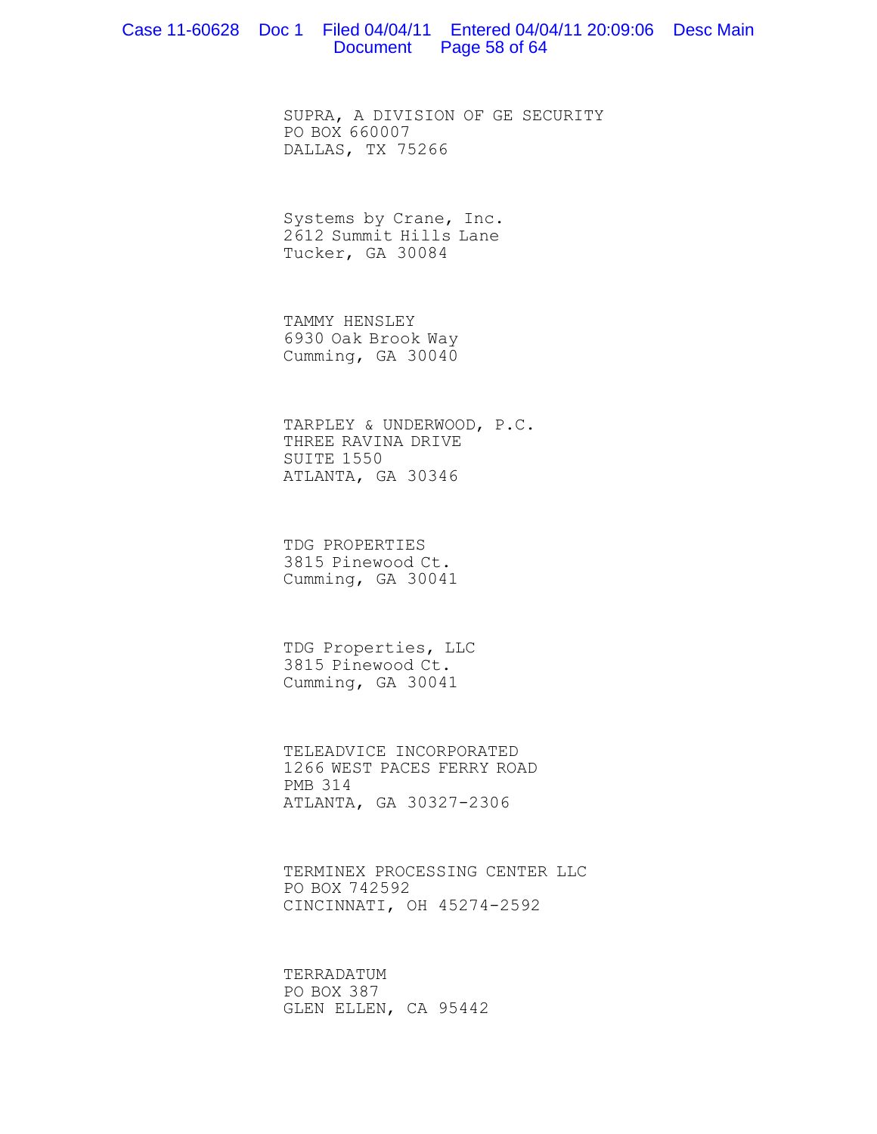## Case 11-60628 Doc 1 Filed 04/04/11 Entered 04/04/11 20:09:06 Desc Main Document Page 58 of 64

SUPRA, A DIVISION OF GE SECURITY PO BOX 660007 DALLAS, TX 75266

Systems by Crane, Inc. 2612 Summit Hills Lane Tucker, GA 30084

TAMMY HENSLEY 6930 Oak Brook Way Cumming, GA 30040

TARPLEY & UNDERWOOD, P.C. THREE RAVINA DRIVE SUITE 1550 ATLANTA, GA 30346

TDG PROPERTIES 3815 Pinewood Ct. Cumming, GA 30041

TDG Properties, LLC 3815 Pinewood Ct. Cumming, GA 30041

TELEADVICE INCORPORATED 1266 WEST PACES FERRY ROAD PMB 314 ATLANTA, GA 30327-2306

TERMINEX PROCESSING CENTER LLC PO BOX 742592 CINCINNATI, OH 45274-2592

TERRADATUM PO BOX 387 GLEN ELLEN, CA 95442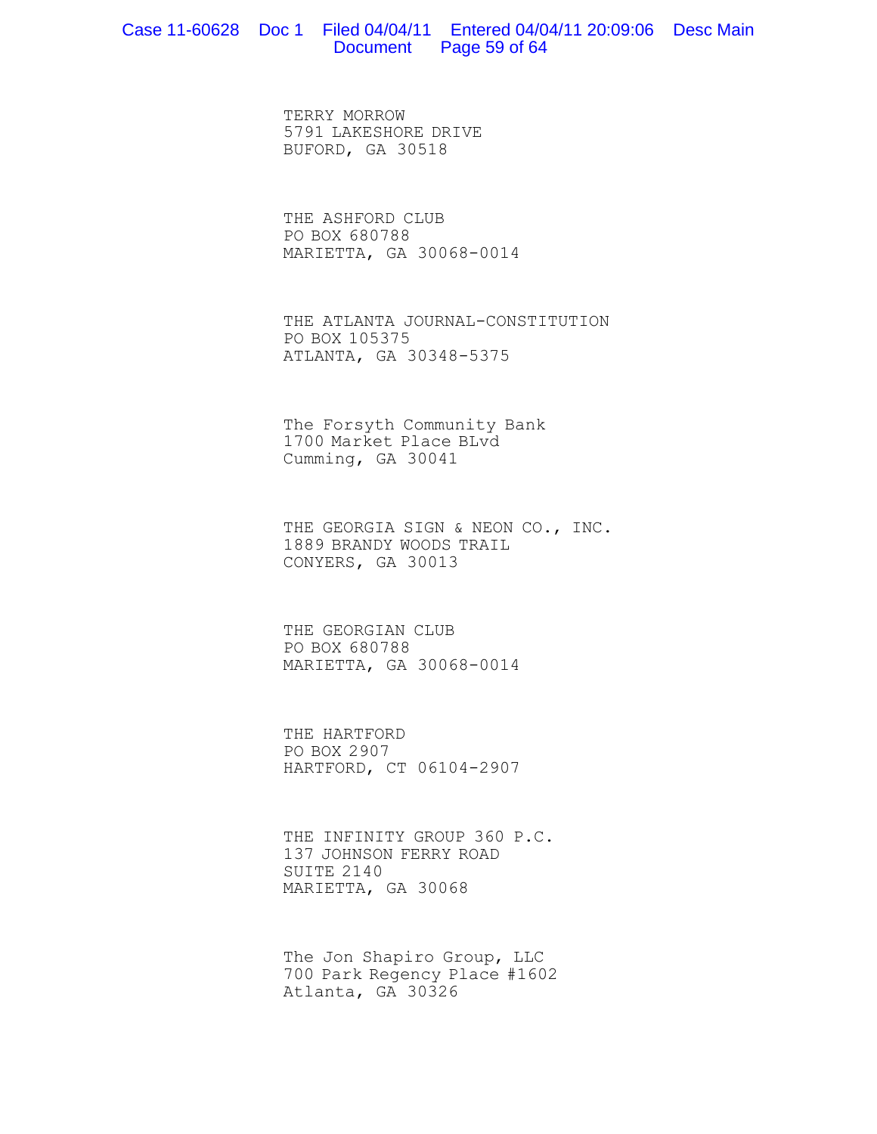## Case 11-60628 Doc 1 Filed 04/04/11 Entered 04/04/11 20:09:06 Desc Main Document Page 59 of 64

TERRY MORROW 5791 LAKESHORE DRIVE BUFORD, GA 30518

THE ASHFORD CLUB PO BOX 680788 MARIETTA, GA 30068-0014

THE ATLANTA JOURNAL-CONSTITUTION PO BOX 105375 ATLANTA, GA 30348-5375

The Forsyth Community Bank 1700 Market Place BLvd Cumming, GA 30041

THE GEORGIA SIGN & NEON CO., INC. 1889 BRANDY WOODS TRAIL CONYERS, GA 30013

THE GEORGIAN CLUB PO BOX 680788 MARIETTA, GA 30068-0014

THE HARTFORD PO BOX 2907 HARTFORD, CT 06104-2907

THE INFINITY GROUP 360 P.C. 137 JOHNSON FERRY ROAD SUITE 2140 MARIETTA, GA 30068

The Jon Shapiro Group, LLC 700 Park Regency Place #1602 Atlanta, GA 30326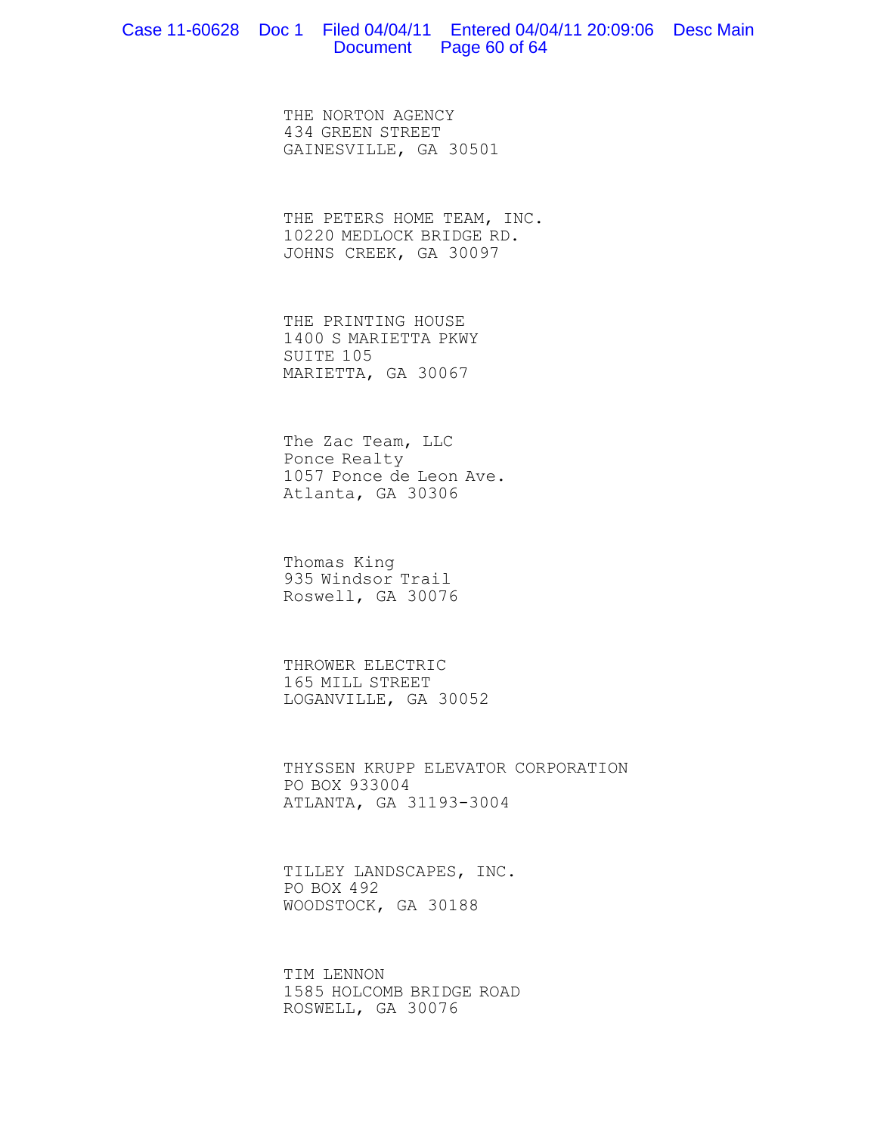## Case 11-60628 Doc 1 Filed 04/04/11 Entered 04/04/11 20:09:06 Desc Main Document Page 60 of 64

THE NORTON AGENCY 434 GREEN STREET GAINESVILLE, GA 30501

THE PETERS HOME TEAM, INC. 10220 MEDLOCK BRIDGE RD. JOHNS CREEK, GA 30097

THE PRINTING HOUSE 1400 S MARIETTA PKWY SUITE 105 MARIETTA, GA 30067

The Zac Team, LLC Ponce Realty 1057 Ponce de Leon Ave. Atlanta, GA 30306

Thomas King 935 Windsor Trail Roswell, GA 30076

THROWER ELECTRIC 165 MILL STREET LOGANVILLE, GA 30052

THYSSEN KRUPP ELEVATOR CORPORATION PO BOX 933004 ATLANTA, GA 31193-3004

TILLEY LANDSCAPES, INC. PO BOX 492 WOODSTOCK, GA 30188

TIM LENNON 1585 HOLCOMB BRIDGE ROAD ROSWELL, GA 30076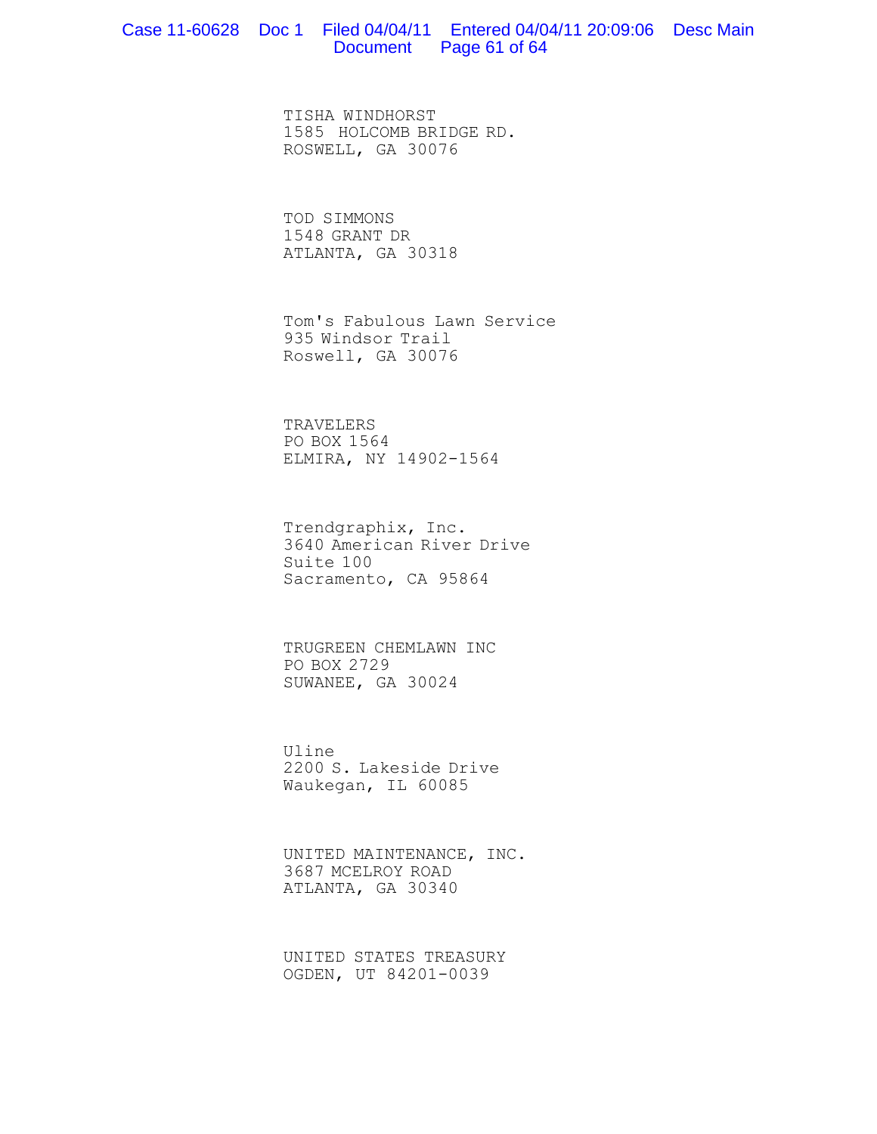## Case 11-60628 Doc 1 Filed 04/04/11 Entered 04/04/11 20:09:06 Desc Main Document Page 61 of 64

TISHA WINDHORST 1585 HOLCOMB BRIDGE RD. ROSWELL, GA 30076

TOD SIMMONS 1548 GRANT DR ATLANTA, GA 30318

Tom's Fabulous Lawn Service 935 Windsor Trail Roswell, GA 30076

TRAVELERS PO BOX 1564 ELMIRA, NY 14902-1564

Trendgraphix, Inc. 3640 American River Drive Suite 100 Sacramento, CA 95864

TRUGREEN CHEMLAWN INC PO BOX 2729 SUWANEE, GA 30024

Uline 2200 S. Lakeside Drive Waukegan, IL 60085

UNITED MAINTENANCE, INC. 3687 MCELROY ROAD ATLANTA, GA 30340

UNITED STATES TREASURY OGDEN, UT 84201-0039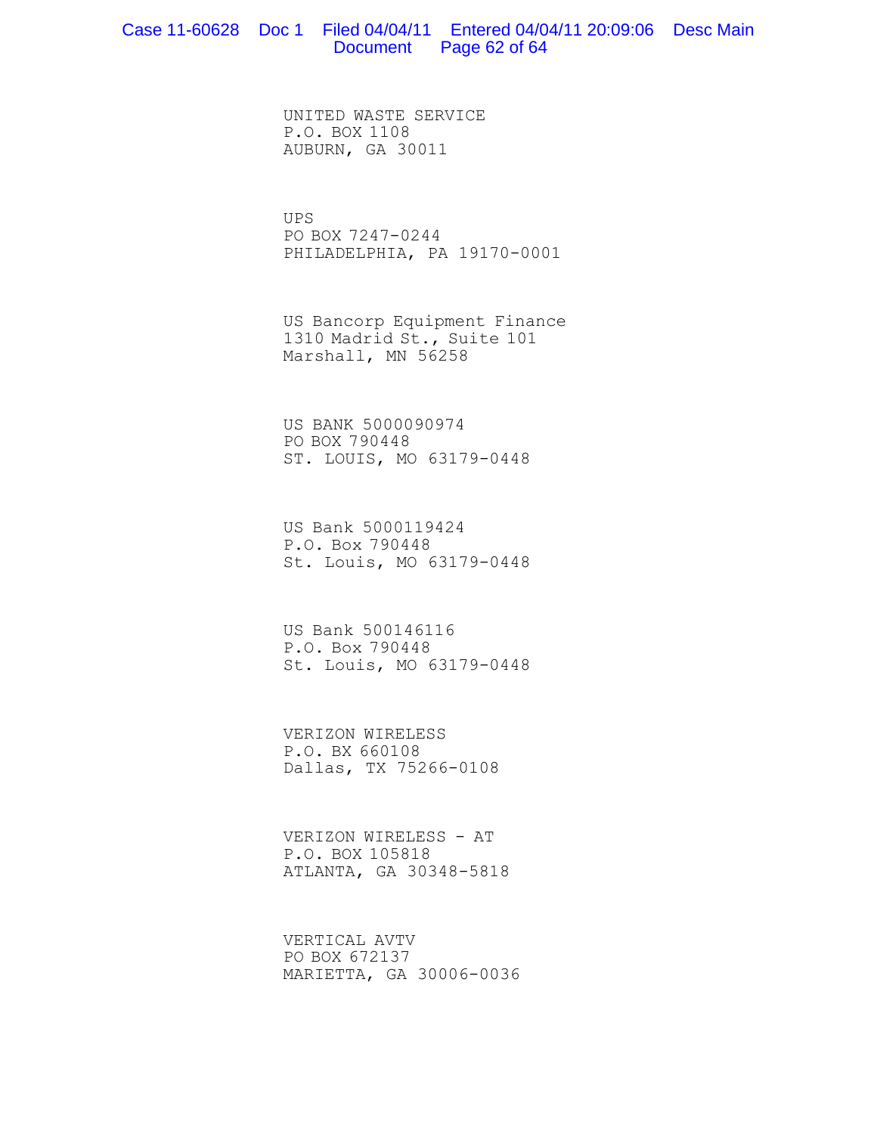## Case 11-60628 Doc 1 Filed 04/04/11 Entered 04/04/11 20:09:06 Desc Main Document Page 62 of 64

UNITED WASTE SERVICE P.O. BOX 1108 AUBURN, GA 30011

UPS PO BOX 7247-0244 PHILADELPHIA, PA 19170-0001

US Bancorp Equipment Finance 1310 Madrid St., Suite 101 Marshall, MN 56258

US BANK 5000090974 PO BOX 790448 ST. LOUIS, MO 63179-0448

US Bank 5000119424 P.O. Box 790448 St. Louis, MO 63179-0448

US Bank 500146116 P.O. Box 790448 St. Louis, MO 63179-0448

VERIZON WIRELESS P.O. BX 660108 Dallas, TX 75266-0108

VERIZON WIRELESS - AT P.O. BOX 105818 ATLANTA, GA 30348-5818

VERTICAL AVTV PO BOX 672137 MARIETTA, GA 30006-0036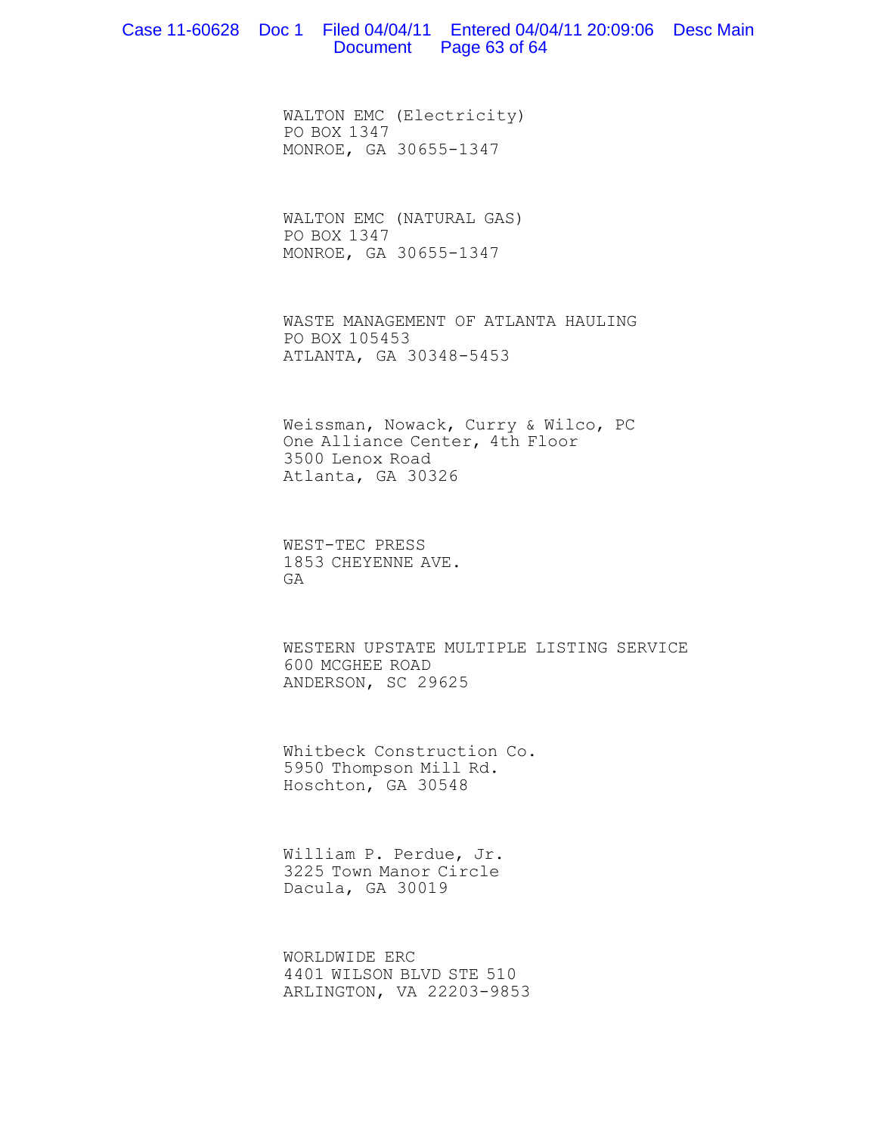## Case 11-60628 Doc 1 Filed 04/04/11 Entered 04/04/11 20:09:06 Desc Main Document Page 63 of 64

WALTON EMC (Electricity) PO BOX 1347 MONROE, GA 30655-1347

WALTON EMC (NATURAL GAS) PO BOX 1347 MONROE, GA 30655-1347

WASTE MANAGEMENT OF ATLANTA HAULING PO BOX 105453 ATLANTA, GA 30348-5453

Weissman, Nowack, Curry & Wilco, PC One Alliance Center, 4th Floor 3500 Lenox Road Atlanta, GA 30326

WEST-TEC PRESS 1853 CHEYENNE AVE. GA

WESTERN UPSTATE MULTIPLE LISTING SERVICE 600 MCGHEE ROAD ANDERSON, SC 29625

Whitbeck Construction Co. 5950 Thompson Mill Rd. Hoschton, GA 30548

William P. Perdue, Jr. 3225 Town Manor Circle Dacula, GA 30019

WORLDWIDE ERC 4401 WILSON BLVD STE 510 ARLINGTON, VA 22203-9853